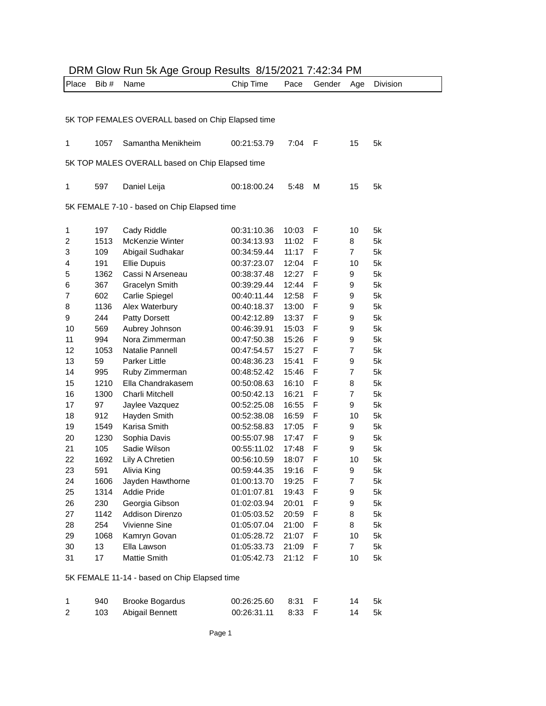| Place          | Bib # | 2021 1.12.04 1.011 011 190 0100 1.00010 01 10/2021 1.42.04 1 111<br>Name | Chip Time   | Pace  | Gender | Age            | Division |
|----------------|-------|--------------------------------------------------------------------------|-------------|-------|--------|----------------|----------|
|                |       |                                                                          |             |       |        |                |          |
|                |       |                                                                          |             |       |        |                |          |
|                |       | 5K TOP FEMALES OVERALL based on Chip Elapsed time                        |             |       |        |                |          |
| 1              | 1057  | Samantha Menikheim                                                       | 00:21:53.79 | 7:04  | F      | 15             | 5k       |
|                |       |                                                                          |             |       |        |                |          |
|                |       | 5K TOP MALES OVERALL based on Chip Elapsed time                          |             |       |        |                |          |
|                |       |                                                                          |             |       |        |                |          |
| 1              | 597   | Daniel Leija                                                             | 00:18:00.24 | 5:48  | M      | 15             | 5k       |
|                |       |                                                                          |             |       |        |                |          |
|                |       | 5K FEMALE 7-10 - based on Chip Elapsed time                              |             |       |        |                |          |
| 1              | 197   | Cady Riddle                                                              | 00:31:10.36 | 10:03 | F      | 10             | 5k       |
| $\overline{c}$ | 1513  | McKenzie Winter                                                          | 00:34:13.93 | 11:02 | F      | 8              | 5k       |
| 3              | 109   | Abigail Sudhakar                                                         | 00:34:59.44 | 11:17 | F      | $\overline{7}$ | 5k       |
| 4              | 191   | <b>Ellie Dupuis</b>                                                      | 00:37:23.07 | 12:04 | F      | 10             | 5k       |
| 5              | 1362  | Cassi N Arseneau                                                         | 00:38:37.48 | 12:27 | F      | 9              | 5k       |
| 6              | 367   | <b>Gracelyn Smith</b>                                                    | 00:39:29.44 | 12:44 | F      | 9              | 5k       |
| 7              | 602   | Carlie Spiegel                                                           | 00:40:11.44 | 12:58 | F      | 9              | 5k       |
| 8              | 1136  | Alex Waterbury                                                           | 00:40:18.37 | 13:00 | F      | 9              | 5k       |
| 9              | 244   | <b>Patty Dorsett</b>                                                     | 00:42:12.89 | 13:37 | F      | 9              | 5k       |
| 10             | 569   | Aubrey Johnson                                                           | 00:46:39.91 | 15:03 | F      | 9              | 5k       |
| 11             | 994   | Nora Zimmerman                                                           | 00:47:50.38 | 15:26 | F      | 9              | 5k       |
| 12             | 1053  | Natalie Pannell                                                          | 00:47:54.57 | 15:27 | F      | $\overline{7}$ | 5k       |
| 13             | 59    | Parker Little                                                            | 00:48:36.23 | 15:41 | F      | 9              | 5k       |
| 14             | 995   | Ruby Zimmerman                                                           | 00:48:52.42 | 15:46 | F      | $\overline{7}$ | 5k       |
| 15             | 1210  | Ella Chandrakasem                                                        | 00:50:08.63 | 16:10 | F      | 8              | 5k       |
| 16             | 1300  | Charli Mitchell                                                          | 00:50:42.13 | 16:21 | F      | $\overline{7}$ | 5k       |
| 17             | 97    | Jaylee Vazquez                                                           | 00:52:25.08 | 16:55 | F      | 9              | 5k       |
| 18             | 912   | Hayden Smith                                                             | 00:52:38.08 | 16:59 | F      | 10             | 5k       |
| 19             | 1549  | Karisa Smith                                                             | 00:52:58.83 | 17:05 | F      | 9              | 5k       |
| 20             | 1230  | Sophia Davis                                                             | 00:55:07.98 | 17:47 | F      | 9              | 5k       |
| 21             | 105   | Sadie Wilson                                                             | 00:55:11.02 | 17:48 | F      | 9              | 5k       |
| 22             | 1692  | Lily A Chretien                                                          | 00:56:10.59 | 18:07 | F      | 10             | 5k       |
| 23             | 591   | Alivia King                                                              | 00:59:44.35 | 19:16 | F      | 9              | 5k       |
| 24             | 1606  | Jayden Hawthorne                                                         | 01:00:13.70 | 19:25 | F      | 7              | 5k       |
| 25             | 1314  | Addie Pride                                                              | 01:01:07.81 | 19:43 | F      | 9              | 5k       |
| 26             | 230   | Georgia Gibson                                                           | 01:02:03.94 | 20:01 | F      | 9              | 5k       |
| 27             | 1142  | Addison Direnzo                                                          | 01:05:03.52 | 20:59 | F      | 8              | 5k       |
| 28             | 254   | Vivienne Sine                                                            | 01:05:07.04 | 21:00 | F      | 8              | 5k       |
| 29             | 1068  | Kamryn Govan                                                             | 01:05:28.72 | 21:07 | F      | 10             | 5k       |
| 30             | 13    | Ella Lawson                                                              | 01:05:33.73 | 21:09 | F      | $\overline{7}$ | 5k       |
| 31             | 17    | Mattie Smith                                                             | 01:05:42.73 | 21:12 | F      | 10             | 5k       |
|                |       |                                                                          |             |       |        |                |          |

#### DRM Glow Run 5k Age Group Results 8/15/2021 7:42:34 PM

5K FEMALE 11-14 - based on Chip Elapsed time

|  | 940 Brooke Bogardus | 00:26:25.60 8:31 F |  | 14 5k |      |
|--|---------------------|--------------------|--|-------|------|
|  | 103 Abigail Bennett | 00:26:31.11 8:33 F |  | 14    | - 5k |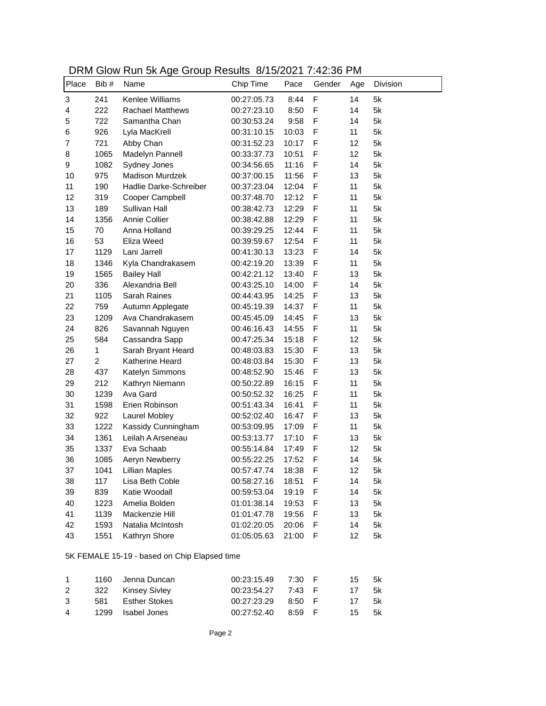| DRM Glow Run 5k Age Group Results 8/15/2021 7:42:36 PM |  |
|--------------------------------------------------------|--|
|--------------------------------------------------------|--|

| Place | Bib #          | Stow Harrow 190 Stoap Robato S/T0/2021 7:12:00 T M<br>Name | Chip Time   | Pace  | Gender | Age | Division |
|-------|----------------|------------------------------------------------------------|-------------|-------|--------|-----|----------|
| 3     | 241            | Kenlee Williams                                            | 00:27:05.73 | 8:44  | F      | 14  | 5k       |
| 4     | 222            | <b>Rachael Matthews</b>                                    | 00:27:23.10 | 8:50  | F      | 14  | 5k       |
| 5     | 722            | Samantha Chan                                              | 00:30:53.24 | 9:58  | F      | 14  | 5k       |
| 6     | 926            | Lyla MacKrell                                              | 00:31:10.15 | 10:03 | F      | 11  | 5k       |
| 7     | 721            | Abby Chan                                                  | 00:31:52.23 | 10:17 | F      | 12  | 5k       |
| 8     | 1065           | Madelyn Pannell                                            | 00:33:37.73 | 10:51 | F      | 12  | 5k       |
| 9     | 1082           | Sydney Jones                                               | 00:34:56.65 | 11:16 | F      | 14  | 5k       |
| 10    | 975            | Madison Murdzek                                            | 00:37:00.15 | 11:56 | F      | 13  | 5k       |
| 11    | 190            | Hadlie Darke-Schreiber                                     | 00:37:23.04 | 12:04 | F      | 11  | 5k       |
| 12    | 319            | Cooper Campbell                                            | 00:37:48.70 | 12:12 | F      | 11  | 5k       |
| 13    | 189            | Sullivan Hall                                              | 00:38:42.73 | 12:29 | F      | 11  | 5k       |
| 14    | 1356           | Annie Collier                                              | 00:38:42.88 | 12:29 | F      | 11  | 5k       |
| 15    | 70             | Anna Holland                                               | 00:39:29.25 | 12:44 | F      | 11  | 5k       |
| 16    | 53             | Eliza Weed                                                 | 00:39:59.67 | 12:54 | F      | 11  | 5k       |
| 17    | 1129           | Lani Jarrell                                               | 00:41:30.13 | 13:23 | F      | 14  | 5k       |
| 18    | 1346           | Kyla Chandrakasem                                          | 00:42:19.20 | 13:39 | F      | 11  | 5k       |
| 19    | 1565           | <b>Bailey Hall</b>                                         | 00:42:21.12 | 13:40 | F      | 13  | 5k       |
| 20    | 336            | Alexandria Bell                                            | 00:43:25.10 | 14:00 | F      | 14  | 5k       |
| 21    | 1105           | <b>Sarah Raines</b>                                        | 00:44:43.95 | 14:25 | F      | 13  | 5k       |
| 22    | 759            | Autumn Applegate                                           | 00:45:19.39 | 14:37 | F      | 11  | 5k       |
| 23    | 1209           | Ava Chandrakasem                                           | 00:45:45.09 | 14:45 | F      | 13  | 5k       |
| 24    | 826            | Savannah Nguyen                                            | 00:46:16.43 | 14:55 | F      | 11  | 5k       |
| 25    | 584            | Cassandra Sapp                                             | 00:47:25.34 | 15:18 | F      | 12  | 5k       |
| 26    | 1              | Sarah Bryant Heard                                         | 00:48:03.83 | 15:30 | F      | 13  | 5k       |
| 27    | $\overline{2}$ | Katherine Heard                                            | 00:48:03.84 | 15:30 | F      | 13  | 5k       |
| 28    | 437            | Katelyn Simmons                                            | 00:48:52.90 | 15:46 | F      | 13  | 5k       |
| 29    | 212            | Kathryn Niemann                                            | 00:50:22.89 | 16:15 | F      | 11  | 5k       |
| 30    | 1239           | Ava Gard                                                   | 00:50:52.32 | 16:25 | F      | 11  | 5k       |
| 31    | 1598           | Erien Robinson                                             | 00:51:43.34 | 16:41 | F      | 11  | 5k       |
| 32    | 922            | Laurel Mobley                                              | 00:52:02.40 | 16:47 | F      | 13  | 5k       |
| 33    | 1222           | Kassidy Cunningham                                         | 00:53:09.95 | 17:09 | F      | 11  | 5k       |
| 34    | 1361           | Leilah A Arseneau                                          | 00:53:13.77 | 17:10 | F      | 13  | 5k       |
| 35    | 1337           | Eva Schaab                                                 | 00:55:14.84 | 17:49 | F      | 12  | 5k       |
| 36    | 1085           | Aeryn Newberry                                             | 00:55:22.25 | 17:52 | F      | 14  | 5k       |
| 37    | 1041           | Lillian Maples                                             | 00:57:47.74 | 18:38 | F      | 12  | 5k       |
| 38    | 117            | Lisa Beth Coble                                            | 00:58:27.16 | 18:51 | F      | 14  | 5k       |
| 39    | 839            | Katie Woodall                                              | 00:59:53.04 | 19:19 | F      | 14  | 5k       |
| 40    | 1223           | Amelia Bolden                                              | 01:01:38.14 | 19:53 | F      | 13  | 5k       |
| 41    | 1139           | Mackenzie Hill                                             | 01:01:47.78 | 19:56 | F      | 13  | 5k       |
| 42    | 1593           | Natalia McIntosh                                           | 01:02:20.05 | 20:06 | F      | 14  | 5k       |
| 43    | 1551           | Kathryn Shore                                              | 01:05:05.63 | 21:00 | F      | 12  | 5k       |

5K FEMALE 15-19 - based on Chip Elapsed time

|                |      | 1160 Jenna Duncan | 00:23:15.49        | 7:30 F | 15. | 5k  |
|----------------|------|-------------------|--------------------|--------|-----|-----|
| 2              |      | 322 Kinsey Sivley | 00:23:54.27 7:43 F |        | 17  | .5k |
| 3              |      | 581 Esther Stokes | 00:27:23.29        | 8:50 F | 17  | 5k  |
| $\overline{4}$ | 1299 | Isabel Jones      | 00:27:52.40        | 8:59 F | 15. | 5k  |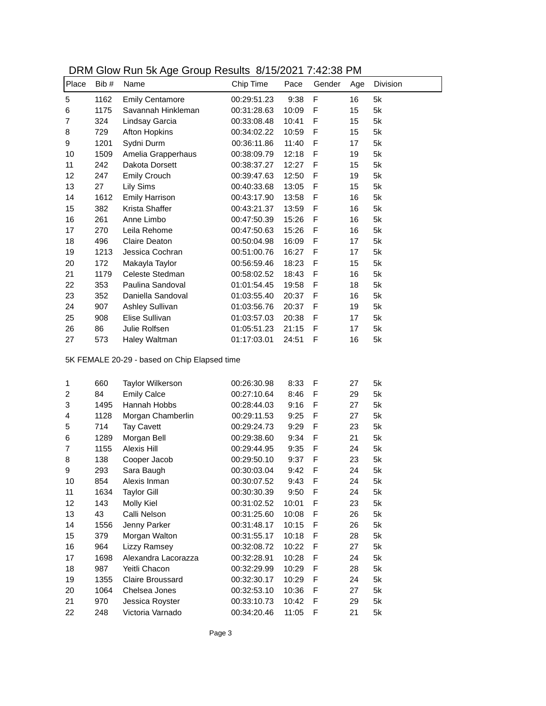| Place | Bib# | Name                   | Chip Time   | Pace  | Gender | Age | Division |
|-------|------|------------------------|-------------|-------|--------|-----|----------|
| 5     | 1162 | <b>Emily Centamore</b> | 00:29:51.23 | 9:38  | F      | 16  | 5k       |
| 6     | 1175 | Savannah Hinkleman     | 00:31:28.63 | 10:09 | F      | 15  | 5k       |
| 7     | 324  | Lindsay Garcia         | 00:33:08.48 | 10:41 | F      | 15  | 5k       |
| 8     | 729  | Afton Hopkins          | 00:34:02.22 | 10:59 | F      | 15  | 5k       |
| 9     | 1201 | Sydni Durm             | 00:36:11.86 | 11:40 | F      | 17  | 5k       |
| 10    | 1509 | Amelia Grapperhaus     | 00:38:09.79 | 12:18 | F      | 19  | 5k       |
| 11    | 242  | Dakota Dorsett         | 00:38:37.27 | 12:27 | F      | 15  | 5k       |
| 12    | 247  | Emily Crouch           | 00:39:47.63 | 12:50 | F      | 19  | 5k       |
| 13    | 27   | Lily Sims              | 00:40:33.68 | 13:05 | F      | 15  | 5k       |
| 14    | 1612 | <b>Emily Harrison</b>  | 00:43:17.90 | 13:58 | F      | 16  | 5k       |
| 15    | 382  | Krista Shaffer         | 00:43:21.37 | 13:59 | F      | 16  | 5k       |
| 16    | 261  | Anne Limbo             | 00:47:50.39 | 15:26 | F      | 16  | 5k       |
| 17    | 270  | Leila Rehome           | 00:47:50.63 | 15:26 | F      | 16  | 5k       |
| 18    | 496  | Claire Deaton          | 00:50:04.98 | 16:09 | F      | 17  | 5k       |
| 19    | 1213 | Jessica Cochran        | 00:51:00.76 | 16:27 | F      | 17  | 5k       |
| 20    | 172  | Makayla Taylor         | 00:56:59.46 | 18:23 | F      | 15  | 5k       |
| 21    | 1179 | Celeste Stedman        | 00:58:02.52 | 18:43 | F      | 16  | 5k       |
| 22    | 353  | Paulina Sandoval       | 01:01:54.45 | 19:58 | F      | 18  | 5k       |
| 23    | 352  | Daniella Sandoval      | 01:03:55.40 | 20:37 | F      | 16  | 5k       |
| 24    | 907  | Ashley Sullivan        | 01:03:56.76 | 20:37 | F      | 19  | 5k       |
| 25    | 908  | Elise Sullivan         | 01:03:57.03 | 20:38 | F      | 17  | 5k       |
| 26    | 86   | Julie Rolfsen          | 01:05:51.23 | 21:15 | F      | 17  | 5k       |
| 27    | 573  | Haley Waltman          | 01:17:03.01 | 24:51 | F      | 16  | 5k       |

# DRM Glow Run 5k Age Group Results 8/15/2021 7:42:38 PM

5K FEMALE 20-29 - based on Chip Elapsed time

| 1  | 660  | <b>Taylor Wilkerson</b> | 00:26:30.98 | 8:33  | F | 27 | 5k |
|----|------|-------------------------|-------------|-------|---|----|----|
| 2  | 84   | <b>Emily Calce</b>      | 00:27:10.64 | 8:46  | F | 29 | 5k |
| 3  | 1495 | Hannah Hobbs            | 00:28:44.03 | 9:16  | F | 27 | 5k |
| 4  | 1128 | Morgan Chamberlin       | 00:29:11.53 | 9:25  | F | 27 | 5k |
| 5  | 714  | <b>Tay Cavett</b>       | 00:29:24.73 | 9:29  | F | 23 | 5k |
| 6  | 1289 | Morgan Bell             | 00:29:38.60 | 9:34  | F | 21 | 5k |
| 7  | 1155 | Alexis Hill             | 00:29:44.95 | 9:35  | F | 24 | 5k |
| 8  | 138  | Cooper Jacob            | 00:29:50.10 | 9:37  | F | 23 | 5k |
| 9  | 293  | Sara Baugh              | 00:30:03.04 | 9:42  | F | 24 | 5k |
| 10 | 854  | Alexis Inman            | 00:30:07.52 | 9:43  | F | 24 | 5k |
| 11 | 1634 | <b>Taylor Gill</b>      | 00:30:30.39 | 9:50  | F | 24 | 5k |
| 12 | 143  | Molly Kiel              | 00:31:02.52 | 10:01 | F | 23 | 5k |
| 13 | 43   | Calli Nelson            | 00:31:25.60 | 10:08 | F | 26 | 5k |
| 14 | 1556 | Jenny Parker            | 00:31:48.17 | 10:15 | F | 26 | 5k |
| 15 | 379  | Morgan Walton           | 00:31:55.17 | 10:18 | F | 28 | 5k |
| 16 | 964  | Lizzy Ramsey            | 00:32:08.72 | 10:22 | F | 27 | 5k |
| 17 | 1698 | Alexandra Lacorazza     | 00:32:28.91 | 10:28 | F | 24 | 5k |
| 18 | 987  | Yeitli Chacon           | 00:32:29.99 | 10:29 | F | 28 | 5k |
| 19 | 1355 | <b>Claire Broussard</b> | 00:32:30.17 | 10:29 | F | 24 | 5k |
| 20 | 1064 | Chelsea Jones           | 00:32:53.10 | 10:36 | F | 27 | 5k |
| 21 | 970  | Jessica Royster         | 00:33:10.73 | 10:42 | F | 29 | 5k |
| 22 | 248  | Victoria Varnado        | 00:34:20.46 | 11:05 | F | 21 | 5k |
|    |      |                         |             |       |   |    |    |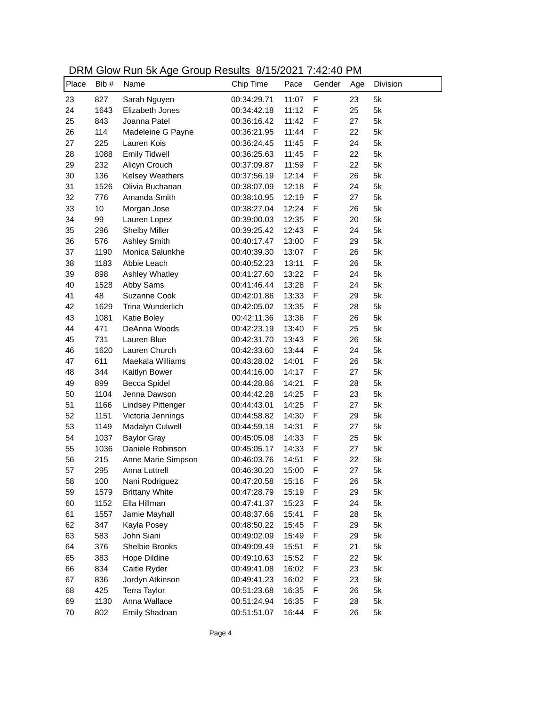| DRM Glow Run 5k Age Group Results 8/15/2021 7:42:40 PM |  |  |  |  |
|--------------------------------------------------------|--|--|--|--|
|--------------------------------------------------------|--|--|--|--|

| Place | Bib # | $31.000$ and $30.7.90$ croup recented on torout the there is the transformation of the set of the set of the set of the set of the set of the set of the set of the set of the set of the set of the set of the set of the se<br>Name | Chip Time   | Pace  | Gender | Age | Division |
|-------|-------|---------------------------------------------------------------------------------------------------------------------------------------------------------------------------------------------------------------------------------------|-------------|-------|--------|-----|----------|
| 23    | 827   | Sarah Nguyen                                                                                                                                                                                                                          | 00:34:29.71 | 11:07 | F      | 23  | 5k       |
| 24    | 1643  | Elizabeth Jones                                                                                                                                                                                                                       | 00:34:42.18 | 11:12 | F      | 25  | 5k       |
| 25    | 843   | Joanna Patel                                                                                                                                                                                                                          | 00:36:16.42 | 11:42 | F      | 27  | 5k       |
| 26    | 114   | Madeleine G Payne                                                                                                                                                                                                                     | 00:36:21.95 | 11:44 | F      | 22  | 5k       |
| 27    | 225   | Lauren Kois                                                                                                                                                                                                                           | 00:36:24.45 | 11:45 | F      | 24  | 5k       |
| 28    | 1088  | <b>Emily Tidwell</b>                                                                                                                                                                                                                  | 00:36:25.63 | 11:45 | F      | 22  | 5k       |
| 29    | 232   | Alicyn Crouch                                                                                                                                                                                                                         | 00:37:09.87 | 11:59 | F      | 22  | 5k       |
| 30    | 136   | <b>Kelsey Weathers</b>                                                                                                                                                                                                                | 00:37:56.19 | 12:14 | F      | 26  | 5k       |
| 31    | 1526  | Olivia Buchanan                                                                                                                                                                                                                       | 00:38:07.09 | 12:18 | F      | 24  | 5k       |
| 32    | 776   | Amanda Smith                                                                                                                                                                                                                          | 00:38:10.95 | 12:19 | F      | 27  | 5k       |
| 33    | 10    | Morgan Jose                                                                                                                                                                                                                           | 00:38:27.04 | 12:24 | F      | 26  | 5k       |
| 34    | 99    | Lauren Lopez                                                                                                                                                                                                                          | 00:39:00.03 | 12:35 | F      | 20  | 5k       |
| 35    | 296   | <b>Shelby Miller</b>                                                                                                                                                                                                                  | 00:39:25.42 | 12:43 | F      | 24  | 5k       |
| 36    | 576   | <b>Ashley Smith</b>                                                                                                                                                                                                                   | 00:40:17.47 | 13:00 | F      | 29  | 5k       |
| 37    | 1190  | Monica Salunkhe                                                                                                                                                                                                                       | 00:40:39.30 | 13:07 | F      | 26  | 5k       |
| 38    | 1183  | Abbie Leach                                                                                                                                                                                                                           | 00:40:52.23 | 13:11 | F      | 26  | 5k       |
| 39    | 898   | Ashley Whatley                                                                                                                                                                                                                        | 00:41:27.60 | 13:22 | F      | 24  | 5k       |
| 40    | 1528  | Abby Sams                                                                                                                                                                                                                             | 00:41:46.44 | 13:28 | F      | 24  | 5k       |
| 41    | 48    | Suzanne Cook                                                                                                                                                                                                                          | 00:42:01.86 | 13:33 | F      | 29  | 5k       |
| 42    | 1629  | <b>Trina Wunderlich</b>                                                                                                                                                                                                               | 00:42:05.02 | 13:35 | F      | 28  | 5k       |
| 43    | 1081  | Katie Boley                                                                                                                                                                                                                           | 00:42:11.36 | 13:36 | F      | 26  | 5k       |
| 44    | 471   | DeAnna Woods                                                                                                                                                                                                                          | 00:42:23.19 |       | F      | 25  | 5k       |
|       |       |                                                                                                                                                                                                                                       |             | 13:40 | F      |     |          |
| 45    | 731   | Lauren Blue                                                                                                                                                                                                                           | 00:42:31.70 | 13:43 |        | 26  | 5k       |
| 46    | 1620  | Lauren Church                                                                                                                                                                                                                         | 00:42:33.60 | 13:44 | F      | 24  | 5k       |
| 47    | 611   | Maekala Williams                                                                                                                                                                                                                      | 00:43:28.02 | 14:01 | F      | 26  | 5k       |
| 48    | 344   | Kaitlyn Bower                                                                                                                                                                                                                         | 00:44:16.00 | 14:17 | F      | 27  | 5k       |
| 49    | 899   | Becca Spidel                                                                                                                                                                                                                          | 00:44:28.86 | 14:21 | F      | 28  | 5k       |
| 50    | 1104  | Jenna Dawson                                                                                                                                                                                                                          | 00:44:42.28 | 14:25 | F      | 23  | 5k       |
| 51    | 1166  | <b>Lindsey Pittenger</b>                                                                                                                                                                                                              | 00:44:43.01 | 14:25 | F      | 27  | 5k       |
| 52    | 1151  | Victoria Jennings                                                                                                                                                                                                                     | 00:44:58.82 | 14:30 | F      | 29  | 5k       |
| 53    | 1149  | Madalyn Culwell                                                                                                                                                                                                                       | 00:44:59.18 | 14:31 | F      | 27  | 5k       |
| 54    | 1037  | <b>Baylor Gray</b>                                                                                                                                                                                                                    | 00:45:05.08 | 14:33 | F      | 25  | 5k       |
| 55    | 1036  | Daniele Robinson                                                                                                                                                                                                                      | 00:45:05.17 | 14:33 | F      | 27  | 5k       |
| 56    | 215   | Anne Marie Simpson                                                                                                                                                                                                                    | 00:46:03.76 | 14:51 | F      | 22  | 5k       |
| 57    | 295   | Anna Luttrell                                                                                                                                                                                                                         | 00:46:30.20 | 15:00 | F      | 27  | 5k       |
| 58    | 100   | Nani Rodriguez                                                                                                                                                                                                                        | 00:47:20.58 | 15:16 | F      | 26  | 5k       |
| 59    | 1579  | <b>Brittany White</b>                                                                                                                                                                                                                 | 00:47:28.79 | 15:19 | F      | 29  | 5k       |
| 60    | 1152  | Ella Hillman                                                                                                                                                                                                                          | 00:47:41.37 | 15:23 | F      | 24  | 5k       |
| 61    | 1557  | Jamie Mayhall                                                                                                                                                                                                                         | 00:48:37.66 | 15:41 | F      | 28  | 5k       |
| 62    | 347   | Kayla Posey                                                                                                                                                                                                                           | 00:48:50.22 | 15:45 | F      | 29  | 5k       |
| 63    | 583   | John Siani                                                                                                                                                                                                                            | 00:49:02.09 | 15:49 | F      | 29  | 5k       |
| 64    | 376   | Shelbie Brooks                                                                                                                                                                                                                        | 00:49:09.49 | 15:51 | F      | 21  | 5k       |
| 65    | 383   | Hope Dildine                                                                                                                                                                                                                          | 00:49:10.63 | 15:52 | F      | 22  | 5k       |
| 66    | 834   | Caitie Ryder                                                                                                                                                                                                                          | 00:49:41.08 | 16:02 | F      | 23  | 5k       |
| 67    | 836   | Jordyn Atkinson                                                                                                                                                                                                                       | 00:49:41.23 | 16:02 | F      | 23  | 5k       |
| 68    | 425   | <b>Terra Taylor</b>                                                                                                                                                                                                                   | 00:51:23.68 | 16:35 | F      | 26  | 5k       |
| 69    | 1130  | Anna Wallace                                                                                                                                                                                                                          | 00:51:24.94 | 16:35 | F      | 28  | 5k       |
| 70    | 802   | Emily Shadoan                                                                                                                                                                                                                         | 00:51:51.07 | 16:44 | F      | 26  | 5k       |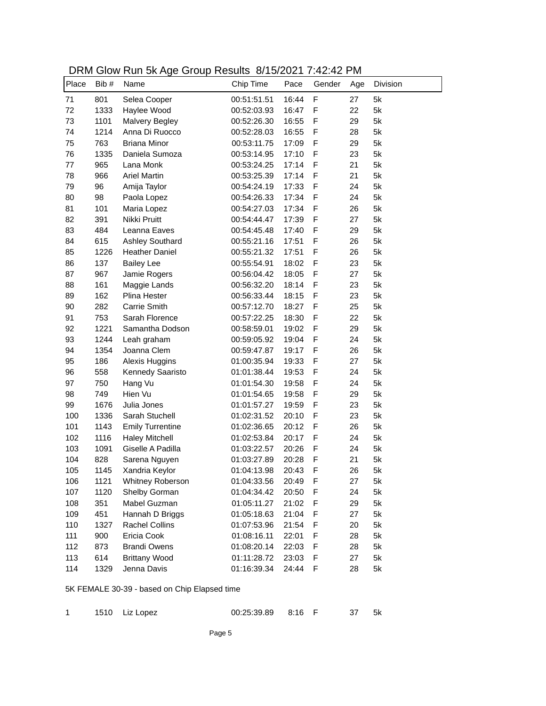| DRM Glow Run 5k Age Group Results 8/15/2021 7:42:42 PM |  |
|--------------------------------------------------------|--|
|--------------------------------------------------------|--|

| Place | Bib # | Stown and only 190 Stock to count of the set of the term in<br>Name | Chip Time   | Pace  | Gender      | Age | Division |
|-------|-------|---------------------------------------------------------------------|-------------|-------|-------------|-----|----------|
| 71    | 801   | Selea Cooper                                                        | 00:51:51.51 | 16:44 | $\mathsf F$ | 27  | 5k       |
| 72    | 1333  | Haylee Wood                                                         | 00:52:03.93 | 16:47 | F           | 22  | 5k       |
| 73    | 1101  | Malvery Begley                                                      | 00:52:26.30 | 16:55 | F           | 29  | 5k       |
| 74    | 1214  | Anna Di Ruocco                                                      | 00:52:28.03 | 16:55 | F           | 28  | 5k       |
| 75    | 763   | <b>Briana Minor</b>                                                 | 00:53:11.75 | 17:09 | F           | 29  | 5k       |
| 76    | 1335  | Daniela Sumoza                                                      | 00:53:14.95 | 17:10 | F           | 23  | 5k       |
| 77    | 965   | Lana Monk                                                           | 00:53:24.25 | 17:14 | F           | 21  | 5k       |
| 78    | 966   | <b>Ariel Martin</b>                                                 | 00:53:25.39 | 17:14 | F           | 21  | 5k       |
| 79    | 96    | Amija Taylor                                                        | 00:54:24.19 | 17:33 | F           | 24  | 5k       |
| 80    | 98    | Paola Lopez                                                         | 00:54:26.33 | 17:34 | F           | 24  | 5k       |
| 81    | 101   | Maria Lopez                                                         | 00:54:27.03 | 17:34 | F           | 26  | 5k       |
| 82    | 391   | Nikki Pruitt                                                        | 00:54:44.47 | 17:39 | F           | 27  | 5k       |
| 83    | 484   | Leanna Eaves                                                        | 00:54:45.48 | 17:40 | F           | 29  | 5k       |
| 84    | 615   | Ashley Southard                                                     | 00:55:21.16 | 17:51 | F           | 26  | 5k       |
| 85    | 1226  | <b>Heather Daniel</b>                                               | 00:55:21.32 | 17:51 | F           | 26  | 5k       |
| 86    | 137   | <b>Bailey Lee</b>                                                   | 00:55:54.91 | 18:02 | F           | 23  | 5k       |
| 87    | 967   | Jamie Rogers                                                        | 00:56:04.42 | 18:05 | F           | 27  | 5k       |
| 88    | 161   | Maggie Lands                                                        | 00:56:32.20 | 18:14 | F           | 23  | 5k       |
| 89    | 162   | Plina Hester                                                        | 00:56:33.44 | 18:15 | F           | 23  | 5k       |
| 90    | 282   | <b>Carrie Smith</b>                                                 | 00:57:12.70 | 18:27 | F           | 25  | 5k       |
| 91    | 753   | Sarah Florence                                                      | 00:57:22.25 | 18:30 | F           | 22  | 5k       |
| 92    | 1221  | Samantha Dodson                                                     | 00:58:59.01 | 19:02 | F           | 29  | 5k       |
| 93    | 1244  | Leah graham                                                         | 00:59:05.92 | 19:04 | F           | 24  | 5k       |
| 94    | 1354  | Joanna Clem                                                         | 00:59:47.87 | 19:17 | F           | 26  | 5k       |
| 95    | 186   | Alexis Huggins                                                      | 01:00:35.94 | 19:33 | F           | 27  | 5k       |
| 96    | 558   | Kennedy Saaristo                                                    | 01:01:38.44 | 19:53 | F           | 24  | 5k       |
| 97    | 750   | Hang Vu                                                             | 01:01:54.30 | 19:58 | F           | 24  | 5k       |
| 98    | 749   | Hien Vu                                                             | 01:01:54.65 | 19:58 | F           | 29  | 5k       |
| 99    | 1676  | Julia Jones                                                         | 01:01:57.27 | 19:59 | F           | 23  | 5k       |
| 100   | 1336  | Sarah Stuchell                                                      | 01:02:31.52 | 20:10 | F           | 23  | 5k       |
| 101   | 1143  | <b>Emily Turrentine</b>                                             | 01:02:36.65 | 20:12 | F           | 26  | 5k       |
| 102   | 1116  | <b>Haley Mitchell</b>                                               | 01:02:53.84 | 20:17 | F           | 24  | 5k       |
| 103   | 1091  | Giselle A Padilla                                                   | 01:03:22.57 | 20:26 | F           | 24  | 5k       |
| 104   | 828   | Sarena Nguyen                                                       | 01:03:27.89 | 20:28 | F           | 21  | 5k       |
| 105   | 1145  | Xandria Keylor                                                      | 01:04:13.98 | 20:43 | F           | 26  | 5k       |
| 106   | 1121  | Whitney Roberson                                                    | 01:04:33.56 | 20:49 | F           | 27  | 5k       |
| 107   | 1120  | Shelby Gorman                                                       | 01:04:34.42 | 20:50 | F           | 24  | 5k       |
| 108   | 351   | Mabel Guzman                                                        | 01:05:11.27 | 21:02 | F           | 29  | 5k       |
| 109   | 451   | Hannah D Briggs                                                     | 01:05:18.63 | 21:04 | F           | 27  | 5k       |
| 110   | 1327  | Rachel Collins                                                      | 01:07:53.96 | 21:54 | F           | 20  | 5k       |
| 111   | 900   | Ericia Cook                                                         | 01:08:16.11 | 22:01 | F           | 28  | 5k       |
| 112   | 873   | <b>Brandi Owens</b>                                                 | 01:08:20.14 | 22:03 | F           | 28  | 5k       |
| 113   | 614   | <b>Brittany Wood</b>                                                | 01:11:28.72 | 23:03 | F           | 27  | 5k       |
| 114   | 1329  | Jenna Davis                                                         | 01:16:39.34 | 24:44 | F           | 28  | 5k       |

5K FEMALE 30-39 - based on Chip Elapsed time

| 1510 Liz Lopez | 00:25:39.89 8:16 F |  |  |  | -5k |
|----------------|--------------------|--|--|--|-----|
|----------------|--------------------|--|--|--|-----|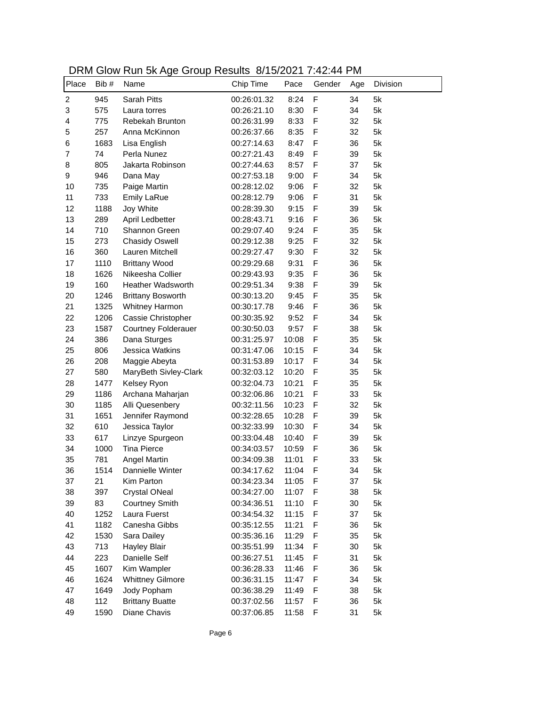| DRM Glow Run 5k Age Group Results 8/15/2021 7:42:44 PM |  |  |  |
|--------------------------------------------------------|--|--|--|
|--------------------------------------------------------|--|--|--|

| $\mathsf F$<br>$\overline{\mathbf{c}}$<br>Sarah Pitts<br>34<br>5k<br>945<br>00:26:01.32<br>8:24<br>3<br>$\mathsf{F}$<br>575<br>00:26:21.10<br>8:30<br>34<br>5k<br>Laura torres<br>F<br>5k<br>4<br>775<br>Rebekah Brunton<br>8:33<br>32<br>00:26:31.99<br>F<br>5k<br>5<br>257<br>Anna McKinnon<br>00:26:37.66<br>8:35<br>32<br>F<br>36<br>5k<br>6<br>1683<br>Lisa English<br>00:27:14.63<br>8:47<br>$\overline{7}$<br>F<br>74<br>00:27:21.43<br>8:49<br>39<br>5k<br>Perla Nunez<br>$\mathsf{F}$<br>805<br>Jakarta Robinson<br>8:57<br>37<br>5k<br>8<br>00:27:44.63<br>$\mathsf{F}$<br>9<br>946<br>9:00<br>34<br>5k<br>Dana May<br>00:27:53.18<br>F<br>10<br>9:06<br>32<br>5k<br>735<br>Paige Martin<br>00:28:12.02<br>11<br>733<br>00:28:12.79<br>9:06<br>F<br>31<br>5k<br><b>Emily LaRue</b><br>12<br>1188<br>Joy White<br>9:15<br>F<br>39<br>5k<br>00:28:39.30<br>13<br>289<br>00:28:43.71<br>9:16<br>F<br>36<br>5k<br>April Ledbetter<br>14<br>710<br>Shannon Green<br>9:24<br>F<br>35<br>5k<br>00:29:07.40<br>15<br><b>Chasidy Oswell</b><br>F<br>32<br>5k<br>273<br>00:29:12.38<br>9:25<br>16<br>360<br>Lauren Mitchell<br>9:30<br>F<br>32<br>5k<br>00:29:27.47<br>17<br>1110<br><b>Brittany Wood</b><br>F<br>36<br>5k<br>00:29:29.68<br>9:31<br>18<br>1626<br>Nikeesha Collier<br>F<br>36<br>5k<br>00:29:43.93<br>9:35<br>19<br>160<br><b>Heather Wadsworth</b><br>9:38<br>F<br>39<br>5k<br>00:29:51.34<br>$\mathsf F$<br>20<br>35<br>5k<br>1246<br><b>Brittany Bosworth</b><br>00:30:13.20<br>9:45<br>$\mathsf F$<br>21<br>36<br>5k<br>1325<br>Whitney Harmon<br>00:30:17.78<br>9:46<br>F<br>22<br>Cassie Christopher<br>9:52<br>34<br>5k<br>1206<br>00:30:35.92<br>F<br>23<br>1587<br><b>Courtney Folderauer</b><br>38<br>5k<br>00:30:50.03<br>9:57<br>F<br>24<br>386<br>Dana Sturges<br>00:31:25.97<br>35<br>5k<br>10:08<br>F<br>25<br>806<br>Jessica Watkins<br>34<br>5k<br>00:31:47.06<br>10:15<br>26<br>208<br>F<br>34<br>5k<br>Maggie Abeyta<br>00:31:53.89<br>10:17<br>27<br>F<br>35<br>5k<br>580<br>MaryBeth Sivley-Clark<br>00:32:03.12<br>10:20<br>$\mathsf{F}$<br>5k<br>28<br>35<br>1477<br>Kelsey Ryon<br>00:32:04.73<br>10:21<br>$\mathsf{F}$<br>5k<br>29<br>Archana Maharjan<br>33<br>1186<br>00:32:06.86<br>10:21<br>$\mathsf{F}$<br>5k<br>30<br>1185<br>Alli Quesenbery<br>00:32:11.56<br>32<br>10:23<br>$\mathsf{F}$<br>5k<br>31<br>1651<br>Jennifer Raymond<br>00:32:28.65<br>39<br>10:28<br>$\mathsf{F}$<br>32<br>34<br>5k<br>610<br>Jessica Taylor<br>00:32:33.99<br>10:30<br>F<br>33<br>39<br>5k<br>617<br>Linzye Spurgeon<br>00:33:04.48<br>10:40<br><b>Tina Pierce</b><br>F<br>34<br>36<br>5k<br>1000<br>00:34:03.57<br>10:59<br>F<br>35<br>Angel Martin<br>00:34:09.38<br>11:01<br>33<br>5k<br>781<br>36<br>1514<br>Dannielle Winter<br>00:34:17.62<br>11:04<br>F<br>34<br>5k<br>F<br>37<br>21<br>Kim Parton<br>00:34:23.34<br>11:05<br>37<br>5k<br>38<br>397<br><b>Crystal ONeal</b><br>11:07<br>F<br>38<br>5k<br>00:34:27.00<br>39<br>83<br><b>Courtney Smith</b><br>11:10<br>F<br>30<br>5k<br>00:34:36.51<br>40<br>Laura Fuerst<br>11:15<br>F<br>37<br>5k<br>1252<br>00:34:54.32<br>41<br>1182<br>Canesha Gibbs<br>11:21<br>F<br>5k<br>00:35:12.55<br>36<br>42<br>1530<br>Sara Dailey<br>11:29<br>F<br>35<br>5k<br>00:35:36.16<br>43<br>713<br>Hayley Blair<br>11:34<br>F<br>30<br>5k<br>00:35:51.99<br>44<br>223<br>Danielle Self<br>F<br>31<br>5k<br>00:36:27.51<br>11:45<br>45<br>Kim Wampler<br>F<br>36<br>5k<br>1607<br>00:36:28.33<br>11:46<br>46<br><b>Whittney Gilmore</b><br>F<br>34<br>1624<br>00:36:31.15<br>11:47<br>5k<br>47<br>F<br>38<br>1649<br>Jody Popham<br>00:36:38.29<br>11:49<br>5k<br>48<br>112<br><b>Brittany Buatte</b><br>F<br>36<br>5k<br>00:37:02.56<br>11:57<br>49<br>Diane Chavis<br>00:37:06.85<br>F<br>31<br>1590<br>11:58<br>5k | Place | Bib # | Stown and only go Stoap Hobalto S/TO/2021 7.12.111 M<br>Name | Chip Time | Pace | Gender | Age | Division |
|---------------------------------------------------------------------------------------------------------------------------------------------------------------------------------------------------------------------------------------------------------------------------------------------------------------------------------------------------------------------------------------------------------------------------------------------------------------------------------------------------------------------------------------------------------------------------------------------------------------------------------------------------------------------------------------------------------------------------------------------------------------------------------------------------------------------------------------------------------------------------------------------------------------------------------------------------------------------------------------------------------------------------------------------------------------------------------------------------------------------------------------------------------------------------------------------------------------------------------------------------------------------------------------------------------------------------------------------------------------------------------------------------------------------------------------------------------------------------------------------------------------------------------------------------------------------------------------------------------------------------------------------------------------------------------------------------------------------------------------------------------------------------------------------------------------------------------------------------------------------------------------------------------------------------------------------------------------------------------------------------------------------------------------------------------------------------------------------------------------------------------------------------------------------------------------------------------------------------------------------------------------------------------------------------------------------------------------------------------------------------------------------------------------------------------------------------------------------------------------------------------------------------------------------------------------------------------------------------------------------------------------------------------------------------------------------------------------------------------------------------------------------------------------------------------------------------------------------------------------------------------------------------------------------------------------------------------------------------------------------------------------------------------------------------------------------------------------------------------------------------------------------------------------------------------------------------------------------------------------------------------------------------------------------------------------------------------------------------------------------------------------------------------------------------------------------------------------------------------------------------------------------------------------------------------------------------------------------------------------------------------------------------------------------------------------------------------------------------------------------------------------------------------------------------|-------|-------|--------------------------------------------------------------|-----------|------|--------|-----|----------|
|                                                                                                                                                                                                                                                                                                                                                                                                                                                                                                                                                                                                                                                                                                                                                                                                                                                                                                                                                                                                                                                                                                                                                                                                                                                                                                                                                                                                                                                                                                                                                                                                                                                                                                                                                                                                                                                                                                                                                                                                                                                                                                                                                                                                                                                                                                                                                                                                                                                                                                                                                                                                                                                                                                                                                                                                                                                                                                                                                                                                                                                                                                                                                                                                                                                                                                                                                                                                                                                                                                                                                                                                                                                                                                                                                                                                   |       |       |                                                              |           |      |        |     |          |
|                                                                                                                                                                                                                                                                                                                                                                                                                                                                                                                                                                                                                                                                                                                                                                                                                                                                                                                                                                                                                                                                                                                                                                                                                                                                                                                                                                                                                                                                                                                                                                                                                                                                                                                                                                                                                                                                                                                                                                                                                                                                                                                                                                                                                                                                                                                                                                                                                                                                                                                                                                                                                                                                                                                                                                                                                                                                                                                                                                                                                                                                                                                                                                                                                                                                                                                                                                                                                                                                                                                                                                                                                                                                                                                                                                                                   |       |       |                                                              |           |      |        |     |          |
|                                                                                                                                                                                                                                                                                                                                                                                                                                                                                                                                                                                                                                                                                                                                                                                                                                                                                                                                                                                                                                                                                                                                                                                                                                                                                                                                                                                                                                                                                                                                                                                                                                                                                                                                                                                                                                                                                                                                                                                                                                                                                                                                                                                                                                                                                                                                                                                                                                                                                                                                                                                                                                                                                                                                                                                                                                                                                                                                                                                                                                                                                                                                                                                                                                                                                                                                                                                                                                                                                                                                                                                                                                                                                                                                                                                                   |       |       |                                                              |           |      |        |     |          |
|                                                                                                                                                                                                                                                                                                                                                                                                                                                                                                                                                                                                                                                                                                                                                                                                                                                                                                                                                                                                                                                                                                                                                                                                                                                                                                                                                                                                                                                                                                                                                                                                                                                                                                                                                                                                                                                                                                                                                                                                                                                                                                                                                                                                                                                                                                                                                                                                                                                                                                                                                                                                                                                                                                                                                                                                                                                                                                                                                                                                                                                                                                                                                                                                                                                                                                                                                                                                                                                                                                                                                                                                                                                                                                                                                                                                   |       |       |                                                              |           |      |        |     |          |
|                                                                                                                                                                                                                                                                                                                                                                                                                                                                                                                                                                                                                                                                                                                                                                                                                                                                                                                                                                                                                                                                                                                                                                                                                                                                                                                                                                                                                                                                                                                                                                                                                                                                                                                                                                                                                                                                                                                                                                                                                                                                                                                                                                                                                                                                                                                                                                                                                                                                                                                                                                                                                                                                                                                                                                                                                                                                                                                                                                                                                                                                                                                                                                                                                                                                                                                                                                                                                                                                                                                                                                                                                                                                                                                                                                                                   |       |       |                                                              |           |      |        |     |          |
|                                                                                                                                                                                                                                                                                                                                                                                                                                                                                                                                                                                                                                                                                                                                                                                                                                                                                                                                                                                                                                                                                                                                                                                                                                                                                                                                                                                                                                                                                                                                                                                                                                                                                                                                                                                                                                                                                                                                                                                                                                                                                                                                                                                                                                                                                                                                                                                                                                                                                                                                                                                                                                                                                                                                                                                                                                                                                                                                                                                                                                                                                                                                                                                                                                                                                                                                                                                                                                                                                                                                                                                                                                                                                                                                                                                                   |       |       |                                                              |           |      |        |     |          |
|                                                                                                                                                                                                                                                                                                                                                                                                                                                                                                                                                                                                                                                                                                                                                                                                                                                                                                                                                                                                                                                                                                                                                                                                                                                                                                                                                                                                                                                                                                                                                                                                                                                                                                                                                                                                                                                                                                                                                                                                                                                                                                                                                                                                                                                                                                                                                                                                                                                                                                                                                                                                                                                                                                                                                                                                                                                                                                                                                                                                                                                                                                                                                                                                                                                                                                                                                                                                                                                                                                                                                                                                                                                                                                                                                                                                   |       |       |                                                              |           |      |        |     |          |
|                                                                                                                                                                                                                                                                                                                                                                                                                                                                                                                                                                                                                                                                                                                                                                                                                                                                                                                                                                                                                                                                                                                                                                                                                                                                                                                                                                                                                                                                                                                                                                                                                                                                                                                                                                                                                                                                                                                                                                                                                                                                                                                                                                                                                                                                                                                                                                                                                                                                                                                                                                                                                                                                                                                                                                                                                                                                                                                                                                                                                                                                                                                                                                                                                                                                                                                                                                                                                                                                                                                                                                                                                                                                                                                                                                                                   |       |       |                                                              |           |      |        |     |          |
|                                                                                                                                                                                                                                                                                                                                                                                                                                                                                                                                                                                                                                                                                                                                                                                                                                                                                                                                                                                                                                                                                                                                                                                                                                                                                                                                                                                                                                                                                                                                                                                                                                                                                                                                                                                                                                                                                                                                                                                                                                                                                                                                                                                                                                                                                                                                                                                                                                                                                                                                                                                                                                                                                                                                                                                                                                                                                                                                                                                                                                                                                                                                                                                                                                                                                                                                                                                                                                                                                                                                                                                                                                                                                                                                                                                                   |       |       |                                                              |           |      |        |     |          |
|                                                                                                                                                                                                                                                                                                                                                                                                                                                                                                                                                                                                                                                                                                                                                                                                                                                                                                                                                                                                                                                                                                                                                                                                                                                                                                                                                                                                                                                                                                                                                                                                                                                                                                                                                                                                                                                                                                                                                                                                                                                                                                                                                                                                                                                                                                                                                                                                                                                                                                                                                                                                                                                                                                                                                                                                                                                                                                                                                                                                                                                                                                                                                                                                                                                                                                                                                                                                                                                                                                                                                                                                                                                                                                                                                                                                   |       |       |                                                              |           |      |        |     |          |
|                                                                                                                                                                                                                                                                                                                                                                                                                                                                                                                                                                                                                                                                                                                                                                                                                                                                                                                                                                                                                                                                                                                                                                                                                                                                                                                                                                                                                                                                                                                                                                                                                                                                                                                                                                                                                                                                                                                                                                                                                                                                                                                                                                                                                                                                                                                                                                                                                                                                                                                                                                                                                                                                                                                                                                                                                                                                                                                                                                                                                                                                                                                                                                                                                                                                                                                                                                                                                                                                                                                                                                                                                                                                                                                                                                                                   |       |       |                                                              |           |      |        |     |          |
|                                                                                                                                                                                                                                                                                                                                                                                                                                                                                                                                                                                                                                                                                                                                                                                                                                                                                                                                                                                                                                                                                                                                                                                                                                                                                                                                                                                                                                                                                                                                                                                                                                                                                                                                                                                                                                                                                                                                                                                                                                                                                                                                                                                                                                                                                                                                                                                                                                                                                                                                                                                                                                                                                                                                                                                                                                                                                                                                                                                                                                                                                                                                                                                                                                                                                                                                                                                                                                                                                                                                                                                                                                                                                                                                                                                                   |       |       |                                                              |           |      |        |     |          |
|                                                                                                                                                                                                                                                                                                                                                                                                                                                                                                                                                                                                                                                                                                                                                                                                                                                                                                                                                                                                                                                                                                                                                                                                                                                                                                                                                                                                                                                                                                                                                                                                                                                                                                                                                                                                                                                                                                                                                                                                                                                                                                                                                                                                                                                                                                                                                                                                                                                                                                                                                                                                                                                                                                                                                                                                                                                                                                                                                                                                                                                                                                                                                                                                                                                                                                                                                                                                                                                                                                                                                                                                                                                                                                                                                                                                   |       |       |                                                              |           |      |        |     |          |
|                                                                                                                                                                                                                                                                                                                                                                                                                                                                                                                                                                                                                                                                                                                                                                                                                                                                                                                                                                                                                                                                                                                                                                                                                                                                                                                                                                                                                                                                                                                                                                                                                                                                                                                                                                                                                                                                                                                                                                                                                                                                                                                                                                                                                                                                                                                                                                                                                                                                                                                                                                                                                                                                                                                                                                                                                                                                                                                                                                                                                                                                                                                                                                                                                                                                                                                                                                                                                                                                                                                                                                                                                                                                                                                                                                                                   |       |       |                                                              |           |      |        |     |          |
|                                                                                                                                                                                                                                                                                                                                                                                                                                                                                                                                                                                                                                                                                                                                                                                                                                                                                                                                                                                                                                                                                                                                                                                                                                                                                                                                                                                                                                                                                                                                                                                                                                                                                                                                                                                                                                                                                                                                                                                                                                                                                                                                                                                                                                                                                                                                                                                                                                                                                                                                                                                                                                                                                                                                                                                                                                                                                                                                                                                                                                                                                                                                                                                                                                                                                                                                                                                                                                                                                                                                                                                                                                                                                                                                                                                                   |       |       |                                                              |           |      |        |     |          |
|                                                                                                                                                                                                                                                                                                                                                                                                                                                                                                                                                                                                                                                                                                                                                                                                                                                                                                                                                                                                                                                                                                                                                                                                                                                                                                                                                                                                                                                                                                                                                                                                                                                                                                                                                                                                                                                                                                                                                                                                                                                                                                                                                                                                                                                                                                                                                                                                                                                                                                                                                                                                                                                                                                                                                                                                                                                                                                                                                                                                                                                                                                                                                                                                                                                                                                                                                                                                                                                                                                                                                                                                                                                                                                                                                                                                   |       |       |                                                              |           |      |        |     |          |
|                                                                                                                                                                                                                                                                                                                                                                                                                                                                                                                                                                                                                                                                                                                                                                                                                                                                                                                                                                                                                                                                                                                                                                                                                                                                                                                                                                                                                                                                                                                                                                                                                                                                                                                                                                                                                                                                                                                                                                                                                                                                                                                                                                                                                                                                                                                                                                                                                                                                                                                                                                                                                                                                                                                                                                                                                                                                                                                                                                                                                                                                                                                                                                                                                                                                                                                                                                                                                                                                                                                                                                                                                                                                                                                                                                                                   |       |       |                                                              |           |      |        |     |          |
|                                                                                                                                                                                                                                                                                                                                                                                                                                                                                                                                                                                                                                                                                                                                                                                                                                                                                                                                                                                                                                                                                                                                                                                                                                                                                                                                                                                                                                                                                                                                                                                                                                                                                                                                                                                                                                                                                                                                                                                                                                                                                                                                                                                                                                                                                                                                                                                                                                                                                                                                                                                                                                                                                                                                                                                                                                                                                                                                                                                                                                                                                                                                                                                                                                                                                                                                                                                                                                                                                                                                                                                                                                                                                                                                                                                                   |       |       |                                                              |           |      |        |     |          |
|                                                                                                                                                                                                                                                                                                                                                                                                                                                                                                                                                                                                                                                                                                                                                                                                                                                                                                                                                                                                                                                                                                                                                                                                                                                                                                                                                                                                                                                                                                                                                                                                                                                                                                                                                                                                                                                                                                                                                                                                                                                                                                                                                                                                                                                                                                                                                                                                                                                                                                                                                                                                                                                                                                                                                                                                                                                                                                                                                                                                                                                                                                                                                                                                                                                                                                                                                                                                                                                                                                                                                                                                                                                                                                                                                                                                   |       |       |                                                              |           |      |        |     |          |
|                                                                                                                                                                                                                                                                                                                                                                                                                                                                                                                                                                                                                                                                                                                                                                                                                                                                                                                                                                                                                                                                                                                                                                                                                                                                                                                                                                                                                                                                                                                                                                                                                                                                                                                                                                                                                                                                                                                                                                                                                                                                                                                                                                                                                                                                                                                                                                                                                                                                                                                                                                                                                                                                                                                                                                                                                                                                                                                                                                                                                                                                                                                                                                                                                                                                                                                                                                                                                                                                                                                                                                                                                                                                                                                                                                                                   |       |       |                                                              |           |      |        |     |          |
|                                                                                                                                                                                                                                                                                                                                                                                                                                                                                                                                                                                                                                                                                                                                                                                                                                                                                                                                                                                                                                                                                                                                                                                                                                                                                                                                                                                                                                                                                                                                                                                                                                                                                                                                                                                                                                                                                                                                                                                                                                                                                                                                                                                                                                                                                                                                                                                                                                                                                                                                                                                                                                                                                                                                                                                                                                                                                                                                                                                                                                                                                                                                                                                                                                                                                                                                                                                                                                                                                                                                                                                                                                                                                                                                                                                                   |       |       |                                                              |           |      |        |     |          |
|                                                                                                                                                                                                                                                                                                                                                                                                                                                                                                                                                                                                                                                                                                                                                                                                                                                                                                                                                                                                                                                                                                                                                                                                                                                                                                                                                                                                                                                                                                                                                                                                                                                                                                                                                                                                                                                                                                                                                                                                                                                                                                                                                                                                                                                                                                                                                                                                                                                                                                                                                                                                                                                                                                                                                                                                                                                                                                                                                                                                                                                                                                                                                                                                                                                                                                                                                                                                                                                                                                                                                                                                                                                                                                                                                                                                   |       |       |                                                              |           |      |        |     |          |
|                                                                                                                                                                                                                                                                                                                                                                                                                                                                                                                                                                                                                                                                                                                                                                                                                                                                                                                                                                                                                                                                                                                                                                                                                                                                                                                                                                                                                                                                                                                                                                                                                                                                                                                                                                                                                                                                                                                                                                                                                                                                                                                                                                                                                                                                                                                                                                                                                                                                                                                                                                                                                                                                                                                                                                                                                                                                                                                                                                                                                                                                                                                                                                                                                                                                                                                                                                                                                                                                                                                                                                                                                                                                                                                                                                                                   |       |       |                                                              |           |      |        |     |          |
|                                                                                                                                                                                                                                                                                                                                                                                                                                                                                                                                                                                                                                                                                                                                                                                                                                                                                                                                                                                                                                                                                                                                                                                                                                                                                                                                                                                                                                                                                                                                                                                                                                                                                                                                                                                                                                                                                                                                                                                                                                                                                                                                                                                                                                                                                                                                                                                                                                                                                                                                                                                                                                                                                                                                                                                                                                                                                                                                                                                                                                                                                                                                                                                                                                                                                                                                                                                                                                                                                                                                                                                                                                                                                                                                                                                                   |       |       |                                                              |           |      |        |     |          |
|                                                                                                                                                                                                                                                                                                                                                                                                                                                                                                                                                                                                                                                                                                                                                                                                                                                                                                                                                                                                                                                                                                                                                                                                                                                                                                                                                                                                                                                                                                                                                                                                                                                                                                                                                                                                                                                                                                                                                                                                                                                                                                                                                                                                                                                                                                                                                                                                                                                                                                                                                                                                                                                                                                                                                                                                                                                                                                                                                                                                                                                                                                                                                                                                                                                                                                                                                                                                                                                                                                                                                                                                                                                                                                                                                                                                   |       |       |                                                              |           |      |        |     |          |
|                                                                                                                                                                                                                                                                                                                                                                                                                                                                                                                                                                                                                                                                                                                                                                                                                                                                                                                                                                                                                                                                                                                                                                                                                                                                                                                                                                                                                                                                                                                                                                                                                                                                                                                                                                                                                                                                                                                                                                                                                                                                                                                                                                                                                                                                                                                                                                                                                                                                                                                                                                                                                                                                                                                                                                                                                                                                                                                                                                                                                                                                                                                                                                                                                                                                                                                                                                                                                                                                                                                                                                                                                                                                                                                                                                                                   |       |       |                                                              |           |      |        |     |          |
|                                                                                                                                                                                                                                                                                                                                                                                                                                                                                                                                                                                                                                                                                                                                                                                                                                                                                                                                                                                                                                                                                                                                                                                                                                                                                                                                                                                                                                                                                                                                                                                                                                                                                                                                                                                                                                                                                                                                                                                                                                                                                                                                                                                                                                                                                                                                                                                                                                                                                                                                                                                                                                                                                                                                                                                                                                                                                                                                                                                                                                                                                                                                                                                                                                                                                                                                                                                                                                                                                                                                                                                                                                                                                                                                                                                                   |       |       |                                                              |           |      |        |     |          |
|                                                                                                                                                                                                                                                                                                                                                                                                                                                                                                                                                                                                                                                                                                                                                                                                                                                                                                                                                                                                                                                                                                                                                                                                                                                                                                                                                                                                                                                                                                                                                                                                                                                                                                                                                                                                                                                                                                                                                                                                                                                                                                                                                                                                                                                                                                                                                                                                                                                                                                                                                                                                                                                                                                                                                                                                                                                                                                                                                                                                                                                                                                                                                                                                                                                                                                                                                                                                                                                                                                                                                                                                                                                                                                                                                                                                   |       |       |                                                              |           |      |        |     |          |
|                                                                                                                                                                                                                                                                                                                                                                                                                                                                                                                                                                                                                                                                                                                                                                                                                                                                                                                                                                                                                                                                                                                                                                                                                                                                                                                                                                                                                                                                                                                                                                                                                                                                                                                                                                                                                                                                                                                                                                                                                                                                                                                                                                                                                                                                                                                                                                                                                                                                                                                                                                                                                                                                                                                                                                                                                                                                                                                                                                                                                                                                                                                                                                                                                                                                                                                                                                                                                                                                                                                                                                                                                                                                                                                                                                                                   |       |       |                                                              |           |      |        |     |          |
|                                                                                                                                                                                                                                                                                                                                                                                                                                                                                                                                                                                                                                                                                                                                                                                                                                                                                                                                                                                                                                                                                                                                                                                                                                                                                                                                                                                                                                                                                                                                                                                                                                                                                                                                                                                                                                                                                                                                                                                                                                                                                                                                                                                                                                                                                                                                                                                                                                                                                                                                                                                                                                                                                                                                                                                                                                                                                                                                                                                                                                                                                                                                                                                                                                                                                                                                                                                                                                                                                                                                                                                                                                                                                                                                                                                                   |       |       |                                                              |           |      |        |     |          |
|                                                                                                                                                                                                                                                                                                                                                                                                                                                                                                                                                                                                                                                                                                                                                                                                                                                                                                                                                                                                                                                                                                                                                                                                                                                                                                                                                                                                                                                                                                                                                                                                                                                                                                                                                                                                                                                                                                                                                                                                                                                                                                                                                                                                                                                                                                                                                                                                                                                                                                                                                                                                                                                                                                                                                                                                                                                                                                                                                                                                                                                                                                                                                                                                                                                                                                                                                                                                                                                                                                                                                                                                                                                                                                                                                                                                   |       |       |                                                              |           |      |        |     |          |
|                                                                                                                                                                                                                                                                                                                                                                                                                                                                                                                                                                                                                                                                                                                                                                                                                                                                                                                                                                                                                                                                                                                                                                                                                                                                                                                                                                                                                                                                                                                                                                                                                                                                                                                                                                                                                                                                                                                                                                                                                                                                                                                                                                                                                                                                                                                                                                                                                                                                                                                                                                                                                                                                                                                                                                                                                                                                                                                                                                                                                                                                                                                                                                                                                                                                                                                                                                                                                                                                                                                                                                                                                                                                                                                                                                                                   |       |       |                                                              |           |      |        |     |          |
|                                                                                                                                                                                                                                                                                                                                                                                                                                                                                                                                                                                                                                                                                                                                                                                                                                                                                                                                                                                                                                                                                                                                                                                                                                                                                                                                                                                                                                                                                                                                                                                                                                                                                                                                                                                                                                                                                                                                                                                                                                                                                                                                                                                                                                                                                                                                                                                                                                                                                                                                                                                                                                                                                                                                                                                                                                                                                                                                                                                                                                                                                                                                                                                                                                                                                                                                                                                                                                                                                                                                                                                                                                                                                                                                                                                                   |       |       |                                                              |           |      |        |     |          |
|                                                                                                                                                                                                                                                                                                                                                                                                                                                                                                                                                                                                                                                                                                                                                                                                                                                                                                                                                                                                                                                                                                                                                                                                                                                                                                                                                                                                                                                                                                                                                                                                                                                                                                                                                                                                                                                                                                                                                                                                                                                                                                                                                                                                                                                                                                                                                                                                                                                                                                                                                                                                                                                                                                                                                                                                                                                                                                                                                                                                                                                                                                                                                                                                                                                                                                                                                                                                                                                                                                                                                                                                                                                                                                                                                                                                   |       |       |                                                              |           |      |        |     |          |
|                                                                                                                                                                                                                                                                                                                                                                                                                                                                                                                                                                                                                                                                                                                                                                                                                                                                                                                                                                                                                                                                                                                                                                                                                                                                                                                                                                                                                                                                                                                                                                                                                                                                                                                                                                                                                                                                                                                                                                                                                                                                                                                                                                                                                                                                                                                                                                                                                                                                                                                                                                                                                                                                                                                                                                                                                                                                                                                                                                                                                                                                                                                                                                                                                                                                                                                                                                                                                                                                                                                                                                                                                                                                                                                                                                                                   |       |       |                                                              |           |      |        |     |          |
|                                                                                                                                                                                                                                                                                                                                                                                                                                                                                                                                                                                                                                                                                                                                                                                                                                                                                                                                                                                                                                                                                                                                                                                                                                                                                                                                                                                                                                                                                                                                                                                                                                                                                                                                                                                                                                                                                                                                                                                                                                                                                                                                                                                                                                                                                                                                                                                                                                                                                                                                                                                                                                                                                                                                                                                                                                                                                                                                                                                                                                                                                                                                                                                                                                                                                                                                                                                                                                                                                                                                                                                                                                                                                                                                                                                                   |       |       |                                                              |           |      |        |     |          |
|                                                                                                                                                                                                                                                                                                                                                                                                                                                                                                                                                                                                                                                                                                                                                                                                                                                                                                                                                                                                                                                                                                                                                                                                                                                                                                                                                                                                                                                                                                                                                                                                                                                                                                                                                                                                                                                                                                                                                                                                                                                                                                                                                                                                                                                                                                                                                                                                                                                                                                                                                                                                                                                                                                                                                                                                                                                                                                                                                                                                                                                                                                                                                                                                                                                                                                                                                                                                                                                                                                                                                                                                                                                                                                                                                                                                   |       |       |                                                              |           |      |        |     |          |
|                                                                                                                                                                                                                                                                                                                                                                                                                                                                                                                                                                                                                                                                                                                                                                                                                                                                                                                                                                                                                                                                                                                                                                                                                                                                                                                                                                                                                                                                                                                                                                                                                                                                                                                                                                                                                                                                                                                                                                                                                                                                                                                                                                                                                                                                                                                                                                                                                                                                                                                                                                                                                                                                                                                                                                                                                                                                                                                                                                                                                                                                                                                                                                                                                                                                                                                                                                                                                                                                                                                                                                                                                                                                                                                                                                                                   |       |       |                                                              |           |      |        |     |          |
|                                                                                                                                                                                                                                                                                                                                                                                                                                                                                                                                                                                                                                                                                                                                                                                                                                                                                                                                                                                                                                                                                                                                                                                                                                                                                                                                                                                                                                                                                                                                                                                                                                                                                                                                                                                                                                                                                                                                                                                                                                                                                                                                                                                                                                                                                                                                                                                                                                                                                                                                                                                                                                                                                                                                                                                                                                                                                                                                                                                                                                                                                                                                                                                                                                                                                                                                                                                                                                                                                                                                                                                                                                                                                                                                                                                                   |       |       |                                                              |           |      |        |     |          |
|                                                                                                                                                                                                                                                                                                                                                                                                                                                                                                                                                                                                                                                                                                                                                                                                                                                                                                                                                                                                                                                                                                                                                                                                                                                                                                                                                                                                                                                                                                                                                                                                                                                                                                                                                                                                                                                                                                                                                                                                                                                                                                                                                                                                                                                                                                                                                                                                                                                                                                                                                                                                                                                                                                                                                                                                                                                                                                                                                                                                                                                                                                                                                                                                                                                                                                                                                                                                                                                                                                                                                                                                                                                                                                                                                                                                   |       |       |                                                              |           |      |        |     |          |
|                                                                                                                                                                                                                                                                                                                                                                                                                                                                                                                                                                                                                                                                                                                                                                                                                                                                                                                                                                                                                                                                                                                                                                                                                                                                                                                                                                                                                                                                                                                                                                                                                                                                                                                                                                                                                                                                                                                                                                                                                                                                                                                                                                                                                                                                                                                                                                                                                                                                                                                                                                                                                                                                                                                                                                                                                                                                                                                                                                                                                                                                                                                                                                                                                                                                                                                                                                                                                                                                                                                                                                                                                                                                                                                                                                                                   |       |       |                                                              |           |      |        |     |          |
|                                                                                                                                                                                                                                                                                                                                                                                                                                                                                                                                                                                                                                                                                                                                                                                                                                                                                                                                                                                                                                                                                                                                                                                                                                                                                                                                                                                                                                                                                                                                                                                                                                                                                                                                                                                                                                                                                                                                                                                                                                                                                                                                                                                                                                                                                                                                                                                                                                                                                                                                                                                                                                                                                                                                                                                                                                                                                                                                                                                                                                                                                                                                                                                                                                                                                                                                                                                                                                                                                                                                                                                                                                                                                                                                                                                                   |       |       |                                                              |           |      |        |     |          |
|                                                                                                                                                                                                                                                                                                                                                                                                                                                                                                                                                                                                                                                                                                                                                                                                                                                                                                                                                                                                                                                                                                                                                                                                                                                                                                                                                                                                                                                                                                                                                                                                                                                                                                                                                                                                                                                                                                                                                                                                                                                                                                                                                                                                                                                                                                                                                                                                                                                                                                                                                                                                                                                                                                                                                                                                                                                                                                                                                                                                                                                                                                                                                                                                                                                                                                                                                                                                                                                                                                                                                                                                                                                                                                                                                                                                   |       |       |                                                              |           |      |        |     |          |
|                                                                                                                                                                                                                                                                                                                                                                                                                                                                                                                                                                                                                                                                                                                                                                                                                                                                                                                                                                                                                                                                                                                                                                                                                                                                                                                                                                                                                                                                                                                                                                                                                                                                                                                                                                                                                                                                                                                                                                                                                                                                                                                                                                                                                                                                                                                                                                                                                                                                                                                                                                                                                                                                                                                                                                                                                                                                                                                                                                                                                                                                                                                                                                                                                                                                                                                                                                                                                                                                                                                                                                                                                                                                                                                                                                                                   |       |       |                                                              |           |      |        |     |          |
|                                                                                                                                                                                                                                                                                                                                                                                                                                                                                                                                                                                                                                                                                                                                                                                                                                                                                                                                                                                                                                                                                                                                                                                                                                                                                                                                                                                                                                                                                                                                                                                                                                                                                                                                                                                                                                                                                                                                                                                                                                                                                                                                                                                                                                                                                                                                                                                                                                                                                                                                                                                                                                                                                                                                                                                                                                                                                                                                                                                                                                                                                                                                                                                                                                                                                                                                                                                                                                                                                                                                                                                                                                                                                                                                                                                                   |       |       |                                                              |           |      |        |     |          |
|                                                                                                                                                                                                                                                                                                                                                                                                                                                                                                                                                                                                                                                                                                                                                                                                                                                                                                                                                                                                                                                                                                                                                                                                                                                                                                                                                                                                                                                                                                                                                                                                                                                                                                                                                                                                                                                                                                                                                                                                                                                                                                                                                                                                                                                                                                                                                                                                                                                                                                                                                                                                                                                                                                                                                                                                                                                                                                                                                                                                                                                                                                                                                                                                                                                                                                                                                                                                                                                                                                                                                                                                                                                                                                                                                                                                   |       |       |                                                              |           |      |        |     |          |
|                                                                                                                                                                                                                                                                                                                                                                                                                                                                                                                                                                                                                                                                                                                                                                                                                                                                                                                                                                                                                                                                                                                                                                                                                                                                                                                                                                                                                                                                                                                                                                                                                                                                                                                                                                                                                                                                                                                                                                                                                                                                                                                                                                                                                                                                                                                                                                                                                                                                                                                                                                                                                                                                                                                                                                                                                                                                                                                                                                                                                                                                                                                                                                                                                                                                                                                                                                                                                                                                                                                                                                                                                                                                                                                                                                                                   |       |       |                                                              |           |      |        |     |          |
|                                                                                                                                                                                                                                                                                                                                                                                                                                                                                                                                                                                                                                                                                                                                                                                                                                                                                                                                                                                                                                                                                                                                                                                                                                                                                                                                                                                                                                                                                                                                                                                                                                                                                                                                                                                                                                                                                                                                                                                                                                                                                                                                                                                                                                                                                                                                                                                                                                                                                                                                                                                                                                                                                                                                                                                                                                                                                                                                                                                                                                                                                                                                                                                                                                                                                                                                                                                                                                                                                                                                                                                                                                                                                                                                                                                                   |       |       |                                                              |           |      |        |     |          |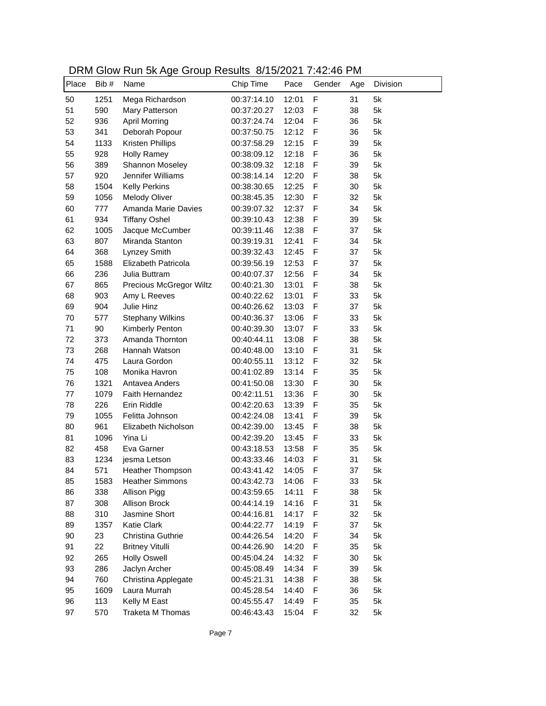| DRM Glow Run 5k Age Group Results 8/15/2021 7:42:46 PM |  |  |  |  |
|--------------------------------------------------------|--|--|--|--|
|--------------------------------------------------------|--|--|--|--|

| Place | Bib # | $31.00 \text{ cm}$ is the component of $6.00 \text{ cm}$ in $1.00 \text{ cm}$ .<br>Name | Chip Time   | Pace  | Gender | Age | Division |
|-------|-------|-----------------------------------------------------------------------------------------|-------------|-------|--------|-----|----------|
| 50    | 1251  | Mega Richardson                                                                         | 00:37:14.10 | 12:01 | F      | 31  | 5k       |
| 51    | 590   | Mary Patterson                                                                          | 00:37:20.27 | 12:03 | F      | 38  | 5k       |
| 52    | 936   | <b>April Morring</b>                                                                    | 00:37:24.74 | 12:04 | F      | 36  | 5k       |
| 53    | 341   | Deborah Popour                                                                          | 00:37:50.75 | 12:12 | F      | 36  | 5k       |
| 54    | 1133  | <b>Kristen Phillips</b>                                                                 | 00:37:58.29 | 12:15 | F      | 39  | 5k       |
| 55    | 928   | <b>Holly Ramey</b>                                                                      | 00:38:09.12 | 12:18 | F      | 36  | 5k       |
| 56    | 389   | Shannon Moseley                                                                         | 00:38:09.32 | 12:18 | F      | 39  | 5k       |
| 57    | 920   | Jennifer Williams                                                                       | 00:38:14.14 | 12:20 | F      | 38  | 5k       |
| 58    | 1504  | <b>Kelly Perkins</b>                                                                    | 00:38:30.65 | 12:25 | F      | 30  | 5k       |
| 59    | 1056  | <b>Melody Oliver</b>                                                                    | 00:38:45.35 | 12:30 | F      | 32  | 5k       |
| 60    | 777   | Amanda Marie Davies                                                                     | 00:39:07.32 | 12:37 | F      | 34  | 5k       |
| 61    | 934   | <b>Tiffany Oshel</b>                                                                    | 00:39:10.43 | 12:38 | F      | 39  | 5k       |
| 62    | 1005  | Jacque McCumber                                                                         | 00:39:11.46 | 12:38 | F      | 37  | 5k       |
| 63    | 807   | Miranda Stanton                                                                         | 00:39:19.31 | 12:41 | F      | 34  | 5k       |
| 64    | 368   | Lynzey Smith                                                                            | 00:39:32.43 | 12:45 | F      | 37  | 5k       |
| 65    | 1588  | Elizabeth Patricola                                                                     | 00:39:56.19 | 12:53 | F      | 37  | 5k       |
| 66    | 236   | Julia Buttram                                                                           | 00:40:07.37 | 12:56 | F      | 34  | 5k       |
| 67    | 865   | Precious McGregor Wiltz                                                                 | 00:40:21.30 | 13:01 | F      | 38  | 5k       |
| 68    | 903   | Amy L Reeves                                                                            | 00:40:22.62 | 13:01 | F      | 33  | 5k       |
| 69    | 904   | Julie Hinz                                                                              | 00:40:26.62 | 13:03 | F      | 37  | 5k       |
| 70    | 577   | <b>Stephany Wilkins</b>                                                                 | 00:40:36.37 | 13:06 | F      | 33  | 5k       |
| 71    | 90    | Kimberly Penton                                                                         | 00:40:39.30 | 13:07 | F      | 33  | 5k       |
| 72    | 373   | Amanda Thornton                                                                         | 00:40:44.11 | 13:08 | F      | 38  | 5k       |
| 73    | 268   | Hannah Watson                                                                           | 00:40:48.00 | 13:10 | F      | 31  | 5k       |
| 74    | 475   | Laura Gordon                                                                            | 00:40:55.11 | 13:12 | F      | 32  | 5k       |
| 75    | 108   | Monika Havron                                                                           | 00:41:02.89 | 13:14 | F      | 35  | 5k       |
| 76    | 1321  | Antavea Anders                                                                          | 00:41:50.08 | 13:30 | F      | 30  | 5k       |
| 77    | 1079  | <b>Faith Hernandez</b>                                                                  | 00:42:11.51 | 13:36 | F      | 30  | 5k       |
| 78    | 226   | Erin Riddle                                                                             | 00:42:20.63 | 13:39 | F      | 35  | 5k       |
| 79    | 1055  | Felitta Johnson                                                                         | 00:42:24.08 | 13:41 | F      | 39  | 5k       |
| 80    | 961   | Elizabeth Nicholson                                                                     | 00:42:39.00 | 13:45 | F      | 38  | 5k       |
| 81    | 1096  | Yina Li                                                                                 | 00:42:39.20 | 13:45 | F      | 33  | 5k       |
| 82    | 458   | Eva Garner                                                                              | 00:43:18.53 | 13:58 | F      | 35  | 5k       |
| 83    | 1234  | jesma Letson                                                                            | 00:43:33.46 | 14:03 | F      | 31  | 5k       |
| 84    | 571   | <b>Heather Thompson</b>                                                                 | 00:43:41.42 | 14:05 | F      | 37  | 5k       |
| 85    | 1583  | <b>Heather Simmons</b>                                                                  | 00:43:42.73 | 14:06 | F      | 33  | 5k       |
| 86    | 338   | Allison Pigg                                                                            | 00:43:59.65 | 14:11 | F      | 38  | 5k       |
| 87    | 308   | Allison Brock                                                                           | 00:44:14.19 | 14:16 | F      | 31  | 5k       |
| 88    | 310   | Jasmine Short                                                                           | 00:44:16.81 | 14:17 | F      | 32  | 5k       |
| 89    | 1357  | Katie Clark                                                                             | 00:44:22.77 | 14:19 | F      | 37  | 5k       |
| 90    | 23    | Christina Guthrie                                                                       | 00:44:26.54 | 14:20 | F      | 34  | 5k       |
| 91    | 22    | <b>Britney Vitulli</b>                                                                  | 00:44:26.90 | 14:20 | F      | 35  | 5k       |
| 92    | 265   | <b>Holly Oswell</b>                                                                     | 00:45:04.24 | 14:32 | F      | 30  | 5k       |
| 93    | 286   | Jaclyn Archer                                                                           | 00:45:08.49 | 14:34 | F      | 39  | 5k       |
| 94    | 760   | Christina Applegate                                                                     | 00:45:21.31 | 14:38 | F      | 38  | 5k       |
| 95    | 1609  | Laura Murrah                                                                            | 00:45:28.54 | 14:40 | F      | 36  | 5k       |
| 96    | 113   | Kelly M East                                                                            | 00:45:55.47 | 14:49 | F      | 35  | 5k       |
| 97    | 570   | Traketa M Thomas                                                                        | 00:46:43.43 | 15:04 | F      | 32  | 5k       |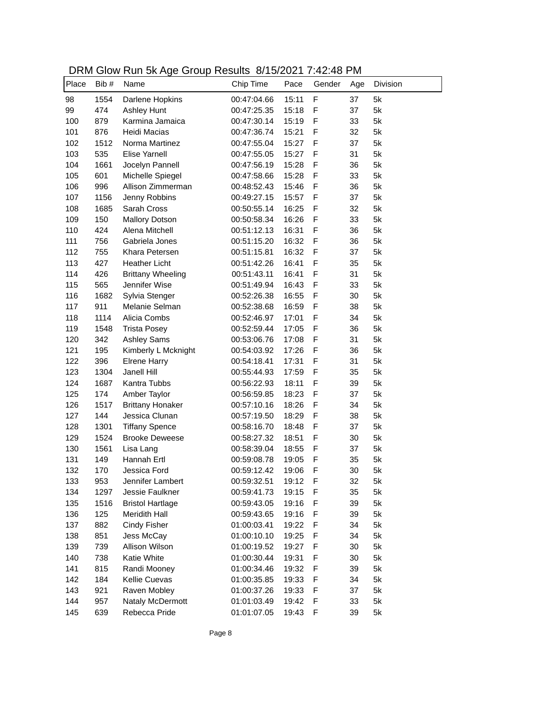| DRM Glow Run 5k Age Group Results 8/15/2021 7:42:48 PM |  |  |  |  |
|--------------------------------------------------------|--|--|--|--|
|--------------------------------------------------------|--|--|--|--|

| Place      | Bib # | <b>Print Stow Half Sittings Stoap Robalts of To/2021 T. 12. 10 T.M.</b><br>Name | Chip Time                  | Pace  | Gender      | Age | Division |
|------------|-------|---------------------------------------------------------------------------------|----------------------------|-------|-------------|-----|----------|
| 98         | 1554  | Darlene Hopkins                                                                 | 00:47:04.66                | 15:11 | $\mathsf F$ | 37  | 5k       |
| 99         | 474   | Ashley Hunt                                                                     | 00:47:25.35                | 15:18 | F           | 37  | 5k       |
| 100        | 879   | Karmina Jamaica                                                                 | 00:47:30.14                | 15:19 | F           | 33  | 5k       |
| 101        | 876   | Heidi Macias                                                                    | 00:47:36.74                | 15:21 | F           | 32  | 5k       |
| 102        | 1512  | Norma Martinez                                                                  | 00:47:55.04                | 15:27 | F           | 37  | 5k       |
| 103        | 535   | <b>Elise Yarnell</b>                                                            | 00:47:55.05                | 15:27 | F           | 31  | 5k       |
| 104        | 1661  | Jocelyn Pannell                                                                 | 00:47:56.19                | 15:28 | F           | 36  | 5k       |
| 105        | 601   | Michelle Spiegel                                                                | 00:47:58.66                | 15:28 | $\mathsf F$ | 33  | 5k       |
| 106        | 996   | Allison Zimmerman                                                               | 00:48:52.43                | 15:46 | F           | 36  | 5k       |
| 107        | 1156  | Jenny Robbins                                                                   | 00:49:27.15                | 15:57 | F           | 37  | 5k       |
| 108        | 1685  | Sarah Cross                                                                     | 00:50:55.14                | 16:25 | F           | 32  | 5k       |
| 109        | 150   | <b>Mallory Dotson</b>                                                           | 00:50:58.34                | 16:26 | F           | 33  | 5k       |
| 110        | 424   | Alena Mitchell                                                                  | 00:51:12.13                | 16:31 | F           | 36  | 5k       |
| 111        | 756   | Gabriela Jones                                                                  | 00:51:15.20                | 16:32 | F           | 36  | 5k       |
| 112        | 755   | Khara Petersen                                                                  | 00:51:15.81                | 16:32 | F           | 37  | 5k       |
| 113        | 427   | <b>Heather Licht</b>                                                            | 00:51:42.26                | 16:41 | F           | 35  | 5k       |
| 114        | 426   | <b>Brittany Wheeling</b>                                                        | 00:51:43.11                | 16:41 | F           | 31  | 5k       |
| 115        | 565   | Jennifer Wise                                                                   | 00:51:49.94                | 16:43 | F           | 33  | 5k       |
| 116        | 1682  | Sylvia Stenger                                                                  | 00:52:26.38                | 16:55 | F           | 30  | 5k       |
| 117        | 911   | Melanie Selman                                                                  | 00:52:38.68                | 16:59 | F           | 38  | 5k       |
| 118        | 1114  | Alicia Combs                                                                    | 00:52:46.97                | 17:01 | F           | 34  | 5k       |
| 119        | 1548  | <b>Trista Posey</b>                                                             | 00:52:59.44                | 17:05 | $\mathsf F$ | 36  | 5k       |
| 120        | 342   | <b>Ashley Sams</b>                                                              | 00:53:06.76                | 17:08 | $\mathsf F$ | 31  | 5k       |
| 121        | 195   | Kimberly L Mcknight                                                             | 00:54:03.92                | 17:26 | $\mathsf F$ | 36  | 5k       |
| 122        | 396   | <b>Elrene Harry</b>                                                             | 00:54:18.41                | 17:31 | F           | 31  | 5k       |
| 123        | 1304  | Janell Hill                                                                     | 00:55:44.93                | 17:59 | $\mathsf F$ | 35  | 5k       |
| 124        | 1687  | Kantra Tubbs                                                                    | 00:56:22.93                | 18:11 | F           | 39  | 5k       |
| 125        | 174   | Amber Taylor                                                                    | 00:56:59.85                | 18:23 | F           | 37  | 5k       |
| 126        | 1517  | <b>Brittany Honaker</b>                                                         | 00:57:10.16                | 18:26 | F           | 34  | 5k       |
| 127        | 144   | Jessica Clunan                                                                  | 00:57:19.50                | 18:29 | $\mathsf F$ | 38  | 5k       |
| 128        | 1301  | <b>Tiffany Spence</b>                                                           | 00:58:16.70                | 18:48 | $\mathsf F$ | 37  | 5k       |
| 129        | 1524  | <b>Brooke Deweese</b>                                                           | 00:58:27.32                | 18:51 | $\mathsf F$ | 30  | 5k       |
| 130        | 1561  | Lisa Lang                                                                       | 00:58:39.04                | 18:55 | $\mathsf F$ | 37  | 5k       |
| 131        | 149   | Hannah Ertl                                                                     | 00:59:08.78                | 19:05 | $\mathsf F$ | 35  | 5k       |
| 132        | 170   | Jessica Ford                                                                    | 00:59:12.42                | 19:06 | F           | 30  | 5k       |
| 133        | 953   | Jennifer Lambert                                                                | 00:59:32.51                | 19:12 | F           | 32  | 5k       |
| 134        | 1297  | Jessie Faulkner                                                                 | 00:59:41.73                | 19:15 | F           | 35  | 5k       |
| 135        | 1516  | <b>Bristol Hartlage</b>                                                         | 00:59:43.05                | 19:16 | F           | 39  | 5k       |
| 136        | 125   | Meridith Hall                                                                   | 00:59:43.65                | 19:16 | F           | 39  | 5k       |
| 137        |       | Cindy Fisher                                                                    |                            |       | F           | 34  | 5k       |
|            | 882   | Jess McCay                                                                      | 01:00:03.41<br>01:00:10.10 | 19:22 |             | 34  | 5k       |
| 138<br>139 | 851   | Allison Wilson                                                                  |                            | 19:25 | F           | 30  | 5k       |
|            | 739   |                                                                                 | 01:00:19.52                | 19:27 | F           |     |          |
| 140        | 738   | Katie White                                                                     | 01:00:30.44                | 19:31 | F           | 30  | 5k       |
| 141        | 815   | Randi Mooney                                                                    | 01:00:34.46                | 19:32 | F           | 39  | 5k       |
| 142        | 184   | Kellie Cuevas                                                                   | 01:00:35.85                | 19:33 | F           | 34  | 5k       |
| 143        | 921   | Raven Mobley                                                                    | 01:00:37.26                | 19:33 | F           | 37  | 5k       |
| 144        | 957   | Nataly McDermott                                                                | 01:01:03.49                | 19:42 | F           | 33  | 5k       |
| 145        | 639   | Rebecca Pride                                                                   | 01:01:07.05                | 19:43 | F           | 39  | 5k       |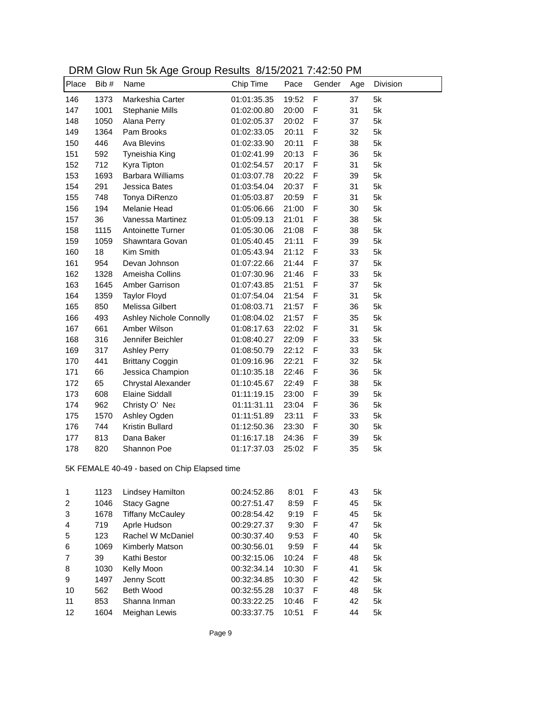| DRM Glow Run 5k Age Group Results 8/15/2021 7:42:50 PM |  |  |  |  |
|--------------------------------------------------------|--|--|--|--|
|--------------------------------------------------------|--|--|--|--|

| Place | Bib #                                        | Name                    | Chip Time   | Pace  | Gender       | Age | Division |  |
|-------|----------------------------------------------|-------------------------|-------------|-------|--------------|-----|----------|--|
| 146   | 1373                                         | Markeshia Carter        | 01:01:35.35 | 19:52 | $\mathsf F$  | 37  | 5k       |  |
| 147   | 1001                                         | Stephanie Mills         | 01:02:00.80 | 20:00 | F            | 31  | 5k       |  |
| 148   | 1050                                         | Alana Perry             | 01:02:05.37 | 20:02 | $\mathsf F$  | 37  | 5k       |  |
| 149   | 1364                                         | Pam Brooks              | 01:02:33.05 | 20:11 | $\mathsf F$  | 32  | 5k       |  |
| 150   | 446                                          | Ava Blevins             | 01:02:33.90 | 20:11 | F            | 38  | 5k       |  |
| 151   | 592                                          | Tyneishia King          | 01:02:41.99 | 20:13 | $\mathsf F$  | 36  | 5k       |  |
| 152   | 712                                          | Kyra Tipton             | 01:02:54.57 | 20:17 | $\mathsf F$  | 31  | 5k       |  |
| 153   | 1693                                         | <b>Barbara Williams</b> | 01:03:07.78 | 20:22 | $\mathsf F$  | 39  | 5k       |  |
| 154   | 291                                          | Jessica Bates           | 01:03:54.04 | 20:37 | F            | 31  | 5k       |  |
| 155   | 748                                          | Tonya DiRenzo           | 01:05:03.87 | 20:59 | $\mathsf F$  | 31  | 5k       |  |
| 156   | 194                                          | Melanie Head            | 01:05:06.66 | 21:00 | $\mathsf F$  | 30  | 5k       |  |
| 157   | 36                                           | Vanessa Martinez        | 01:05:09.13 | 21:01 | $\mathsf F$  | 38  | 5k       |  |
| 158   | 1115                                         | Antoinette Turner       | 01:05:30.06 | 21:08 | F            | 38  | 5k       |  |
| 159   | 1059                                         | Shawntara Govan         | 01:05:40.45 | 21:11 | F            | 39  | 5k       |  |
| 160   | 18                                           | Kim Smith               | 01:05:43.94 | 21:12 | $\mathsf F$  | 33  | 5k       |  |
| 161   | 954                                          | Devan Johnson           | 01:07:22.66 | 21:44 | $\mathsf F$  | 37  | 5k       |  |
| 162   | 1328                                         | Ameisha Collins         | 01:07:30.96 | 21:46 | $\mathsf F$  | 33  | 5k       |  |
| 163   | 1645                                         | Amber Garrison          | 01:07:43.85 | 21:51 | F            | 37  | 5k       |  |
| 164   | 1359                                         | <b>Taylor Floyd</b>     | 01:07:54.04 | 21:54 | $\mathsf F$  | 31  | 5k       |  |
| 165   | 850                                          | Melissa Gilbert         | 01:08:03.71 | 21:57 | $\mathsf F$  | 36  | 5k       |  |
| 166   | 493                                          | Ashley Nichole Connolly | 01:08:04.02 | 21:57 | $\mathsf{F}$ | 35  | 5k       |  |
| 167   | 661                                          | Amber Wilson            | 01:08:17.63 | 22:02 | $\mathsf F$  | 31  | 5k       |  |
| 168   | 316                                          | Jennifer Beichler       | 01:08:40.27 | 22:09 | $\mathsf F$  | 33  | 5k       |  |
| 169   | 317                                          | <b>Ashley Perry</b>     | 01:08:50.79 | 22:12 | $\mathsf F$  | 33  | 5k       |  |
| 170   | 441                                          | <b>Brittany Coggin</b>  | 01:09:16.96 | 22:21 | F            | 32  | 5k       |  |
| 171   | 66                                           | Jessica Champion        | 01:10:35.18 | 22:46 | $\mathsf F$  | 36  | 5k       |  |
| 172   | 65                                           | Chrystal Alexander      | 01:10:45.67 | 22:49 | $\mathsf F$  | 38  | 5k       |  |
| 173   | 608                                          | <b>Elaine Siddall</b>   | 01:11:19.15 | 23:00 | F            | 39  | 5k       |  |
| 174   | 962                                          | Christy O' Nea          | 01:11:31.11 | 23:04 | $\mathsf F$  | 36  | 5k       |  |
| 175   | 1570                                         | Ashley Ogden            | 01:11:51.89 | 23:11 | $\mathsf F$  | 33  | 5k       |  |
| 176   | 744                                          | <b>Kristin Bullard</b>  | 01:12:50.36 | 23:30 | F            | 30  | 5k       |  |
| 177   | 813                                          | Dana Baker              | 01:16:17.18 | 24:36 | F            | 39  | 5k       |  |
| 178   | 820                                          | Shannon Poe             | 01:17:37.03 | 25:02 | F            | 35  | 5k       |  |
|       | 5K FEMALE 40-49 - based on Chip Elapsed time |                         |             |       |              |     |          |  |
|       |                                              |                         |             |       |              |     |          |  |

| 1              | 1123 | Lindsey Hamilton        | 00:24:52.86 | 8:01  | F | 43 | 5k |
|----------------|------|-------------------------|-------------|-------|---|----|----|
| 2              | 1046 | <b>Stacy Gagne</b>      | 00:27:51.47 | 8:59  | F | 45 | 5k |
| 3              | 1678 | <b>Tiffany McCauley</b> | 00:28:54.42 | 9:19  | F | 45 | 5k |
| 4              | 719  | Aprle Hudson            | 00:29:27.37 | 9:30  | F | 47 | 5k |
| 5              | 123  | Rachel W McDaniel       | 00:30:37.40 | 9:53  | F | 40 | 5k |
| 6              | 1069 | <b>Kimberly Matson</b>  | 00:30:56.01 | 9:59  | F | 44 | 5k |
| $\overline{7}$ | 39   | Kathi Bestor            | 00:32:15.06 | 10:24 | F | 48 | 5k |
| 8              | 1030 | Kelly Moon              | 00:32:34.14 | 10:30 | F | 41 | 5k |
| 9              | 1497 | Jenny Scott             | 00:32:34.85 | 10:30 | F | 42 | 5k |
| 10             | 562  | <b>Beth Wood</b>        | 00:32:55.28 | 10:37 | F | 48 | 5k |
| 11             | 853  | Shanna Inman            | 00:33:22.25 | 10:46 | F | 42 | 5k |
| 12             | 1604 | Meighan Lewis           | 00:33:37.75 | 10:51 | F | 44 | 5k |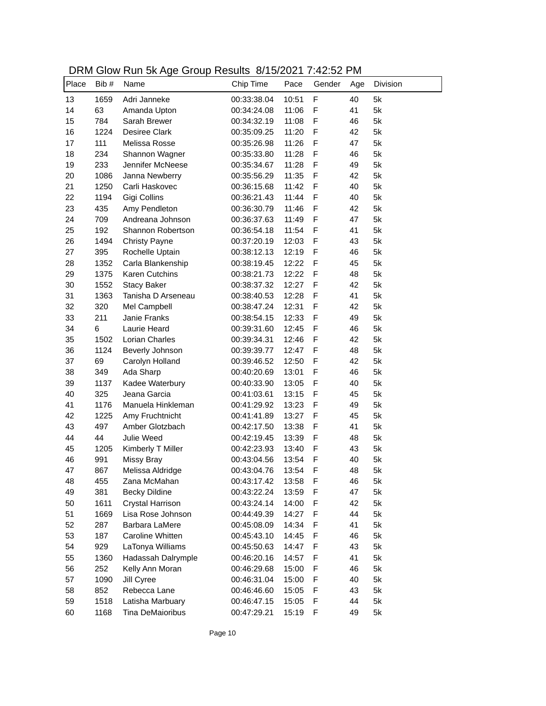### DRM Glow Run 5k Age Group Results 8/15/2021 7:42:52 PM

| Place | Bib # | <b>PRIM SION Ran on Ago Stoap Robato</b> of 10/2021 T.12.02 T.M<br>Name | Chip Time   | Pace  | Gender      | Age | Division |
|-------|-------|-------------------------------------------------------------------------|-------------|-------|-------------|-----|----------|
| 13    | 1659  | Adri Janneke                                                            | 00:33:38.04 | 10:51 | F           | 40  | 5k       |
| 14    | 63    | Amanda Upton                                                            | 00:34:24.08 | 11:06 | F           | 41  | 5k       |
| 15    | 784   | Sarah Brewer                                                            | 00:34:32.19 | 11:08 | F           | 46  | 5k       |
| 16    | 1224  | Desiree Clark                                                           | 00:35:09.25 | 11:20 | F           | 42  | 5k       |
| 17    | 111   | Melissa Rosse                                                           | 00:35:26.98 | 11:26 | F           | 47  | 5k       |
| 18    | 234   | Shannon Wagner                                                          | 00:35:33.80 | 11:28 | F           | 46  | 5k       |
| 19    | 233   | Jennifer McNeese                                                        | 00:35:34.67 | 11:28 | F           | 49  | 5k       |
| 20    | 1086  | Janna Newberry                                                          | 00:35:56.29 | 11:35 | F           | 42  | 5k       |
| 21    | 1250  | Carli Haskovec                                                          | 00:36:15.68 | 11:42 | F           | 40  | 5k       |
| 22    | 1194  | Gigi Collins                                                            | 00:36:21.43 | 11:44 | F           | 40  | 5k       |
| 23    | 435   | Amy Pendleton                                                           | 00:36:30.79 | 11:46 | F           | 42  | 5k       |
| 24    | 709   | Andreana Johnson                                                        | 00:36:37.63 | 11:49 | F           | 47  | 5k       |
| 25    | 192   | Shannon Robertson                                                       | 00:36:54.18 | 11:54 | F           | 41  | 5k       |
| 26    | 1494  | <b>Christy Payne</b>                                                    | 00:37:20.19 | 12:03 | F           | 43  | 5k       |
| 27    | 395   | Rochelle Uptain                                                         | 00:38:12.13 | 12:19 | F           | 46  | 5k       |
| 28    | 1352  | Carla Blankenship                                                       | 00:38:19.45 | 12:22 | F           | 45  | 5k       |
| 29    | 1375  | Karen Cutchins                                                          | 00:38:21.73 | 12:22 | F           | 48  | 5k       |
| 30    | 1552  | <b>Stacy Baker</b>                                                      | 00:38:37.32 | 12:27 | F           | 42  | 5k       |
| 31    | 1363  | Tanisha D Arseneau                                                      | 00:38:40.53 | 12:28 | F           | 41  | 5k       |
| 32    | 320   | Mel Campbell                                                            | 00:38:47.24 | 12:31 | $\mathsf F$ | 42  | 5k       |
| 33    | 211   | Janie Franks                                                            | 00:38:54.15 | 12:33 | F           | 49  | 5k       |
| 34    | 6     | Laurie Heard                                                            | 00:39:31.60 | 12:45 | F           | 46  | 5k       |
| 35    | 1502  | Lorian Charles                                                          | 00:39:34.31 | 12:46 | F           | 42  | 5k       |
| 36    | 1124  | Beverly Johnson                                                         | 00:39:39.77 | 12:47 | F           | 48  | 5k       |
| 37    | 69    | Carolyn Holland                                                         | 00:39:46.52 | 12:50 | F           | 42  | 5k       |
| 38    | 349   | Ada Sharp                                                               | 00:40:20.69 | 13:01 | F           | 46  | 5k       |
| 39    | 1137  | Kadee Waterbury                                                         | 00:40:33.90 | 13:05 | F           | 40  | 5k       |
| 40    | 325   | Jeana Garcia                                                            | 00:41:03.61 | 13:15 | F           | 45  | 5k       |
| 41    | 1176  | Manuela Hinkleman                                                       | 00:41:29.92 | 13:23 | F           | 49  | 5k       |
| 42    | 1225  | Amy Fruchtnicht                                                         | 00:41:41.89 | 13:27 | F           | 45  | 5k       |
| 43    | 497   | Amber Glotzbach                                                         | 00:42:17.50 | 13:38 | F           | 41  | 5k       |
| 44    | 44    | Julie Weed                                                              | 00:42:19.45 | 13:39 | F           | 48  | 5k       |
| 45    | 1205  | Kimberly T Miller                                                       | 00:42:23.93 | 13:40 | F           | 43  | 5k       |
| 46    | 991   | <b>Missy Bray</b>                                                       | 00:43:04.56 | 13:54 | F           | 40  | 5k       |
| 47    | 867   | Melissa Aldridge                                                        | 00:43:04.76 | 13:54 | F           | 48  | 5k       |
| 48    | 455   | Zana McMahan                                                            | 00:43:17.42 | 13:58 | F           | 46  | 5k       |
| 49    | 381   | <b>Becky Dildine</b>                                                    | 00:43:22.24 | 13:59 | F           | 47  | 5k       |
| 50    | 1611  | Crystal Harrison                                                        | 00:43:24.14 | 14:00 | F           | 42  | 5k       |
| 51    | 1669  | Lisa Rose Johnson                                                       | 00:44:49.39 | 14:27 | F           | 44  | 5k       |
| 52    | 287   | Barbara LaMere                                                          | 00:45:08.09 | 14:34 | F           | 41  | 5k       |
| 53    | 187   | Caroline Whitten                                                        | 00:45:43.10 | 14:45 | F           | 46  | 5k       |
| 54    | 929   | LaTonya Williams                                                        | 00:45:50.63 | 14:47 | F           | 43  | 5k       |
| 55    | 1360  | Hadassah Dalrymple                                                      | 00:46:20.16 | 14:57 | F           | 41  | 5k       |
| 56    | 252   | Kelly Ann Moran                                                         | 00:46:29.68 | 15:00 | F           | 46  | 5k       |
| 57    | 1090  | Jill Cyree                                                              | 00:46:31.04 | 15:00 | F           | 40  | 5k       |
| 58    | 852   | Rebecca Lane                                                            | 00:46:46.60 | 15:05 | F           | 43  | 5k       |
| 59    | 1518  | Latisha Marbuary                                                        | 00:46:47.15 | 15:05 | F           | 44  | 5k       |
| 60    | 1168  | Tina DeMaioribus                                                        | 00:47:29.21 | 15:19 | F           | 49  | 5k       |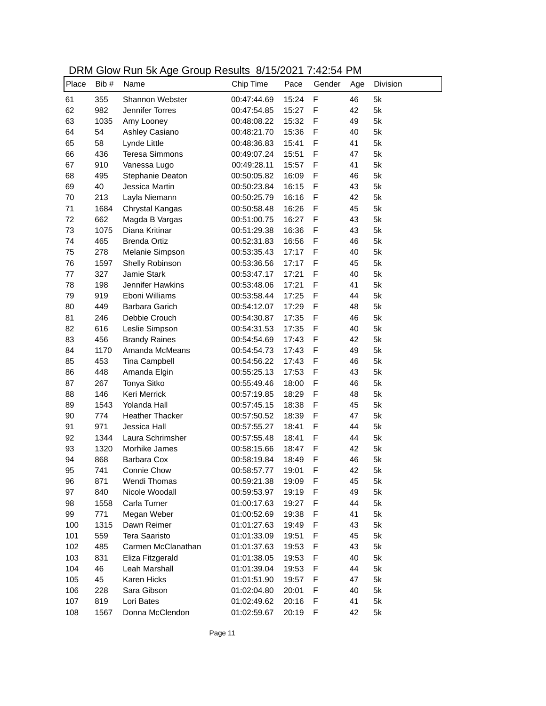| Place | Bib # | Stow Harrow 190 Stoap Robato S/T0/2021 7:12:01 T MI<br>Name | Chip Time   | Pace  | Gender | Age | Division |
|-------|-------|-------------------------------------------------------------|-------------|-------|--------|-----|----------|
| 61    | 355   | Shannon Webster                                             | 00:47:44.69 | 15:24 | F      | 46  | 5k       |
| 62    | 982   | Jennifer Torres                                             | 00:47:54.85 | 15:27 | F      | 42  | 5k       |
| 63    | 1035  | Amy Looney                                                  | 00:48:08.22 | 15:32 | F      | 49  | 5k       |
| 64    | 54    | Ashley Casiano                                              | 00:48:21.70 | 15:36 | F      | 40  | 5k       |
| 65    | 58    | Lynde Little                                                | 00:48:36.83 | 15:41 | F      | 41  | 5k       |
| 66    | 436   | <b>Teresa Simmons</b>                                       | 00:49:07.24 | 15:51 | F      | 47  | 5k       |
| 67    | 910   | Vanessa Lugo                                                | 00:49:28.11 | 15:57 | F      | 41  | 5k       |
| 68    | 495   | Stephanie Deaton                                            | 00:50:05.82 | 16:09 | F      | 46  | 5k       |
| 69    | 40    | Jessica Martin                                              | 00:50:23.84 | 16:15 | F      | 43  | 5k       |
| 70    | 213   | Layla Niemann                                               | 00:50:25.79 | 16:16 | F      | 42  | 5k       |
| 71    | 1684  | Chrystal Kangas                                             | 00:50:58.48 | 16:26 | F      | 45  | 5k       |
| 72    | 662   | Magda B Vargas                                              | 00:51:00.75 | 16:27 | F      | 43  | 5k       |
| 73    | 1075  | Diana Kritinar                                              | 00:51:29.38 | 16:36 | F      | 43  | 5k       |
| 74    | 465   | <b>Brenda Ortiz</b>                                         | 00:52:31.83 | 16:56 | F      | 46  | 5k       |
| 75    | 278   | Melanie Simpson                                             | 00:53:35.43 | 17:17 | F      | 40  | 5k       |
| 76    | 1597  | Shelly Robinson                                             | 00:53:36.56 | 17:17 | F      | 45  | 5k       |
| 77    | 327   | Jamie Stark                                                 | 00:53:47.17 | 17:21 | F      | 40  | 5k       |
| 78    | 198   | Jennifer Hawkins                                            | 00:53:48.06 | 17:21 | F      | 41  | 5k       |
| 79    | 919   | Eboni Williams                                              | 00:53:58.44 | 17:25 | F      | 44  | 5k       |
| 80    | 449   | Barbara Garich                                              | 00:54:12.07 | 17:29 | F      | 48  | 5k       |
| 81    | 246   | Debbie Crouch                                               | 00:54:30.87 | 17:35 | F      | 46  | 5k       |
| 82    | 616   | Leslie Simpson                                              | 00:54:31.53 | 17:35 | F      | 40  | 5k       |
| 83    | 456   | <b>Brandy Raines</b>                                        | 00:54:54.69 | 17:43 | F      | 42  | 5k       |
| 84    | 1170  | Amanda McMeans                                              | 00:54:54.73 | 17:43 | F      | 49  | 5k       |
| 85    | 453   | <b>Tina Campbell</b>                                        | 00:54:56.22 | 17:43 | F      | 46  | 5k       |
| 86    | 448   | Amanda Elgin                                                | 00:55:25.13 | 17:53 | F      | 43  | 5k       |
| 87    | 267   | Tonya Sitko                                                 | 00:55:49.46 | 18:00 | F      | 46  | 5k       |
| 88    | 146   | Keri Merrick                                                | 00:57:19.85 | 18:29 | F      | 48  | 5k       |
| 89    | 1543  | Yolanda Hall                                                | 00:57:45.15 | 18:38 | F      | 45  | 5k       |
| 90    | 774   | <b>Heather Thacker</b>                                      | 00:57:50.52 | 18:39 | F      | 47  | 5k       |
| 91    | 971   | Jessica Hall                                                | 00:57:55.27 | 18:41 | F      | 44  | 5k       |
| 92    | 1344  | Laura Schrimsher                                            |             | 18:41 | F      | 44  | 5k       |
|       |       | Morhike James                                               | 00:57:55.48 |       | F      |     |          |
| 93    | 1320  | <b>Barbara Cox</b>                                          | 00:58:15.66 | 18:47 | F      | 42  | 5k       |
| 94    | 868   |                                                             | 00:58:19.84 | 18:49 |        | 46  | 5k       |
| 95    | 741   | Connie Chow                                                 | 00:58:57.77 | 19:01 | F      | 42  | 5k       |
| 96    | 871   | Wendi Thomas                                                | 00:59:21.38 | 19:09 | F      | 45  | 5k       |
| 97    | 840   | Nicole Woodall                                              | 00:59:53.97 | 19:19 | F      | 49  | 5k       |
| 98    | 1558  | Carla Turner                                                | 01:00:17.63 | 19:27 | F      | 44  | 5k       |
| 99    | 771   | Megan Weber                                                 | 01:00:52.69 | 19:38 | F      | 41  | 5k       |
| 100   | 1315  | Dawn Reimer                                                 | 01:01:27.63 | 19:49 | F      | 43  | 5k       |
| 101   | 559   | <b>Tera Saaristo</b>                                        | 01:01:33.09 | 19:51 | F      | 45  | 5k       |
| 102   | 485   | Carmen McClanathan                                          | 01:01:37.63 | 19:53 | F      | 43  | 5k       |
| 103   | 831   | Eliza Fitzgerald                                            | 01:01:38.05 | 19:53 | F      | 40  | 5k       |
| 104   | 46    | Leah Marshall                                               | 01:01:39.04 | 19:53 | F      | 44  | 5k       |
| 105   | 45    | Karen Hicks                                                 | 01:01:51.90 | 19:57 | F      | 47  | 5k       |
| 106   | 228   | Sara Gibson                                                 | 01:02:04.80 | 20:01 | F      | 40  | 5k       |
| 107   | 819   | Lori Bates                                                  | 01:02:49.62 | 20:16 | F      | 41  | 5k       |
| 108   | 1567  | Donna McClendon                                             | 01:02:59.67 | 20:19 | F      | 42  | 5k       |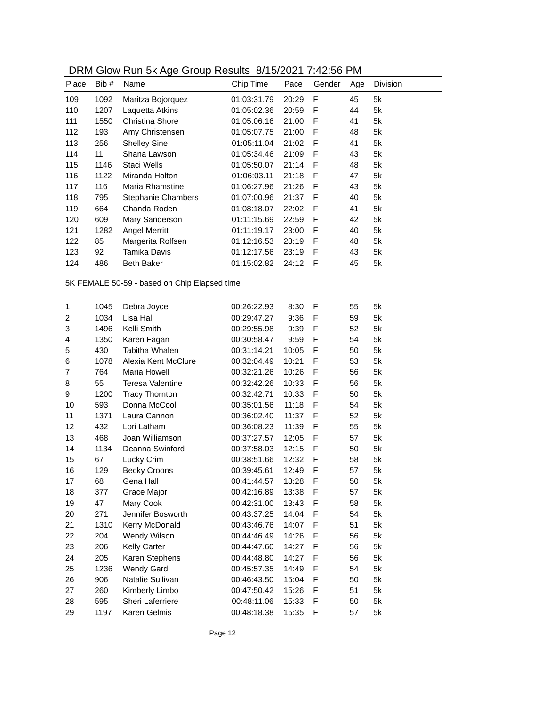| Place          | Bib #       | 2011 - 2012 11 12:00 11 12:00 11 12:00 11 11 12:00 11 11 12:00 11 11 12:00 11 11 12:00 1<br>Name | Chip Time                  | Pace           | Gender      | Age      | Division |
|----------------|-------------|--------------------------------------------------------------------------------------------------|----------------------------|----------------|-------------|----------|----------|
|                |             |                                                                                                  |                            |                | F           |          |          |
| 109            | 1092        | Maritza Bojorquez                                                                                | 01:03:31.79                | 20:29          |             | 45       | 5k       |
| 110            | 1207        | Laquetta Atkins                                                                                  | 01:05:02.36                | 20:59          | F<br>F      | 44       | 5k<br>5k |
| 111            | 1550        | Christina Shore                                                                                  | 01:05:06.16                | 21:00          |             | 41       |          |
| 112            | 193         | Amy Christensen                                                                                  | 01:05:07.75                | 21:00          | F           | 48       | 5k       |
| 113            | 256         | <b>Shelley Sine</b>                                                                              | 01:05:11.04                | 21:02          | F           | 41       | 5k       |
| 114            | 11          | Shana Lawson                                                                                     | 01:05:34.46                | 21:09          | F           | 43       | 5k       |
| 115            | 1146        | Staci Wells                                                                                      | 01:05:50.07                | 21:14          | F           | 48       | 5k       |
| 116            | 1122        | Miranda Holton                                                                                   | 01:06:03.11                | 21:18          | F           | 47       | 5k       |
| 117            | 116         | Maria Rhamstine                                                                                  | 01:06:27.96                | 21:26          | F           | 43       | 5k       |
| 118            | 795         | <b>Stephanie Chambers</b>                                                                        | 01:07:00.96                | 21:37          | F           | 40       | 5k       |
| 119            | 664         | Chanda Roden                                                                                     | 01:08:18.07                | 22:02          | F           | 41       | 5k       |
| 120            | 609         | Mary Sanderson                                                                                   | 01:11:15.69                | 22:59          | F           | 42       | 5k       |
| 121            | 1282        | Angel Merritt                                                                                    | 01:11:19.17                | 23:00          | F           | 40       | 5k       |
| 122            | 85          | Margerita Rolfsen                                                                                | 01:12:16.53                | 23:19          | F           | 48       | 5k       |
| 123            | 92          | Tamika Davis                                                                                     | 01:12:17.56                | 23:19          | F           | 43       | 5k       |
| 124            | 486         | <b>Beth Baker</b>                                                                                | 01:15:02.82                | 24:12          | F           | 45       | 5k       |
|                |             | 5K FEMALE 50-59 - based on Chip Elapsed time                                                     |                            |                |             |          |          |
| 1              | 1045        | Debra Joyce                                                                                      | 00:26:22.93                | 8:30           | F           | 55       | 5k       |
| 2              | 1034        | Lisa Hall                                                                                        | 00:29:47.27                | 9:36           | F           | 59       | 5k       |
| 3              | 1496        | Kelli Smith                                                                                      | 00:29:55.98                | 9:39           | F           | 52       | 5k       |
| 4              | 1350        | Karen Fagan                                                                                      | 00:30:58.47                | 9:59           | $\mathsf F$ | 54       | 5k       |
| 5              | 430         | Tabitha Whalen                                                                                   | 00:31:14.21                | 10:05          | F           | 50       | 5k       |
| 6              | 1078        | Alexia Kent McClure                                                                              | 00:32:04.49                | 10:21          | F           | 53       | 5k       |
| $\overline{7}$ | 764         | Maria Howell                                                                                     | 00:32:21.26                | 10:26          | F           | 56       | 5k       |
| 8              | 55          | Teresa Valentine                                                                                 | 00:32:42.26                | 10:33          | F           | 56       | 5k       |
| 9              | 1200        | <b>Tracy Thornton</b>                                                                            | 00:32:42.71                | 10:33          | F           | 50       | 5k       |
| 10             | 593         | Donna McCool                                                                                     | 00:35:01.56                | 11:18          | F           | 54       | 5k       |
| 11             | 1371        | Laura Cannon                                                                                     | 00:36:02.40                | 11:37          | F           | 52       | 5k       |
| 12             | 432         | Lori Latham                                                                                      | 00:36:08.23                | 11:39          | F           | 55       | 5k       |
| 13             | 468         | Joan Williamson                                                                                  | 00:37:27.57                | 12:05          | F           | 57       | 5k       |
| 14             | 1134        | Deanna Swinford                                                                                  | 00:37:58.03                | 12:15          | F           | 50       | 5k       |
| 15             | 67          | Lucky Crim                                                                                       | 00:38:51.66                | 12:32          | F           | 58       | 5k       |
| 16             | 129         | <b>Becky Croons</b>                                                                              | 00:39:45.61                | 12:49          | F           | 57       | 5k       |
| 17             | 68          | Gena Hall                                                                                        | 00:41:44.57                | 13:28          | F           | 50       | 5k       |
| 18             | 377         | Grace Major                                                                                      | 00:42:16.89                | 13:38          | F           | 57       | 5k       |
| 19             | 47          | Mary Cook                                                                                        | 00:42:31.00                | 13:43          | F           | 58       | 5k       |
| 20             | 271         | Jennifer Bosworth                                                                                | 00:43:37.25                | 14:04          | F           | 54       | 5k       |
| 21             | 1310        | Kerry McDonald                                                                                   | 00:43:46.76                | 14:07          | F           | 51       | 5k       |
| 22             | 204         | Wendy Wilson                                                                                     |                            |                | F           |          | 5k       |
| 23             | 206         | <b>Kelly Carter</b>                                                                              | 00:44:46.49                | 14:26          |             | 56       | 5k       |
|                |             | Karen Stephens                                                                                   | 00:44:47.60                | 14:27          | F           | 56       |          |
| 24             | 205         | <b>Wendy Gard</b>                                                                                | 00:44:48.80                | 14:27          | F<br>F      | 56<br>54 | 5k       |
| 25             | 1236        | Natalie Sullivan                                                                                 | 00:45:57.35                | 14:49          | F           |          | 5k       |
| 26             | 906         |                                                                                                  | 00:46:43.50                | 15:04          |             | 50       | 5k       |
| 27             | 260         | Kimberly Limbo<br>Sheri Laferriere                                                               | 00:47:50.42                | 15:26          | F<br>F      | 51       | 5k<br>5k |
| 28<br>29       | 595<br>1197 | Karen Gelmis                                                                                     | 00:48:11.06<br>00:48:18.38 | 15:33<br>15:35 | F           | 50<br>57 | 5k       |
|                |             |                                                                                                  |                            |                |             |          |          |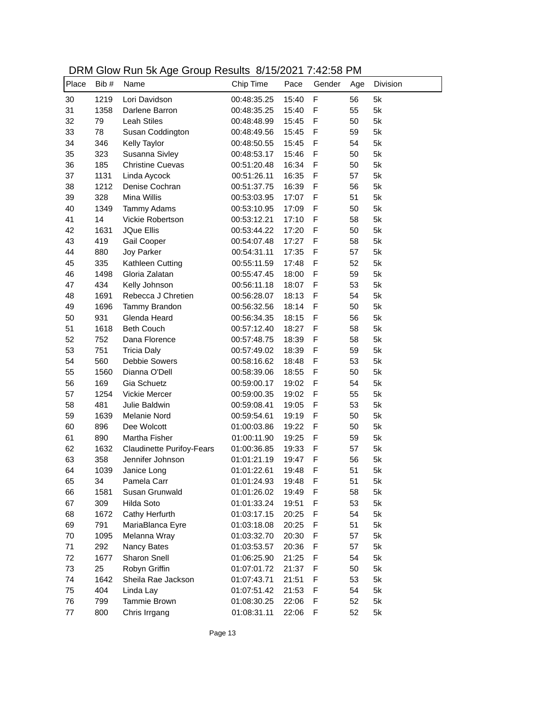| DRM Glow Run 5k Age Group Results 8/15/2021 7:42:58 PM |  |  |  |  |
|--------------------------------------------------------|--|--|--|--|
|--------------------------------------------------------|--|--|--|--|

| Place | Bib # | 2011 - 2021 - 11 - 12:00 - 12:00 - 12:00 - 13:00 - 13:00 - 14:00 - 14:00 - 14:00 - 14:00 - 14:00 - 1<br>Name | Chip Time   | Pace  | Gender      | Age | Division |
|-------|-------|--------------------------------------------------------------------------------------------------------------|-------------|-------|-------------|-----|----------|
| 30    | 1219  | Lori Davidson                                                                                                | 00:48:35.25 | 15:40 | $\mathsf F$ | 56  | 5k       |
| 31    | 1358  | Darlene Barron                                                                                               | 00:48:35.25 | 15:40 | F           | 55  | 5k       |
| 32    | 79    | <b>Leah Stiles</b>                                                                                           | 00:48:48.99 | 15:45 | F           | 50  | 5k       |
| 33    | 78    | Susan Coddington                                                                                             | 00:48:49.56 | 15:45 | F           | 59  | 5k       |
| 34    | 346   | Kelly Taylor                                                                                                 | 00:48:50.55 | 15:45 | $\mathsf F$ | 54  | 5k       |
| 35    | 323   | Susanna Sivley                                                                                               | 00:48:53.17 | 15:46 | F           | 50  | 5k       |
| 36    | 185   | <b>Christine Cuevas</b>                                                                                      | 00:51:20.48 | 16:34 | F           | 50  | 5k       |
| 37    | 1131  | Linda Aycock                                                                                                 | 00:51:26.11 | 16:35 | F           | 57  | 5k       |
| 38    | 1212  | Denise Cochran                                                                                               | 00:51:37.75 | 16:39 | F           | 56  | 5k       |
| 39    | 328   | Mina Willis                                                                                                  | 00:53:03.95 | 17:07 | F           | 51  | 5k       |
| 40    | 1349  | Tammy Adams                                                                                                  | 00:53:10.95 | 17:09 | F           | 50  | 5k       |
| 41    | 14    | Vickie Robertson                                                                                             | 00:53:12.21 | 17:10 | F           | 58  | 5k       |
| 42    | 1631  | <b>JQue Ellis</b>                                                                                            | 00:53:44.22 | 17:20 | F           | 50  | 5k       |
| 43    | 419   | Gail Cooper                                                                                                  | 00:54:07.48 | 17:27 | F           | 58  | 5k       |
| 44    | 880   | Joy Parker                                                                                                   | 00:54:31.11 | 17:35 | F           | 57  | 5k       |
| 45    | 335   | Kathleen Cutting                                                                                             | 00:55:11.59 | 17:48 | F           | 52  | 5k       |
| 46    | 1498  | Gloria Zalatan                                                                                               | 00:55:47.45 | 18:00 | F           | 59  | 5k       |
| 47    | 434   | Kelly Johnson                                                                                                | 00:56:11.18 | 18:07 | F           | 53  | 5k       |
| 48    | 1691  | Rebecca J Chretien                                                                                           | 00:56:28.07 | 18:13 | F           | 54  | 5k       |
| 49    | 1696  | Tammy Brandon                                                                                                | 00:56:32.56 | 18:14 | F           | 50  | 5k       |
| 50    | 931   | Glenda Heard                                                                                                 | 00:56:34.35 | 18:15 | F           | 56  | 5k       |
| 51    | 1618  | <b>Beth Couch</b>                                                                                            | 00:57:12.40 | 18:27 | $\mathsf F$ | 58  | 5k       |
| 52    | 752   | Dana Florence                                                                                                | 00:57:48.75 | 18:39 | F           | 58  | 5k       |
| 53    | 751   | <b>Tricia Daly</b>                                                                                           | 00:57:49.02 | 18:39 | F           | 59  | 5k       |
| 54    | 560   | Debbie Sowers                                                                                                | 00:58:16.62 | 18:48 | F           | 53  | 5k       |
| 55    | 1560  | Dianna O'Dell                                                                                                | 00:58:39.06 | 18:55 | F           | 50  | 5k       |
| 56    | 169   | Gia Schuetz                                                                                                  | 00:59:00.17 | 19:02 | F           | 54  | 5k       |
| 57    | 1254  | Vickie Mercer                                                                                                | 00:59:00.35 | 19:02 | F           | 55  | 5k       |
| 58    | 481   | Julie Baldwin                                                                                                | 00:59:08.41 | 19:05 | F           | 53  | 5k       |
| 59    | 1639  | Melanie Nord                                                                                                 | 00:59:54.61 | 19:19 | $\mathsf F$ | 50  | 5k       |
| 60    | 896   | Dee Wolcott                                                                                                  | 01:00:03.86 | 19:22 | $\mathsf F$ | 50  | 5k       |
| 61    | 890   | Martha Fisher                                                                                                | 01:00:11.90 | 19:25 | $\mathsf F$ | 59  | 5k       |
| 62    | 1632  | <b>Claudinette Purifoy-Fears</b>                                                                             | 01:00:36.85 | 19:33 | F           | 57  | 5k       |
| 63    | 358   | Jennifer Johnson                                                                                             | 01:01:21.19 | 19:47 | F           | 56  | 5k       |
| 64    | 1039  | Janice Long                                                                                                  | 01:01:22.61 | 19:48 | F           | 51  | 5k       |
| 65    | 34    | Pamela Carr                                                                                                  | 01:01:24.93 | 19:48 | F           | 51  | 5k       |
| 66    | 1581  | Susan Grunwald                                                                                               | 01:01:26.02 | 19:49 | F           | 58  | 5k       |
| 67    | 309   | Hilda Soto                                                                                                   | 01:01:33.24 | 19:51 | F           | 53  | 5k       |
| 68    | 1672  | Cathy Herfurth                                                                                               | 01:03:17.15 | 20:25 | F           | 54  | 5k       |
| 69    | 791   | MariaBlanca Eyre                                                                                             | 01:03:18.08 | 20:25 | F           | 51  | 5k       |
| 70    | 1095  | Melanna Wray                                                                                                 | 01:03:32.70 | 20:30 | F           | 57  | 5k       |
| 71    | 292   | Nancy Bates                                                                                                  | 01:03:53.57 | 20:36 | F           | 57  | 5k       |
| 72    | 1677  | Sharon Snell                                                                                                 | 01:06:25.90 | 21:25 | F           | 54  | 5k       |
| 73    | 25    | Robyn Griffin                                                                                                | 01:07:01.72 | 21:37 | F           | 50  | 5k       |
| 74    | 1642  | Sheila Rae Jackson                                                                                           | 01:07:43.71 | 21:51 | F           | 53  | 5k       |
| 75    | 404   | Linda Lay                                                                                                    | 01:07:51.42 | 21:53 | F           | 54  | 5k       |
| 76    | 799   | Tammie Brown                                                                                                 | 01:08:30.25 | 22:06 | F           | 52  | 5k       |
| 77    | 800   | Chris Irrgang                                                                                                | 01:08:31.11 | 22:06 | F           | 52  | 5k       |
|       |       |                                                                                                              |             |       |             |     |          |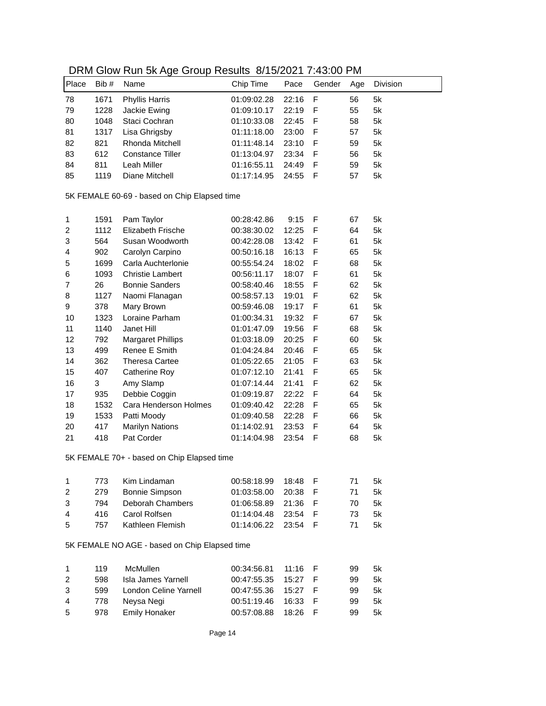| Place                   | Bib # | Name                                         | Chip Time   | Pace  | Gender      | Age | Division |
|-------------------------|-------|----------------------------------------------|-------------|-------|-------------|-----|----------|
| 78                      | 1671  | <b>Phyllis Harris</b>                        | 01:09:02.28 | 22:16 | F           | 56  | 5k       |
| 79                      | 1228  | Jackie Ewing                                 | 01:09:10.17 | 22:19 | F           | 55  | 5k       |
| 80                      | 1048  | Staci Cochran                                | 01:10:33.08 | 22:45 | F           | 58  | 5k       |
| 81                      | 1317  | Lisa Ghrigsby                                | 01:11:18.00 | 23:00 | F           | 57  | 5k       |
| 82                      | 821   | Rhonda Mitchell                              | 01:11:48.14 | 23:10 | F           | 59  | 5k       |
| 83                      | 612   | <b>Constance Tiller</b>                      | 01:13:04.97 | 23:34 | F           | 56  | 5k       |
| 84                      | 811   | Leah Miller                                  | 01:16:55.11 | 24:49 | F           | 59  | 5k       |
| 85                      | 1119  | Diane Mitchell                               | 01:17:14.95 | 24:55 | F           | 57  | 5k       |
|                         |       | 5K FEMALE 60-69 - based on Chip Elapsed time |             |       |             |     |          |
| 1                       | 1591  | Pam Taylor                                   | 00:28:42.86 | 9:15  | F           | 67  | 5k       |
| $\overline{\mathbf{c}}$ | 1112  | Elizabeth Frische                            | 00:38:30.02 | 12:25 | F           | 64  | 5k       |
| 3                       | 564   | Susan Woodworth                              | 00:42:28.08 | 13:42 | F           | 61  | 5k       |
| 4                       | 902   | Carolyn Carpino                              | 00:50:16.18 | 16:13 | F           | 65  | 5k       |
| 5                       | 1699  | Carla Auchterlonie                           | 00:55:54.24 | 18:02 | F           | 68  | 5k       |
| 6                       | 1093  | <b>Christie Lambert</b>                      | 00:56:11.17 | 18:07 | F           | 61  | 5k       |
| $\overline{7}$          | 26    | <b>Bonnie Sanders</b>                        | 00:58:40.46 | 18:55 | F           | 62  | 5k       |
| 8                       | 1127  | Naomi Flanagan                               | 00:58:57.13 | 19:01 | F           | 62  | 5k       |
| 9                       | 378   | Mary Brown                                   | 00:59:46.08 | 19:17 | F           | 61  | 5k       |
| 10                      | 1323  | Loraine Parham                               | 01:00:34.31 | 19:32 | F           | 67  | 5k       |
| 11                      | 1140  | Janet Hill                                   | 01:01:47.09 | 19:56 | F           | 68  | 5k       |
| 12                      | 792   | <b>Margaret Phillips</b>                     | 01:03:18.09 | 20:25 | F           | 60  | 5k       |
| 13                      | 499   | Renee E Smith                                | 01:04:24.84 | 20:46 | F           | 65  | 5k       |
| 14                      | 362   | <b>Theresa Cartee</b>                        | 01:05:22.65 | 21:05 | F           | 63  | 5k       |
| 15                      | 407   | <b>Catherine Roy</b>                         | 01:07:12.10 | 21:41 | F           | 65  | 5k       |
| 16                      | 3     | Amy Slamp                                    | 01:07:14.44 | 21:41 | $\mathsf F$ | 62  | 5k       |
| 17                      | 935   | Debbie Coggin                                | 01:09:19.87 | 22:22 | F           | 64  | 5k       |
| 18                      | 1532  | Cara Henderson Holmes                        | 01:09:40.42 | 22:28 | F           | 65  | 5k       |
| 19                      | 1533  | Patti Moody                                  | 01:09:40.58 | 22:28 | F           | 66  | 5k       |
| 20                      | 417   | <b>Marilyn Nations</b>                       | 01:14:02.91 | 23:53 | F           | 64  | 5k       |
| 21                      | 418   | Pat Corder                                   | 01:14:04.98 | 23:54 | F           | 68  | 5k       |
|                         |       | 5K FEMALE 70+ - based on Chip Elapsed time   |             |       |             |     |          |
| 1                       | 773   | Kim Lindaman                                 | 00:58:18.99 | 18:48 | F           | 71  | 5k       |
|                         |       |                                              |             |       |             |     |          |

#### DRM Glow Run 5k Age Group Results 8/15/2021 7:43:00 PM

 279 Bonnie Simpson 01:03:58.00 20:38 F 71 5k 794 Deborah Chambers 01:06:58.89 21:36 F 70 5k 416 Carol Rolfsen 01:14:04.48 23:54 F 73 5k 757 Kathleen Flemish 01:14:06.22 23:54 F 71 5k

5K FEMALE NO AGE - based on Chip Elapsed time

|   | 119 | McMullen              | 00:34:56.81 11:16 F |  | 99 | 5k |
|---|-----|-----------------------|---------------------|--|----|----|
| 2 | 598 | Isla James Yarnell    | 00:47:55.35 15:27 F |  | 99 | 5k |
| 3 | 599 | London Celine Yarnell | 00:47:55.36 15:27 F |  | 99 | 5k |
| 4 | 778 | Nevsa Negi            | 00:51:19.46 16:33 F |  | 99 | 5k |
| 5 | 978 | Emily Honaker         | 00:57:08.88 18:26 F |  | 99 | 5k |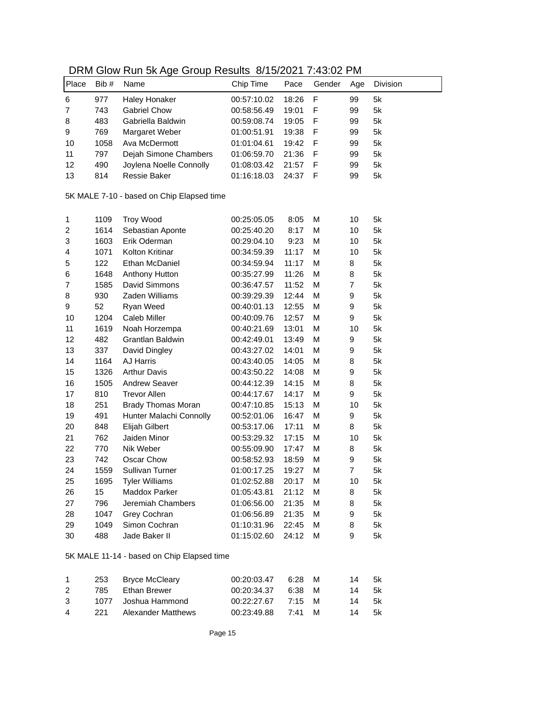| Place          | Bib# | <b>Prim Sion Ran on go Stoap Roodito</b> of Toreozi T. 10.02 T.M<br>Name | Chip Time   | Pace  | Gender | Age            | Division |
|----------------|------|--------------------------------------------------------------------------|-------------|-------|--------|----------------|----------|
| 6              | 977  | <b>Haley Honaker</b>                                                     | 00:57:10.02 | 18:26 | F      | 99             | 5k       |
| 7              | 743  | <b>Gabriel Chow</b>                                                      | 00:58:56.49 | 19:01 | F      | 99             | 5k       |
| 8              | 483  | Gabriella Baldwin                                                        | 00:59:08.74 | 19:05 | F      | 99             | 5k       |
| 9              | 769  | Margaret Weber                                                           | 01:00:51.91 | 19:38 | F      | 99             | 5k       |
| 10             | 1058 | Ava McDermott                                                            | 01:01:04.61 | 19:42 | F      | 99             | 5k       |
| 11             | 797  | Dejah Simone Chambers                                                    | 01:06:59.70 | 21:36 | F      | 99             | 5k       |
| 12             | 490  | Joylena Noelle Connolly                                                  | 01:08:03.42 | 21:57 | F      | 99             | 5k       |
| 13             | 814  | Ressie Baker                                                             | 01:16:18.03 | 24:37 | F      | 99             | 5k       |
|                |      | 5K MALE 7-10 - based on Chip Elapsed time                                |             |       |        |                |          |
| 1              | 1109 | <b>Troy Wood</b>                                                         | 00:25:05.05 | 8:05  | Μ      | 10             | 5k       |
| 2              | 1614 | Sebastian Aponte                                                         | 00:25:40.20 | 8:17  | M      | 10             | 5k       |
| 3              | 1603 | Erik Oderman                                                             | 00:29:04.10 | 9:23  | M      | 10             | 5k       |
| 4              | 1071 | Kolton Kritinar                                                          | 00:34:59.39 | 11:17 | M      | 10             | 5k       |
| 5              | 122  | Ethan McDaniel                                                           | 00:34:59.94 | 11:17 | M      | 8              | 5k       |
| 6              | 1648 | Anthony Hutton                                                           | 00:35:27.99 | 11:26 | Μ      | 8              | 5k       |
| $\overline{7}$ | 1585 | David Simmons                                                            | 00:36:47.57 | 11:52 | M      | $\overline{7}$ | 5k       |
| 8              | 930  | Zaden Williams                                                           | 00:39:29.39 | 12:44 | M      | 9              | 5k       |
| 9              | 52   | Ryan Weed                                                                | 00:40:01.13 | 12:55 | M      | 9              | 5k       |
| 10             | 1204 | Caleb Miller                                                             | 00:40:09.76 | 12:57 | M      | 9              | 5k       |
| 11             | 1619 | Noah Horzempa                                                            | 00:40:21.69 | 13:01 | M      | 10             | 5k       |
| 12             | 482  | Grantlan Baldwin                                                         | 00:42:49.01 | 13:49 | M      | 9              | 5k       |
| 13             | 337  | David Dingley                                                            | 00:43:27.02 | 14:01 | M      | 9              | 5k       |
| 14             | 1164 | AJ Harris                                                                | 00:43:40.05 | 14:05 | M      | 8              | 5k       |
| 15             | 1326 | <b>Arthur Davis</b>                                                      | 00:43:50.22 | 14:08 | M      | 9              | 5k       |
| 16             | 1505 | <b>Andrew Seaver</b>                                                     | 00:44:12.39 | 14:15 | M      | 8              | 5k       |
| 17             | 810  | <b>Trevor Allen</b>                                                      | 00:44:17.67 | 14:17 | M      | 9              | 5k       |
| 18             | 251  | <b>Brady Thomas Moran</b>                                                | 00:47:10.85 | 15:13 | M      | 10             | 5k       |
| 19             | 491  | Hunter Malachi Connolly                                                  | 00:52:01.06 | 16:47 | M      | 9              | 5k       |
| 20             | 848  | <b>Elijah Gilbert</b>                                                    | 00:53:17.06 | 17:11 | M      | 8              | 5k       |
| 21             | 762  | Jaiden Minor                                                             | 00:53:29.32 | 17:15 | M      | 10             | 5k       |
| 22             | 770  | Nik Weber                                                                | 00:55:09.90 | 17:47 | M      | 8              | 5k       |
| 23             | 742  | Oscar Chow                                                               | 00:58:52.93 | 18:59 | M      | 9              | 5k       |
| 24             | 1559 | Sullivan Turner                                                          | 01:00:17.25 | 19:27 | M      | 7              | 5k       |
| 25             | 1695 | <b>Tyler Williams</b>                                                    | 01:02:52.88 | 20:17 | M      | 10             | 5k       |
| 26             | 15   | Maddox Parker                                                            | 01:05:43.81 | 21:12 | M      | 8              | 5k       |
| 27             | 796  | Jeremiah Chambers                                                        | 01:06:56.00 | 21:35 | Μ      | 8              | 5k       |
| 28             | 1047 | Grey Cochran                                                             | 01:06:56.89 | 21:35 | Μ      | 9              | 5k       |
| 29             | 1049 | Simon Cochran                                                            | 01:10:31.96 | 22:45 | Μ      | 8              | 5k       |
| 30             | 488  | Jade Baker II                                                            | 01:15:02.60 | 24:12 | Μ      | 9              | 5k       |

### DRM Glow Run 5k Age Group Results 8/15/2021 7:43:02 PM

5K MALE 11-14 - based on Chip Elapsed time

|   | 253  | <b>Bryce McCleary</b> | 00:20:03.47 | 6:28     | - M | 14 | .5k |
|---|------|-----------------------|-------------|----------|-----|----|-----|
|   | 785. | Ethan Brewer          | 00:20:34.37 | 6:38 M   |     | 14 | .5k |
| 3 | 1077 | Joshua Hammond        | 00:22:27.67 | $7.15$ M |     | 14 | .5k |
| 4 | 221  | Alexander Matthews    | 00:23:49.88 | 7.41     | - M | 14 | 5k  |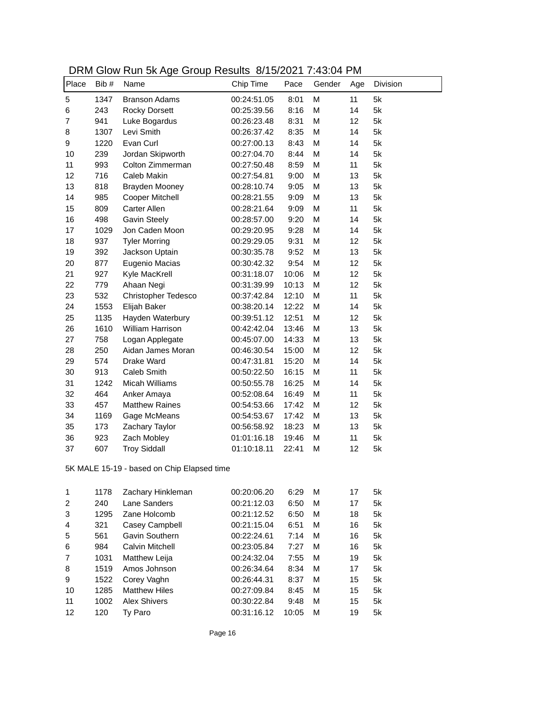| Place          | Bib #                                      | Name                  | Chip Time   | Pace  | Gender | Age | Division |  |  |
|----------------|--------------------------------------------|-----------------------|-------------|-------|--------|-----|----------|--|--|
| 5              | 1347                                       | <b>Branson Adams</b>  | 00:24:51.05 | 8:01  | M      | 11  | 5k       |  |  |
| 6              | 243                                        | <b>Rocky Dorsett</b>  | 00:25:39.56 | 8:16  | M      | 14  | 5k       |  |  |
| $\overline{7}$ | 941                                        | Luke Bogardus         | 00:26:23.48 | 8:31  | M      | 12  | 5k       |  |  |
| 8              | 1307                                       | Levi Smith            | 00:26:37.42 | 8:35  | M      | 14  | 5k       |  |  |
| 9              | 1220                                       | Evan Curl             | 00:27:00.13 | 8:43  | M      | 14  | 5k       |  |  |
| 10             | 239                                        | Jordan Skipworth      | 00:27:04.70 | 8:44  | M      | 14  | 5k       |  |  |
| 11             | 993                                        | Colton Zimmerman      | 00:27:50.48 | 8:59  | M      | 11  | 5k       |  |  |
| 12             | 716                                        | Caleb Makin           | 00:27:54.81 | 9:00  | M      | 13  | 5k       |  |  |
| 13             | 818                                        | Brayden Mooney        | 00:28:10.74 | 9:05  | M      | 13  | 5k       |  |  |
| 14             | 985                                        | Cooper Mitchell       | 00:28:21.55 | 9:09  | M      | 13  | 5k       |  |  |
| 15             | 809                                        | Carter Allen          | 00:28:21.64 | 9:09  | M      | 11  | 5k       |  |  |
| 16             | 498                                        | Gavin Steely          | 00:28:57.00 | 9:20  | M      | 14  | 5k       |  |  |
| 17             | 1029                                       | Jon Caden Moon        | 00:29:20.95 | 9:28  | M      | 14  | 5k       |  |  |
| 18             | 937                                        | <b>Tyler Morring</b>  | 00:29:29.05 | 9:31  | M      | 12  | 5k       |  |  |
| 19             | 392                                        | Jackson Uptain        | 00:30:35.78 | 9:52  | M      | 13  | 5k       |  |  |
| 20             | 877                                        | Eugenio Macias        | 00:30:42.32 | 9:54  | M      | 12  | 5k       |  |  |
| 21             | 927                                        | Kyle MacKrell         | 00:31:18.07 | 10:06 | M      | 12  | 5k       |  |  |
| 22             | 779                                        | Ahaan Negi            | 00:31:39.99 | 10:13 | M      | 12  | 5k       |  |  |
| 23             | 532                                        | Christopher Tedesco   | 00:37:42.84 | 12:10 | M      | 11  | 5k       |  |  |
| 24             | 1553                                       | Elijah Baker          | 00:38:20.14 | 12:22 | M      | 14  | 5k       |  |  |
| 25             | 1135                                       | Hayden Waterbury      | 00:39:51.12 | 12:51 | M      | 12  | 5k       |  |  |
| 26             | 1610                                       | William Harrison      | 00:42:42.04 | 13:46 | M      | 13  | 5k       |  |  |
| 27             | 758                                        | Logan Applegate       | 00:45:07.00 | 14:33 | M      | 13  | 5k       |  |  |
| 28             | 250                                        | Aidan James Moran     | 00:46:30.54 | 15:00 | M      | 12  | 5k       |  |  |
| 29             | 574                                        | Drake Ward            | 00:47:31.81 | 15:20 | M      | 14  | 5k       |  |  |
| 30             | 913                                        | Caleb Smith           | 00:50:22.50 | 16:15 | M      | 11  | 5k       |  |  |
| 31             | 1242                                       | Micah Williams        | 00:50:55.78 | 16:25 | M      | 14  | 5k       |  |  |
| 32             | 464                                        | Anker Amaya           | 00:52:08.64 | 16:49 | M      | 11  | 5k       |  |  |
| 33             | 457                                        | <b>Matthew Raines</b> | 00:54:53.66 | 17:42 | M      | 12  | 5k       |  |  |
| 34             | 1169                                       | Gage McMeans          | 00:54:53.67 | 17:42 | M      | 13  | 5k       |  |  |
| 35             | 173                                        | Zachary Taylor        | 00:56:58.92 | 18:23 | M      | 13  | 5k       |  |  |
| 36             | 923                                        | Zach Mobley           | 01:01:16.18 | 19:46 | M      | 11  | 5k       |  |  |
| 37             | 607                                        | <b>Troy Siddall</b>   | 01:10:18.11 | 22:41 | M      | 12  | 5k       |  |  |
|                | 5K MALE 15-19 - based on Chip Elapsed time |                       |             |       |        |     |          |  |  |

| 1              | 1178 | Zachary Hinkleman    | 00:20:06.20 | 6:29  | M | 17 | 5k |
|----------------|------|----------------------|-------------|-------|---|----|----|
| $\overline{2}$ | 240  | Lane Sanders         | 00:21:12.03 | 6:50  | м | 17 | 5k |
| 3              | 1295 | Zane Holcomb         | 00:21:12.52 | 6:50  | м | 18 | 5k |
| 4              | 321  | Casey Campbell       | 00:21:15.04 | 6:51  | м | 16 | 5k |
| 5              | 561  | Gavin Southern       | 00:22:24.61 | 7:14  | м | 16 | 5k |
| 6              | 984  | Calvin Mitchell      | 00:23:05.84 | 7:27  | м | 16 | 5k |
| $\overline{7}$ | 1031 | Matthew Leija        | 00:24:32.04 | 7:55  | м | 19 | 5k |
| 8              | 1519 | Amos Johnson         | 00:26:34.64 | 8:34  | м | 17 | 5k |
| 9              | 1522 | Corey Vaghn          | 00:26:44.31 | 8:37  | М | 15 | 5k |
| 10             | 1285 | <b>Matthew Hiles</b> | 00:27:09.84 | 8:45  | м | 15 | 5k |
| 11             | 1002 | <b>Alex Shivers</b>  | 00:30:22.84 | 9:48  | м | 15 | 5k |
| 12             | 120  | Tv Paro              | 00:31:16.12 | 10:05 | м | 19 | 5k |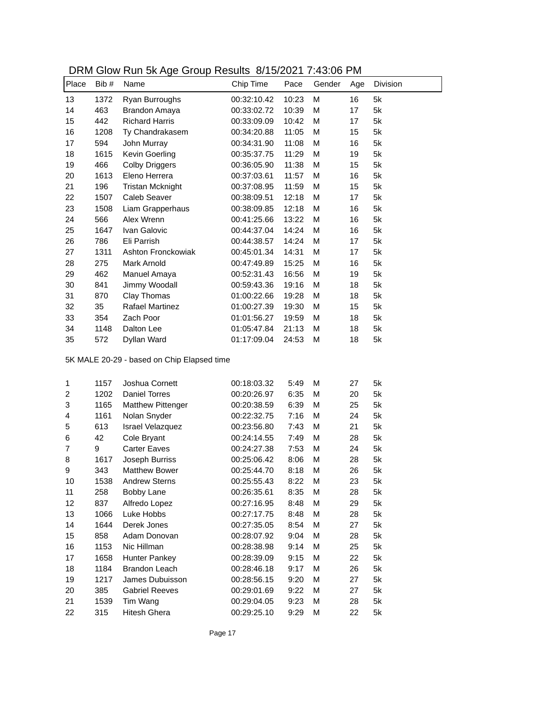| Place | Bib# | Name                  | Chip Time   | Pace  | Gender | Age | Division |
|-------|------|-----------------------|-------------|-------|--------|-----|----------|
| 13    | 1372 | Ryan Burroughs        | 00:32:10.42 | 10:23 | M      | 16  | 5k       |
| 14    | 463  | Brandon Amaya         | 00:33:02.72 | 10:39 | M      | 17  | 5k       |
| 15    | 442  | <b>Richard Harris</b> | 00:33:09.09 | 10:42 | M      | 17  | 5k       |
| 16    | 1208 | Ty Chandrakasem       | 00:34:20.88 | 11:05 | M      | 15  | 5k       |
| 17    | 594  | John Murray           | 00:34:31.90 | 11:08 | M      | 16  | 5k       |
| 18    | 1615 | Kevin Goerling        | 00:35:37.75 | 11:29 | M      | 19  | 5k       |
| 19    | 466  | Colby Driggers        | 00:36:05.90 | 11:38 | M      | 15  | 5k       |
| 20    | 1613 | Eleno Herrera         | 00:37:03.61 | 11:57 | M      | 16  | 5k       |
| 21    | 196  | Tristan Mcknight      | 00:37:08.95 | 11:59 | M      | 15  | 5k       |
| 22    | 1507 | Caleb Seaver          | 00:38:09.51 | 12:18 | M      | 17  | 5k       |
| 23    | 1508 | Liam Grapperhaus      | 00:38:09.85 | 12:18 | M      | 16  | 5k       |
| 24    | 566  | Alex Wrenn            | 00:41:25.66 | 13:22 | M      | 16  | 5k       |
| 25    | 1647 | Ivan Galovic          | 00:44:37.04 | 14:24 | M      | 16  | 5k       |
| 26    | 786  | Eli Parrish           | 00:44:38.57 | 14:24 | M      | 17  | 5k       |
| 27    | 1311 | Ashton Fronckowiak    | 00:45:01.34 | 14:31 | M      | 17  | 5k       |
| 28    | 275  | Mark Arnold           | 00:47:49.89 | 15:25 | M      | 16  | 5k       |
| 29    | 462  | Manuel Amaya          | 00:52:31.43 | 16:56 | M      | 19  | 5k       |
| 30    | 841  | Jimmy Woodall         | 00:59:43.36 | 19:16 | M      | 18  | 5k       |
| 31    | 870  | Clay Thomas           | 01:00:22.66 | 19:28 | M      | 18  | 5k       |
| 32    | 35   | Rafael Martinez       | 01:00:27.39 | 19:30 | M      | 15  | 5k       |
| 33    | 354  | Zach Poor             | 01:01:56.27 | 19:59 | M      | 18  | 5k       |
| 34    | 1148 | Dalton Lee            | 01:05:47.84 | 21:13 | M      | 18  | 5k       |
| 35    | 572  | Dyllan Ward           | 01:17:09.04 | 24:53 | M      | 18  | 5k       |

### DRM Glow Run 5k Age Group Results 8/15/2021 7:43:06 PM

5K MALE 20-29 - based on Chip Elapsed time

| 1  | 1157 | Joshua Cornett           | 00:18:03.32 | 5:49 | М | 27 | 5k |
|----|------|--------------------------|-------------|------|---|----|----|
| 2  | 1202 | <b>Daniel Torres</b>     | 00:20:26.97 | 6:35 | М | 20 | 5k |
| 3  | 1165 | <b>Matthew Pittenger</b> | 00:20:38.59 | 6:39 | М | 25 | 5k |
| 4  | 1161 | Nolan Snyder             | 00:22:32.75 | 7:16 | M | 24 | 5k |
| 5  | 613  | Israel Velazquez         | 00:23:56.80 | 7:43 | М | 21 | 5k |
| 6  | 42   | Cole Bryant              | 00:24:14.55 | 7:49 | М | 28 | 5k |
| 7  | 9    | <b>Carter Eaves</b>      | 00:24:27.38 | 7:53 | М | 24 | 5k |
| 8  | 1617 | Joseph Burriss           | 00:25:06.42 | 8:06 | М | 28 | 5k |
| 9  | 343  | <b>Matthew Bower</b>     | 00:25:44.70 | 8:18 | М | 26 | 5k |
| 10 | 1538 | <b>Andrew Sterns</b>     | 00:25:55.43 | 8:22 | М | 23 | 5k |
| 11 | 258  | <b>Bobby Lane</b>        | 00:26:35.61 | 8:35 | М | 28 | 5k |
| 12 | 837  | Alfredo Lopez            | 00:27:16.95 | 8:48 | M | 29 | 5k |
| 13 | 1066 | Luke Hobbs               | 00:27:17.75 | 8:48 | М | 28 | 5k |
| 14 | 1644 | Derek Jones              | 00:27:35.05 | 8:54 | М | 27 | 5k |
| 15 | 858  | Adam Donovan             | 00:28:07.92 | 9:04 | М | 28 | 5k |
| 16 | 1153 | Nic Hillman              | 00:28:38.98 | 9:14 | М | 25 | 5k |
| 17 | 1658 | Hunter Pankey            | 00:28:39.09 | 9:15 | М | 22 | 5k |
| 18 | 1184 | <b>Brandon Leach</b>     | 00:28:46.18 | 9:17 | М | 26 | 5k |
| 19 | 1217 | James Dubuisson          | 00:28:56.15 | 9:20 | М | 27 | 5k |
| 20 | 385  | <b>Gabriel Reeves</b>    | 00:29:01.69 | 9:22 | M | 27 | 5k |
| 21 | 1539 | Tim Wang                 | 00:29:04.05 | 9:23 | M | 28 | 5k |
| 22 | 315  | Hitesh Ghera             | 00:29:25.10 | 9:29 | M | 22 | 5k |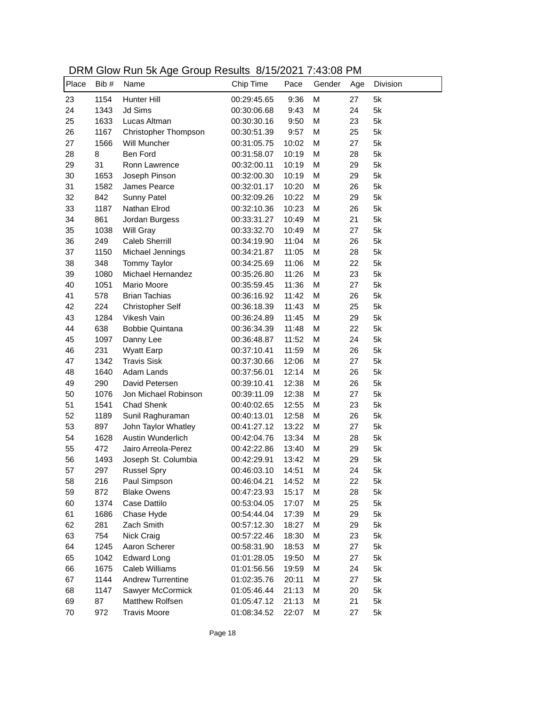| DRM Glow Run 5k Age Group Results 8/15/2021 7:43:08 PM |  |
|--------------------------------------------------------|--|
|--------------------------------------------------------|--|

| Place | Bib # | 2010 - 10.000 - 10.000 - 10.000 - 10.000 - 10.000 - 10.000 - 11.10.000 - 11.10.100<br>Name | Chip Time   | Pace  | Gender | Age | Division |
|-------|-------|--------------------------------------------------------------------------------------------|-------------|-------|--------|-----|----------|
| 23    | 1154  | Hunter Hill                                                                                | 00:29:45.65 | 9:36  | M      | 27  | 5k       |
| 24    | 1343  | Jd Sims                                                                                    | 00:30:06.68 | 9:43  | M      | 24  | 5k       |
| 25    | 1633  | Lucas Altman                                                                               | 00:30:30.16 | 9:50  | M      | 23  | 5k       |
| 26    | 1167  | Christopher Thompson                                                                       | 00:30:51.39 | 9:57  | M      | 25  | 5k       |
| 27    | 1566  | Will Muncher                                                                               | 00:31:05.75 | 10:02 | M      | 27  | 5k       |
| 28    | 8     | <b>Ben Ford</b>                                                                            | 00:31:58.07 | 10:19 | M      | 28  | 5k       |
| 29    | 31    | Ronn Lawrence                                                                              | 00:32:00.11 | 10:19 | M      | 29  | 5k       |
| 30    | 1653  | Joseph Pinson                                                                              | 00:32:00.30 | 10:19 | M      | 29  | 5k       |
| 31    | 1582  | James Pearce                                                                               | 00:32:01.17 | 10:20 | М      | 26  | 5k       |
| 32    | 842   | Sunny Patel                                                                                | 00:32:09.26 | 10:22 | Μ      | 29  | 5k       |
| 33    | 1187  | Nathan Elrod                                                                               | 00:32:10.36 | 10:23 | Μ      | 26  | 5k       |
| 34    | 861   | Jordan Burgess                                                                             | 00:33:31.27 | 10:49 | M      | 21  | 5k       |
| 35    | 1038  | Will Gray                                                                                  | 00:33:32.70 | 10:49 | M      | 27  | 5k       |
| 36    | 249   | <b>Caleb Sherrill</b>                                                                      | 00:34:19.90 | 11:04 | M      | 26  | 5k       |
| 37    | 1150  | Michael Jennings                                                                           | 00:34:21.87 | 11:05 | М      | 28  | 5k       |
| 38    | 348   | Tommy Taylor                                                                               | 00:34:25.69 | 11:06 | M      | 22  | 5k       |
| 39    | 1080  | Michael Hernandez                                                                          | 00:35:26.80 | 11:26 | M      | 23  | 5k       |
| 40    | 1051  | Mario Moore                                                                                | 00:35:59.45 | 11:36 | M      | 27  | 5k       |
| 41    | 578   | <b>Brian Tachias</b>                                                                       | 00:36:16.92 | 11:42 | M      | 26  | 5k       |
| 42    | 224   | <b>Christopher Self</b>                                                                    | 00:36:18.39 | 11:43 | M      | 25  | 5k       |
| 43    | 1284  | Vikesh Vain                                                                                | 00:36:24.89 | 11:45 | M      | 29  | 5k       |
| 44    | 638   | <b>Bobbie Quintana</b>                                                                     | 00:36:34.39 | 11:48 | M      | 22  | 5k       |
| 45    | 1097  | Danny Lee                                                                                  | 00:36:48.87 | 11:52 | M      | 24  | 5k       |
| 46    | 231   | <b>Wyatt Earp</b>                                                                          | 00:37:10.41 | 11:59 | M      | 26  | 5k       |
| 47    | 1342  | <b>Travis Sisk</b>                                                                         | 00:37:30.66 | 12:06 | M      | 27  | 5k       |
| 48    | 1640  | Adam Lands                                                                                 | 00:37:56.01 | 12:14 | M      | 26  | 5k       |
| 49    | 290   | David Petersen                                                                             | 00:39:10.41 | 12:38 | M      | 26  | 5k       |
| 50    | 1076  | Jon Michael Robinson                                                                       | 00:39:11.09 | 12:38 | M      | 27  | 5k       |
| 51    | 1541  | Chad Shenk                                                                                 | 00:40:02.65 | 12:55 | M      | 23  | 5k       |
| 52    | 1189  | Sunil Raghuraman                                                                           | 00:40:13.01 | 12:58 | M      | 26  | 5k       |
| 53    | 897   | John Taylor Whatley                                                                        | 00:41:27.12 | 13:22 | M      | 27  | 5k       |
| 54    | 1628  | Austin Wunderlich                                                                          | 00:42:04.76 | 13:34 | M      | 28  | 5k       |
| 55    | 472   | Jairo Arreola-Perez                                                                        | 00:42:22.86 | 13:40 | М      | 29  | 5k       |
| 56    | 1493  | Joseph St. Columbia                                                                        | 00:42:29.91 | 13:42 | М      | 29  | 5k       |
| 57    | 297   | <b>Russel Spry</b>                                                                         | 00:46:03.10 | 14:51 | Μ      | 24  | 5k       |
| 58    | 216   | Paul Simpson                                                                               | 00:46:04.21 | 14:52 | Μ      | 22  | 5k       |
| 59    | 872   | <b>Blake Owens</b>                                                                         | 00:47:23.93 | 15:17 | М      | 28  | 5k       |
| 60    | 1374  | Case Dattilo                                                                               | 00:53:04.05 | 17:07 | Μ      | 25  | 5k       |
| 61    | 1686  | Chase Hyde                                                                                 | 00:54:44.04 | 17:39 | М      | 29  | 5k       |
| 62    | 281   | Zach Smith                                                                                 | 00:57:12.30 | 18:27 | Μ      | 29  | 5k       |
| 63    | 754   | Nick Craig                                                                                 | 00:57:22.46 | 18:30 | Μ      | 23  | 5k       |
| 64    | 1245  | Aaron Scherer                                                                              | 00:58:31.90 | 18:53 | М      | 27  | 5k       |
| 65    | 1042  | <b>Edward Long</b>                                                                         | 01:01:28.05 | 19:50 | Μ      | 27  | 5k       |
| 66    | 1675  | Caleb Williams                                                                             | 01:01:56.56 | 19:59 | Μ      | 24  | 5k       |
| 67    | 1144  | <b>Andrew Turrentine</b>                                                                   | 01:02:35.76 | 20:11 | М      | 27  | 5k       |
| 68    | 1147  | Sawyer McCormick                                                                           | 01:05:46.44 | 21:13 | М      | 20  | 5k       |
| 69    | 87    | Matthew Rolfsen                                                                            | 01:05:47.12 | 21:13 | Μ      | 21  | 5k       |
| 70    | 972   | <b>Travis Moore</b>                                                                        | 01:08:34.52 | 22:07 | М      | 27  | 5k       |
|       |       |                                                                                            |             |       |        |     |          |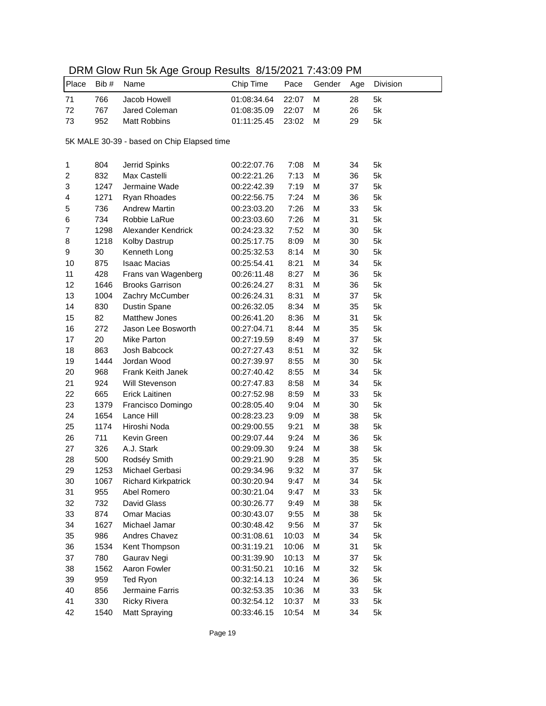| Place                                      | Bib # | 21 YO OO M TWIT ON A GO OTOUP TROUGHO OF TOILOL F T. TO.OO T THE<br>Name | Chip Time   | Pace  | Gender | Age | Division |  |
|--------------------------------------------|-------|--------------------------------------------------------------------------|-------------|-------|--------|-----|----------|--|
| 71                                         | 766   | Jacob Howell                                                             | 01:08:34.64 | 22:07 | M      | 28  | 5k       |  |
| 72                                         | 767   | Jared Coleman                                                            | 01:08:35.09 | 22:07 | M      | 26  | 5k       |  |
| 73                                         | 952   | <b>Matt Robbins</b>                                                      | 01:11:25.45 | 23:02 | M      | 29  | 5k       |  |
|                                            |       |                                                                          |             |       |        |     |          |  |
| 5K MALE 30-39 - based on Chip Elapsed time |       |                                                                          |             |       |        |     |          |  |
| 1                                          | 804   | Jerrid Spinks                                                            | 00:22:07.76 | 7:08  | M      | 34  | 5k       |  |
| $\overline{\mathbf{c}}$                    | 832   | Max Castelli                                                             | 00:22:21.26 | 7:13  | M      | 36  | 5k       |  |
| 3                                          | 1247  | Jermaine Wade                                                            | 00:22:42.39 | 7:19  | M      | 37  | 5k       |  |
| 4                                          | 1271  | Ryan Rhoades                                                             | 00:22:56.75 | 7:24  | M      | 36  | 5k       |  |
| 5                                          | 736   | <b>Andrew Martin</b>                                                     | 00:23:03.20 | 7:26  | M      | 33  | 5k       |  |
| 6                                          | 734   | Robbie LaRue                                                             | 00:23:03.60 | 7:26  | M      | 31  | 5k       |  |
| $\overline{7}$                             | 1298  | Alexander Kendrick                                                       | 00:24:23.32 | 7:52  | M      | 30  | 5k       |  |
| 8                                          | 1218  | Kolby Dastrup                                                            | 00:25:17.75 | 8:09  | M      | 30  | 5k       |  |
| 9                                          | 30    | Kenneth Long                                                             | 00:25:32.53 | 8:14  | M      | 30  | 5k       |  |
| 10                                         | 875   | <b>Isaac Macias</b>                                                      | 00:25:54.41 | 8:21  | M      | 34  | 5k       |  |
| 11                                         | 428   | Frans van Wagenberg                                                      | 00:26:11.48 | 8:27  | M      | 36  | 5k       |  |
| 12                                         | 1646  | <b>Brooks Garrison</b>                                                   | 00:26:24.27 | 8:31  | M      | 36  | 5k       |  |
| 13                                         | 1004  | Zachry McCumber                                                          | 00:26:24.31 | 8:31  | M      | 37  | 5k       |  |
| 14                                         | 830   | Dustin Spane                                                             | 00:26:32.05 | 8:34  | M      | 35  | 5k       |  |
| 15                                         | 82    | Matthew Jones                                                            | 00:26:41.20 | 8:36  | M      | 31  | 5k       |  |
| 16                                         | 272   | Jason Lee Bosworth                                                       | 00:27:04.71 | 8:44  | M      | 35  | 5k       |  |
| 17                                         | 20    | Mike Parton                                                              | 00:27:19.59 | 8:49  | M      | 37  | 5k       |  |
| 18                                         | 863   | Josh Babcock                                                             | 00:27:27.43 | 8:51  | M      | 32  | 5k       |  |
| 19                                         | 1444  | Jordan Wood                                                              | 00:27:39.97 | 8:55  | M      | 30  | 5k       |  |
| 20                                         | 968   | Frank Keith Janek                                                        | 00:27:40.42 | 8:55  | M      | 34  | 5k       |  |
| 21                                         | 924   | Will Stevenson                                                           | 00:27:47.83 | 8:58  | M      | 34  | 5k       |  |
| 22                                         | 665   | Erick Laitinen                                                           | 00:27:52.98 | 8:59  | M      | 33  | 5k       |  |
| 23                                         | 1379  | Francisco Domingo                                                        | 00:28:05.40 | 9:04  | M      | 30  | 5k       |  |
| 24                                         | 1654  | Lance Hill                                                               | 00:28:23.23 | 9:09  | M      | 38  | 5k       |  |
| 25                                         | 1174  | Hiroshi Noda                                                             | 00:29:00.55 | 9:21  | M      | 38  | 5k       |  |
| 26                                         | 711   | Kevin Green                                                              | 00:29:07.44 | 9:24  | M      | 36  | 5k       |  |
| 27                                         | 326   | A.J. Stark                                                               | 00:29:09.30 | 9:24  | M      | 38  | 5k       |  |
| 28                                         | 500   | Rodséy Smith                                                             | 00:29:21.90 | 9:28  | M      | 35  | 5k       |  |
| 29                                         | 1253  | Michael Gerbasi                                                          | 00:29:34.96 | 9:32  | M      | 37  | 5k       |  |
| 30                                         | 1067  | <b>Richard Kirkpatrick</b>                                               | 00:30:20.94 | 9:47  | M      | 34  | 5k       |  |
| 31                                         | 955   | Abel Romero                                                              | 00:30:21.04 | 9:47  | M      | 33  | 5k       |  |
| 32                                         | 732   | David Glass                                                              | 00:30:26.77 | 9:49  | M      | 38  | 5k       |  |
| 33                                         | 874   | Omar Macias                                                              | 00:30:43.07 | 9:55  | M      | 38  | 5k       |  |
| 34                                         | 1627  | Michael Jamar                                                            | 00:30:48.42 | 9:56  | M      | 37  | 5k       |  |
| 35                                         | 986   | Andres Chavez                                                            | 00:31:08.61 | 10:03 | M      | 34  | 5k       |  |
| 36                                         | 1534  | Kent Thompson                                                            | 00:31:19.21 | 10:06 | M      | 31  | 5k       |  |
| 37                                         | 780   | Gaurav Negi                                                              | 00:31:39.90 | 10:13 | M      | 37  | 5k       |  |
| 38                                         | 1562  | Aaron Fowler                                                             | 00:31:50.21 | 10:16 | M      | 32  | 5k       |  |
| 39                                         | 959   | Ted Ryon                                                                 | 00:32:14.13 | 10:24 | M      | 36  | 5k       |  |
| 40                                         | 856   | Jermaine Farris                                                          | 00:32:53.35 | 10:36 | M      | 33  | 5k       |  |
| 41                                         | 330   | <b>Ricky Rivera</b>                                                      | 00:32:54.12 | 10:37 | M      | 33  | 5k       |  |
| 42                                         | 1540  | Matt Spraying                                                            | 00:33:46.15 | 10:54 | M      | 34  | 5k       |  |
|                                            |       |                                                                          |             |       |        |     |          |  |

## DRM Glow Run 5k Age Group Results 8/15/2021 7:43:09 PM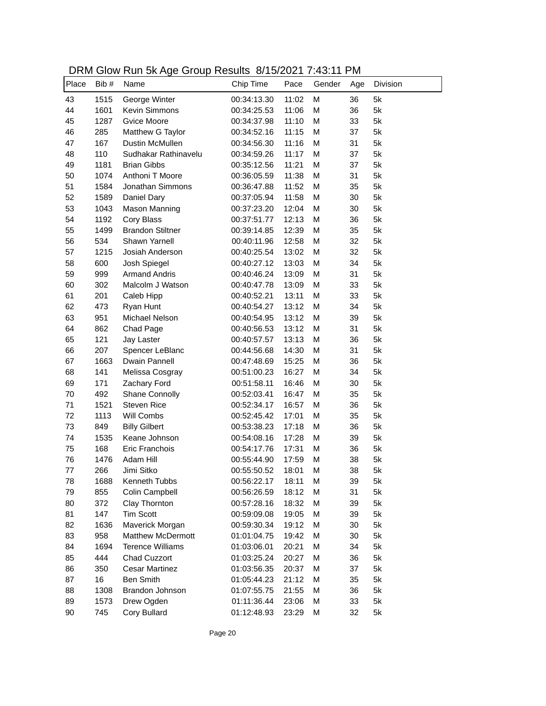| DRM Glow Run 5k Age Group Results 8/15/2021 7:43:11 PM |  |
|--------------------------------------------------------|--|
|--------------------------------------------------------|--|

| 43<br>George Winter<br>M<br>5k<br>1515<br>00:34:13.30<br>11:02<br>36<br>44<br>1601<br>Kevin Simmons<br>00:34:25.53<br>11:06<br>M<br>36<br>5k<br>5k<br>45<br>Gvice Moore<br>00:34:37.98<br>11:10<br>M<br>33<br>1287<br>5k<br>46<br>Matthew G Taylor<br>00:34:52.16<br>11:15<br>M<br>37<br>285<br>5k<br>47<br>167<br>Dustin McMullen<br>00:34:56.30<br>11:16<br>M<br>31<br>48<br>110<br>Sudhakar Rathinavelu<br>11:17<br>M<br>37<br>5k<br>00:34:59.26 |  |
|-----------------------------------------------------------------------------------------------------------------------------------------------------------------------------------------------------------------------------------------------------------------------------------------------------------------------------------------------------------------------------------------------------------------------------------------------------|--|
|                                                                                                                                                                                                                                                                                                                                                                                                                                                     |  |
|                                                                                                                                                                                                                                                                                                                                                                                                                                                     |  |
|                                                                                                                                                                                                                                                                                                                                                                                                                                                     |  |
|                                                                                                                                                                                                                                                                                                                                                                                                                                                     |  |
|                                                                                                                                                                                                                                                                                                                                                                                                                                                     |  |
|                                                                                                                                                                                                                                                                                                                                                                                                                                                     |  |
| 49<br>1181<br><b>Brian Gibbs</b><br>11:21<br>M<br>37<br>5k<br>00:35:12.56                                                                                                                                                                                                                                                                                                                                                                           |  |
| 50<br>Anthoni T Moore<br>M<br>31<br>5k<br>1074<br>00:36:05.59<br>11:38                                                                                                                                                                                                                                                                                                                                                                              |  |
| 51<br>1584<br>Jonathan Simmons<br>11:52<br>35<br>5k<br>00:36:47.88<br>M                                                                                                                                                                                                                                                                                                                                                                             |  |
| 52<br>1589<br>Daniel Dary<br>00:37:05.94<br>11:58<br>30<br>5k<br>M                                                                                                                                                                                                                                                                                                                                                                                  |  |
| 53<br>12:04<br>30<br>5k<br>1043<br>Mason Manning<br>00:37:23.20<br>M                                                                                                                                                                                                                                                                                                                                                                                |  |
| 54<br>1192<br>Cory Blass<br>00:37:51.77<br>36<br>5k<br>12:13<br>M                                                                                                                                                                                                                                                                                                                                                                                   |  |
| 55<br>1499<br><b>Brandon Stiltner</b><br>M<br>35<br>5k<br>00:39:14.85<br>12:39                                                                                                                                                                                                                                                                                                                                                                      |  |
| 56<br>Shawn Yarnell<br>32<br>5k<br>534<br>00:40:11.96<br>12:58<br>M                                                                                                                                                                                                                                                                                                                                                                                 |  |
| 57<br>32<br>5k<br>1215<br>Josiah Anderson<br>00:40:25.54<br>13:02<br>M                                                                                                                                                                                                                                                                                                                                                                              |  |
| 58<br>600<br>Josh Spiegel<br>M<br>34<br>5k<br>00:40:27.12<br>13:03                                                                                                                                                                                                                                                                                                                                                                                  |  |
| 59<br>999<br><b>Armand Andris</b><br>M<br>31<br>5k<br>00:40:46.24<br>13:09                                                                                                                                                                                                                                                                                                                                                                          |  |
| 60<br>302<br>Malcolm J Watson<br>M<br>33<br>5k<br>00:40:47.78<br>13:09                                                                                                                                                                                                                                                                                                                                                                              |  |
| 61<br>201<br>M<br>33<br>5k<br>Caleb Hipp<br>00:40:52.21<br>13:11                                                                                                                                                                                                                                                                                                                                                                                    |  |
| 62<br>M<br>34<br>5k<br>473<br>Ryan Hunt<br>00:40:54.27<br>13:12                                                                                                                                                                                                                                                                                                                                                                                     |  |
| 63<br>M<br>39<br>5k<br>951<br>Michael Nelson<br>00:40:54.95<br>13:12                                                                                                                                                                                                                                                                                                                                                                                |  |
| 64<br>M<br>31<br>5k<br>862<br>Chad Page<br>00:40:56.53<br>13:12                                                                                                                                                                                                                                                                                                                                                                                     |  |
| 65<br>121<br>M<br>36<br>5k<br>Jay Laster<br>00:40:57.57<br>13:13                                                                                                                                                                                                                                                                                                                                                                                    |  |
| 31<br>66<br>M<br>5k<br>207<br>Spencer LeBlanc<br>00:44:56.68<br>14:30                                                                                                                                                                                                                                                                                                                                                                               |  |
| 67<br>1663<br>Dwain Pannell<br>M<br>36<br>5k<br>00:47:48.69<br>15:25                                                                                                                                                                                                                                                                                                                                                                                |  |
| 68<br>141<br>M<br>34<br>5k<br>Melissa Cosgray<br>00:51:00.23<br>16:27                                                                                                                                                                                                                                                                                                                                                                               |  |
| 5k<br>69<br>Zachary Ford<br>00:51:58.11<br>M<br>171<br>16:46<br>30                                                                                                                                                                                                                                                                                                                                                                                  |  |
| 5k<br>70<br>Shane Connolly<br>M<br>35<br>492<br>00:52:03.41<br>16:47                                                                                                                                                                                                                                                                                                                                                                                |  |
| 5k<br>71<br>1521<br><b>Steven Rice</b><br>00:52:34.17<br>M<br>36<br>16:57                                                                                                                                                                                                                                                                                                                                                                           |  |
| 5k<br>72<br>1113<br>Will Combs<br>00:52:45.42<br>17:01<br>M<br>35                                                                                                                                                                                                                                                                                                                                                                                   |  |
| 73<br><b>Billy Gilbert</b><br>M<br>36<br>5k<br>849<br>00:53:38.23<br>17:18                                                                                                                                                                                                                                                                                                                                                                          |  |
| 74<br>Keane Johnson<br>M<br>39<br>5k<br>1535<br>00:54:08.16<br>17:28                                                                                                                                                                                                                                                                                                                                                                                |  |
| 75<br>168<br>Eric Franchois<br>36<br>5k<br>00:54:17.76<br>17:31<br>M                                                                                                                                                                                                                                                                                                                                                                                |  |
| 76<br>1476<br>Adam Hill<br>17:59<br>38<br>5k<br>00:55:44.90<br>M                                                                                                                                                                                                                                                                                                                                                                                    |  |
| 38<br>266<br>Jimi Sitko<br>00:55:50.52<br>18:01<br>Μ<br>5k<br>77                                                                                                                                                                                                                                                                                                                                                                                    |  |
| M<br>78<br>1688<br>Kenneth Tubbs<br>00:56:22.17<br>18:11<br>39<br>5k                                                                                                                                                                                                                                                                                                                                                                                |  |
| 79<br>855<br>18:12<br>M<br>31<br>5k<br>Colin Campbell<br>00:56:26.59                                                                                                                                                                                                                                                                                                                                                                                |  |
| 80<br>372<br>Clay Thornton<br>5k<br>00:57:28.16<br>18:32<br>M<br>39                                                                                                                                                                                                                                                                                                                                                                                 |  |
| 81<br>147<br><b>Tim Scott</b><br>5k<br>00:59:09.08<br>19:05<br>M<br>39                                                                                                                                                                                                                                                                                                                                                                              |  |
| 82<br>Maverick Morgan<br>5k<br>1636<br>00:59:30.34<br>19:12<br>M<br>30                                                                                                                                                                                                                                                                                                                                                                              |  |
| 83<br>958<br><b>Matthew McDermott</b><br>M<br>30<br>5k<br>01:01:04.75<br>19:42                                                                                                                                                                                                                                                                                                                                                                      |  |
| 84<br>1694<br><b>Terence Williams</b><br>34<br>5k<br>01:03:06.01<br>20:21<br>M                                                                                                                                                                                                                                                                                                                                                                      |  |
| 85<br>Chad Cuzzort<br>5k<br>444<br>01:03:25.24<br>20:27<br>M<br>36                                                                                                                                                                                                                                                                                                                                                                                  |  |
| 86<br><b>Cesar Martinez</b><br>37<br>350<br>01:03:56.35<br>20:37<br>M<br>5k                                                                                                                                                                                                                                                                                                                                                                         |  |
| 16<br>35<br>87<br><b>Ben Smith</b><br>01:05:44.23<br>21:12<br>M<br>5k                                                                                                                                                                                                                                                                                                                                                                               |  |
| 88<br>1308<br>Brandon Johnson<br>01:07:55.75<br>21:55<br>M<br>36<br>5k                                                                                                                                                                                                                                                                                                                                                                              |  |
| 89<br>01:11:36.44<br>33<br>5k<br>1573<br>Drew Ogden<br>23:06<br>M                                                                                                                                                                                                                                                                                                                                                                                   |  |
| $90\,$<br>745<br>Cory Bullard<br>32<br>01:12:48.93<br>23:29<br>M<br>5k                                                                                                                                                                                                                                                                                                                                                                              |  |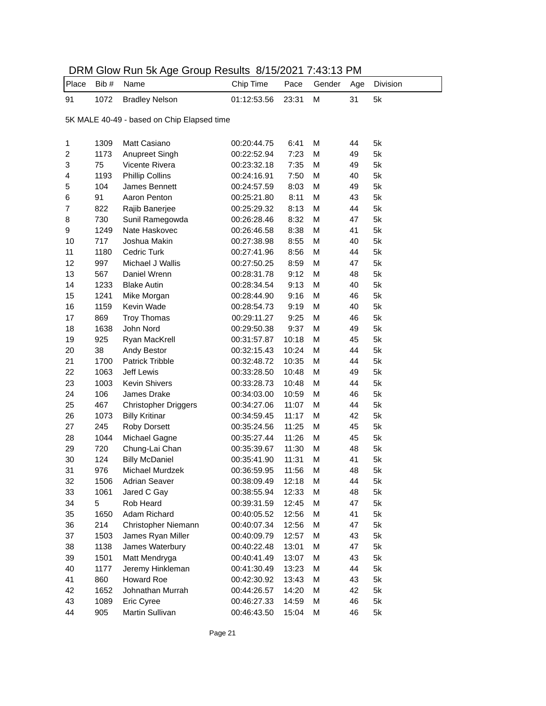| Place                                      | Bib# | Name                        | Chip Time   | Pace  | Gender | Age | Division      |  |
|--------------------------------------------|------|-----------------------------|-------------|-------|--------|-----|---------------|--|
| 91                                         | 1072 | <b>Bradley Nelson</b>       | 01:12:53.56 | 23:31 | M      | 31  | 5k            |  |
| 5K MALE 40-49 - based on Chip Elapsed time |      |                             |             |       |        |     |               |  |
|                                            |      |                             |             |       |        |     |               |  |
| 1                                          | 1309 | Matt Casiano                | 00:20:44.75 | 6:41  | M      | 44  | 5k            |  |
| 2                                          | 1173 | Anupreet Singh              | 00:22:52.94 | 7:23  | M      | 49  | 5k            |  |
| 3                                          | 75   | Vicente Rivera              | 00:23:32.18 | 7:35  | M      | 49  | 5k            |  |
| 4                                          | 1193 | <b>Phillip Collins</b>      | 00:24:16.91 | 7:50  | M      | 40  | 5k            |  |
| 5                                          | 104  | James Bennett               | 00:24:57.59 | 8:03  | M      | 49  | 5k            |  |
| 6                                          | 91   | Aaron Penton                | 00:25:21.80 | 8:11  | M      | 43  | 5k            |  |
| 7                                          | 822  | Rajib Banerjee              | 00:25:29.32 | 8:13  | M      | 44  | 5k            |  |
| 8                                          | 730  | Sunil Ramegowda             | 00:26:28.46 | 8:32  | M      | 47  | 5k            |  |
| 9                                          | 1249 | Nate Haskovec               | 00:26:46.58 | 8:38  | M      | 41  | 5k            |  |
| 10                                         | 717  | Joshua Makin                | 00:27:38.98 | 8:55  | M      | 40  | 5k            |  |
| 11                                         | 1180 | Cedric Turk                 | 00:27:41.96 | 8:56  | M      | 44  | 5k            |  |
| 12                                         | 997  | Michael J Wallis            | 00:27:50.25 | 8:59  | M      | 47  | 5k            |  |
| 13                                         | 567  | Daniel Wrenn                | 00:28:31.78 | 9:12  | M      | 48  | 5k            |  |
| 14                                         | 1233 | <b>Blake Autin</b>          | 00:28:34.54 | 9:13  | M      | 40  | 5k            |  |
| 15                                         | 1241 | Mike Morgan                 | 00:28:44.90 | 9:16  | M      | 46  | 5k            |  |
| 16                                         | 1159 | Kevin Wade                  | 00:28:54.73 | 9:19  | M      | 40  | 5k            |  |
| 17                                         | 869  | <b>Troy Thomas</b>          | 00:29:11.27 | 9:25  | M      | 46  | 5k            |  |
| 18                                         | 1638 | John Nord                   | 00:29:50.38 | 9:37  | M      | 49  | 5k            |  |
| 19                                         | 925  | Ryan MacKrell               | 00:31:57.87 | 10:18 | M      | 45  | 5k            |  |
| 20                                         | 38   | Andy Bestor                 | 00:32:15.43 | 10:24 | M      | 44  | 5k            |  |
| 21                                         | 1700 | <b>Patrick Tribble</b>      | 00:32:48.72 | 10:35 | M      | 44  | 5k            |  |
| 22                                         | 1063 | <b>Jeff Lewis</b>           | 00:33:28.50 | 10:48 | M      | 49  | 5k            |  |
| 23                                         | 1003 | <b>Kevin Shivers</b>        | 00:33:28.73 | 10:48 | M      | 44  | 5k            |  |
| 24                                         | 106  | James Drake                 | 00:34:03.00 | 10:59 | M      | 46  | 5k            |  |
| 25                                         | 467  | <b>Christopher Driggers</b> | 00:34:27.06 | 11:07 | M      | 44  | 5k            |  |
| 26                                         | 1073 | <b>Billy Kritinar</b>       | 00:34:59.45 | 11:17 | M      | 42  | 5k            |  |
| 27                                         | 245  | Roby Dorsett                | 00:35:24.56 | 11:25 | M      | 45  | 5k            |  |
| 28                                         | 1044 | Michael Gagne               | 00:35:27.44 | 11:26 | M      | 45  | 5k            |  |
| 29                                         | 720  | Chung-Lai Chan              | 00:35:39.67 | 11:30 | M      | 48  | 5k            |  |
| 30                                         | 124  | <b>Billy McDaniel</b>       | 00:35:41.90 | 11:31 | M      | 41  | 5k            |  |
| 31                                         | 976  | Michael Murdzek             | 00:36:59.95 | 11:56 | M      | 48  | 5k            |  |
| 32                                         | 1506 | Adrian Seaver               | 00:38:09.49 | 12:18 | M      | 44  | 5k            |  |
| 33                                         | 1061 | Jared C Gay                 | 00:38:55.94 | 12:33 | M      | 48  | 5k            |  |
| 34                                         | 5    | Rob Heard                   | 00:39:31.59 | 12:45 | M      | 47  | $5\mathsf{k}$ |  |
| 35                                         | 1650 | Adam Richard                | 00:40:05.52 | 12:56 | M      | 41  | $5\mathsf{k}$ |  |
| 36                                         | 214  | Christopher Niemann         | 00:40:07.34 | 12:56 | M      | 47  | $5\mathsf{k}$ |  |
| 37                                         | 1503 | James Ryan Miller           | 00:40:09.79 | 12:57 | M      | 43  | 5k            |  |
| 38                                         | 1138 | James Waterbury             | 00:40:22.48 | 13:01 | M      | 47  | 5k            |  |
| 39                                         | 1501 | Matt Mendryga               | 00:40:41.49 | 13:07 | M      | 43  | 5k            |  |
| 40                                         | 1177 | Jeremy Hinkleman            | 00:41:30.49 | 13:23 | M      | 44  | 5k            |  |
| 41                                         | 860  | Howard Roe                  | 00:42:30.92 | 13:43 | M      | 43  | 5k            |  |
| 42                                         | 1652 | Johnathan Murrah            | 00:44:26.57 | 14:20 | M      | 42  | 5k            |  |
| 43                                         | 1089 | Eric Cyree                  | 00:46:27.33 | 14:59 | M      | 46  | 5k            |  |
| 44                                         | 905  | Martin Sullivan             | 00:46:43.50 | 15:04 | M      | 46  | 5k            |  |

## DRM Glow Run 5k Age Group Results 8/15/2021 7:43:13 PM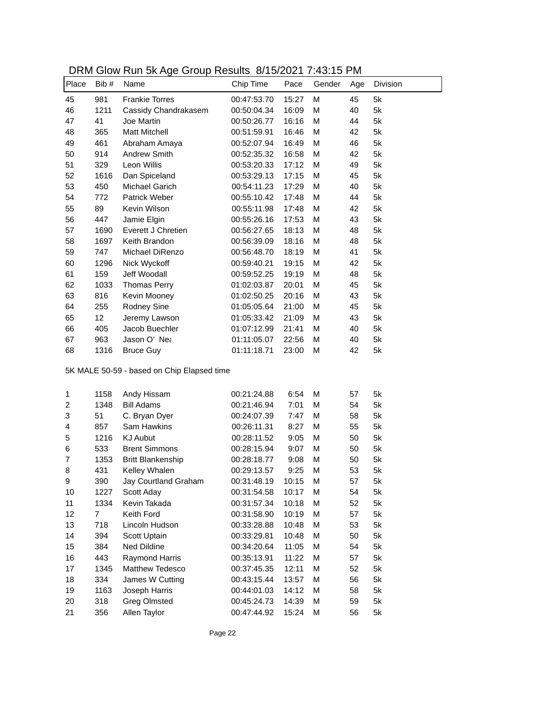| Place | Bib #           | Name                  | Chip Time   | Pace  | Gender | Age | Division |
|-------|-----------------|-----------------------|-------------|-------|--------|-----|----------|
| 45    | 981             | <b>Frankie Torres</b> | 00:47:53.70 | 15:27 | M      | 45  | 5k       |
| 46    | 1211            | Cassidy Chandrakasem  | 00:50:04.34 | 16:09 | M      | 40  | 5k       |
| 47    | 41              | Joe Martin            | 00:50:26.77 | 16:16 | M      | 44  | 5k       |
| 48    | 365             | <b>Matt Mitchell</b>  | 00:51:59.91 | 16:46 | M      | 42  | 5k       |
| 49    | 461             | Abraham Amaya         | 00:52:07.94 | 16:49 | M      | 46  | 5k       |
| 50    | 914             | <b>Andrew Smith</b>   | 00:52:35.32 | 16:58 | M      | 42  | 5k       |
| 51    | 329             | Leon Willis           | 00:53:20.33 | 17:12 | M      | 49  | 5k       |
| 52    | 1616            | Dan Spiceland         | 00:53:29.13 | 17:15 | M      | 45  | 5k       |
| 53    | 450             | Michael Garich        | 00:54:11.23 | 17:29 | M      | 40  | 5k       |
| 54    | 772             | <b>Patrick Weber</b>  | 00:55:10.42 | 17:48 | M      | 44  | 5k       |
| 55    | 89              | Kevin Wilson          | 00:55:11.98 | 17:48 | M      | 42  | 5k       |
| 56    | 447             | Jamie Elgin           | 00:55:26.16 | 17:53 | M      | 43  | 5k       |
| 57    | 1690            | Everett J Chretien    | 00:56:27.65 | 18:13 | M      | 48  | 5k       |
| 58    | 1697            | Keith Brandon         | 00:56:39.09 | 18:16 | M      | 48  | 5k       |
| 59    | 747             | Michael DiRenzo       | 00:56:48.70 | 18:19 | M      | 41  | 5k       |
| 60    | 1296            | Nick Wyckoff          | 00:59:40.21 | 19:15 | M      | 42  | 5k       |
| 61    | 159             | Jeff Woodall          | 00:59:52.25 | 19:19 | M      | 48  | 5k       |
| 62    | 1033            | Thomas Perry          | 01:02:03.87 | 20:01 | M      | 45  | 5k       |
| 63    | 816             | Kevin Mooney          | 01:02:50.25 | 20:16 | M      | 43  | 5k       |
| 64    | 255             | Rodney Sine           | 01:05:05.64 | 21:00 | M      | 45  | 5k       |
| 65    | 12 <sub>2</sub> | Jeremy Lawson         | 01:05:33.42 | 21:09 | M      | 43  | 5k       |
| 66    | 405             | Jacob Buechler        | 01:07:12.99 | 21:41 | M      | 40  | 5k       |
| 67    | 963             | Jason O' Nea          | 01:11:05.07 | 22:56 | M      | 40  | 5k       |
| 68    | 1316            | <b>Bruce Guy</b>      | 01:11:18.71 | 23:00 | M      | 42  | 5k       |

DRM Glow Run 5k Age Group Results 8/15/2021 7:43:15 PM

5K MALE 50-59 - based on Chip Elapsed time

| 1  | 1158           | Andy Hissam              | 00:21:24.88 | 6:54  | M | 57 | 5k |
|----|----------------|--------------------------|-------------|-------|---|----|----|
| 2  | 1348           | <b>Bill Adams</b>        | 00:21:46.94 | 7:01  | M | 54 | 5k |
| 3  | 51             | C. Bryan Dyer            | 00:24:07.39 | 7:47  | M | 58 | 5k |
| 4  | 857            | Sam Hawkins              | 00:26:11.31 | 8:27  | M | 55 | 5k |
| 5  | 1216           | <b>KJ Aubut</b>          | 00:28:11.52 | 9:05  | M | 50 | 5k |
| 6  | 533            | <b>Brent Simmons</b>     | 00:28:15.94 | 9:07  | M | 50 | 5k |
| 7  | 1353           | <b>Britt Blankenship</b> | 00:28:18.77 | 9:08  | M | 50 | 5k |
| 8  | 431            | Kelley Whalen            | 00:29:13.57 | 9:25  | M | 53 | 5k |
| 9  | 390            | Jay Courtland Graham     | 00:31:48.19 | 10:15 | M | 57 | 5k |
| 10 | 1227           | Scott Aday               | 00:31:54.58 | 10:17 | м | 54 | 5k |
| 11 | 1334           | Kevin Takada             | 00:31:57.34 | 10:18 | M | 52 | 5k |
| 12 | $\overline{7}$ | Keith Ford               | 00:31:58.90 | 10:19 | M | 57 | 5k |
| 13 | 718            | Lincoln Hudson           | 00:33:28.88 | 10:48 | M | 53 | 5k |
| 14 | 394            | Scott Uptain             | 00:33:29.81 | 10:48 | M | 50 | 5k |
| 15 | 384            | Ned Dildine              | 00:34:20.64 | 11:05 | M | 54 | 5k |
| 16 | 443            | <b>Raymond Harris</b>    | 00:35:13.91 | 11:22 | M | 57 | 5k |
| 17 | 1345           | <b>Matthew Tedesco</b>   | 00:37:45.35 | 12:11 | M | 52 | 5k |
| 18 | 334            | James W Cutting          | 00:43:15.44 | 13:57 | M | 56 | 5k |
| 19 | 1163           | Joseph Harris            | 00:44:01.03 | 14:12 | M | 58 | 5k |
| 20 | 318            | <b>Greg Olmsted</b>      | 00:45:24.73 | 14:39 | м | 59 | 5k |
| 21 | 356            | Allen Taylor             | 00:47:44.92 | 15:24 | M | 56 | 5k |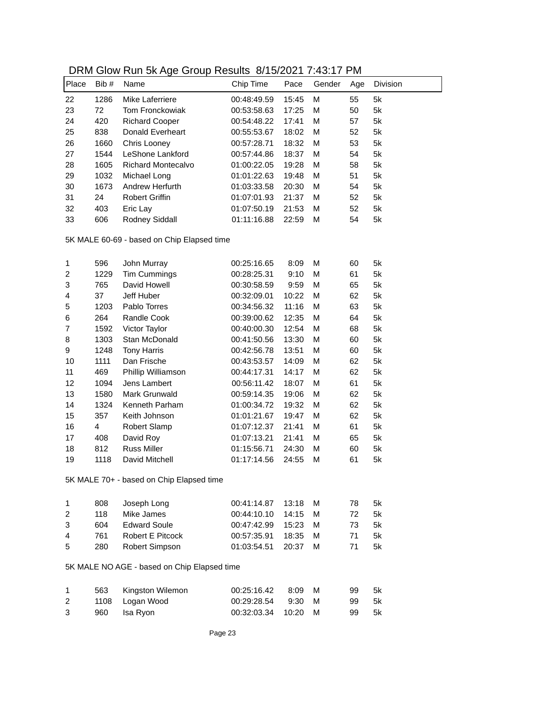### DRM Glow Run 5k Age Group Results 8/15/2021 7:43:17 PM

| Chip Time<br>Division<br>Place<br>Bib #<br>Name<br>Pace<br>Gender<br>Age<br>M<br>1286<br>Mike Laferriere<br>00:48:49.59<br>55<br>5k<br>22<br>15:45<br>23<br>72<br>Tom Fronckowiak<br>M<br>50<br>5k<br>00:53:58.63<br>17:25<br>5k<br>24<br>420<br>M<br>57<br><b>Richard Cooper</b><br>00:54:48.22<br>17:41<br>5k<br>25<br>838<br>Donald Everheart<br>M<br>52<br>00:55:53.67<br>18:02<br>53<br>5k<br>26<br>1660<br>Chris Looney<br>00:57:28.71<br>18:32<br>M<br>27<br>1544<br>LeShone Lankford<br>18:37<br>M<br>54<br>5k<br>00:57:44.86<br>1605<br>Richard Montecalvo<br>M<br>58<br>5k<br>28<br>01:00:22.05<br>19:28<br>1032<br>M<br>51<br>5k<br>29<br>Michael Long<br>01:01:22.63<br>19:48<br>1673<br>Andrew Herfurth<br>5k<br>30<br>01:03:33.58<br>20:30<br>M<br>54 |
|---------------------------------------------------------------------------------------------------------------------------------------------------------------------------------------------------------------------------------------------------------------------------------------------------------------------------------------------------------------------------------------------------------------------------------------------------------------------------------------------------------------------------------------------------------------------------------------------------------------------------------------------------------------------------------------------------------------------------------------------------------------------|
|                                                                                                                                                                                                                                                                                                                                                                                                                                                                                                                                                                                                                                                                                                                                                                     |
|                                                                                                                                                                                                                                                                                                                                                                                                                                                                                                                                                                                                                                                                                                                                                                     |
|                                                                                                                                                                                                                                                                                                                                                                                                                                                                                                                                                                                                                                                                                                                                                                     |
|                                                                                                                                                                                                                                                                                                                                                                                                                                                                                                                                                                                                                                                                                                                                                                     |
|                                                                                                                                                                                                                                                                                                                                                                                                                                                                                                                                                                                                                                                                                                                                                                     |
|                                                                                                                                                                                                                                                                                                                                                                                                                                                                                                                                                                                                                                                                                                                                                                     |
|                                                                                                                                                                                                                                                                                                                                                                                                                                                                                                                                                                                                                                                                                                                                                                     |
|                                                                                                                                                                                                                                                                                                                                                                                                                                                                                                                                                                                                                                                                                                                                                                     |
|                                                                                                                                                                                                                                                                                                                                                                                                                                                                                                                                                                                                                                                                                                                                                                     |
|                                                                                                                                                                                                                                                                                                                                                                                                                                                                                                                                                                                                                                                                                                                                                                     |
| 31<br><b>Robert Griffin</b><br>01:07:01.93<br>52<br>5k<br>24<br>21:37<br>M                                                                                                                                                                                                                                                                                                                                                                                                                                                                                                                                                                                                                                                                                          |
| 32<br>403<br>01:07:50.19<br>52<br>5k<br>Eric Lay<br>21:53<br>M                                                                                                                                                                                                                                                                                                                                                                                                                                                                                                                                                                                                                                                                                                      |
| 33<br>606<br>Rodney Siddall<br>M<br>54<br>5k<br>01:11:16.88<br>22:59                                                                                                                                                                                                                                                                                                                                                                                                                                                                                                                                                                                                                                                                                                |
| 5K MALE 60-69 - based on Chip Elapsed time                                                                                                                                                                                                                                                                                                                                                                                                                                                                                                                                                                                                                                                                                                                          |
| 596<br>John Murray<br>00:25:16.65<br>8:09<br>M<br>5k<br>60<br>1                                                                                                                                                                                                                                                                                                                                                                                                                                                                                                                                                                                                                                                                                                     |
| Tim Cummings<br>2<br>9:10<br>M<br>61<br>5k<br>1229<br>00:28:25.31                                                                                                                                                                                                                                                                                                                                                                                                                                                                                                                                                                                                                                                                                                   |
| 3<br>765<br>David Howell<br>M<br>65<br>5k<br>00:30:58.59<br>9:59                                                                                                                                                                                                                                                                                                                                                                                                                                                                                                                                                                                                                                                                                                    |
| 37<br>Jeff Huber<br>M<br>62<br>5k<br>4<br>00:32:09.01<br>10:22                                                                                                                                                                                                                                                                                                                                                                                                                                                                                                                                                                                                                                                                                                      |
| 1203<br>M<br>63<br>5k<br>5<br>Pablo Torres<br>00:34:56.32<br>11:16                                                                                                                                                                                                                                                                                                                                                                                                                                                                                                                                                                                                                                                                                                  |
| Randle Cook<br>M<br>5k<br>6<br>264<br>00:39:00.62<br>12:35<br>64                                                                                                                                                                                                                                                                                                                                                                                                                                                                                                                                                                                                                                                                                                    |
| 7<br>1592<br>Victor Taylor<br>00:40:00.30<br>12:54<br>M<br>68<br>5k                                                                                                                                                                                                                                                                                                                                                                                                                                                                                                                                                                                                                                                                                                 |
| 8<br>1303<br>Stan McDonald<br>M<br>60<br>5k<br>00:41:50.56<br>13:30                                                                                                                                                                                                                                                                                                                                                                                                                                                                                                                                                                                                                                                                                                 |
| 9<br>1248<br>Tony Harris<br>00:42:56.78<br>M<br>60<br>5k<br>13:51                                                                                                                                                                                                                                                                                                                                                                                                                                                                                                                                                                                                                                                                                                   |
| 10<br>1111<br>Dan Frische<br>M<br>62<br>5k<br>00:43:53.57<br>14:09                                                                                                                                                                                                                                                                                                                                                                                                                                                                                                                                                                                                                                                                                                  |
| 11<br>469<br>Phillip Williamson<br>00:44:17.31<br>M<br>62<br>5k<br>14:17                                                                                                                                                                                                                                                                                                                                                                                                                                                                                                                                                                                                                                                                                            |
| 5k<br>12<br>1094<br>Jens Lambert<br>M<br>61<br>00:56:11.42<br>18:07                                                                                                                                                                                                                                                                                                                                                                                                                                                                                                                                                                                                                                                                                                 |
| 5k<br>13<br>1580<br>Mark Grunwald<br>M<br>62<br>00:59:14.35<br>19:06                                                                                                                                                                                                                                                                                                                                                                                                                                                                                                                                                                                                                                                                                                |
| 5k<br>14<br>1324<br>Kenneth Parham<br>01:00:34.72<br>M<br>62<br>19:32                                                                                                                                                                                                                                                                                                                                                                                                                                                                                                                                                                                                                                                                                               |
| 62<br>5k<br>15<br>357<br>Keith Johnson<br>01:01:21.67<br>19:47<br>M                                                                                                                                                                                                                                                                                                                                                                                                                                                                                                                                                                                                                                                                                                 |
| 16<br>4<br>Robert Slamp<br>21:41<br>M<br>61<br>5k<br>01:07:12.37                                                                                                                                                                                                                                                                                                                                                                                                                                                                                                                                                                                                                                                                                                    |
| 17<br>408<br>David Roy<br>01:07:13.21<br>21:41<br>M<br>65<br>5k                                                                                                                                                                                                                                                                                                                                                                                                                                                                                                                                                                                                                                                                                                     |
| <b>Russ Miller</b><br>18<br>812<br>01:15:56.71<br>M<br>60<br>5k<br>24:30                                                                                                                                                                                                                                                                                                                                                                                                                                                                                                                                                                                                                                                                                            |
| David Mitchell<br>01:17:14.56<br>61<br>5k<br>19<br>1118<br>24:55<br>M                                                                                                                                                                                                                                                                                                                                                                                                                                                                                                                                                                                                                                                                                               |
| 5K MALE 70+ - based on Chip Elapsed time                                                                                                                                                                                                                                                                                                                                                                                                                                                                                                                                                                                                                                                                                                                            |
| M<br>5k<br>808<br>Joseph Long<br>00:41:14.87<br>13:18<br>78<br>1                                                                                                                                                                                                                                                                                                                                                                                                                                                                                                                                                                                                                                                                                                    |
| $\overline{\mathbf{c}}$<br>118<br>Mike James<br>00:44:10.10<br>14:15<br>M<br>72<br>5k                                                                                                                                                                                                                                                                                                                                                                                                                                                                                                                                                                                                                                                                               |
| 604<br><b>Edward Soule</b><br>15:23<br>M<br>5k<br>3<br>00:47:42.99<br>73                                                                                                                                                                                                                                                                                                                                                                                                                                                                                                                                                                                                                                                                                            |
| 761<br>Robert E Pitcock<br>00:57:35.91<br>18:35<br>M<br>71<br>5k<br>4                                                                                                                                                                                                                                                                                                                                                                                                                                                                                                                                                                                                                                                                                               |
| 280<br>Robert Simpson<br>M<br>71<br>5k<br>5<br>01:03:54.51<br>20:37                                                                                                                                                                                                                                                                                                                                                                                                                                                                                                                                                                                                                                                                                                 |
| 5K MALE NO AGE - based on Chip Elapsed time                                                                                                                                                                                                                                                                                                                                                                                                                                                                                                                                                                                                                                                                                                                         |
| 563<br>Kingston Wilemon<br>M<br>5k<br>00:25:16.42<br>8:09<br>99<br>1                                                                                                                                                                                                                                                                                                                                                                                                                                                                                                                                                                                                                                                                                                |
| Logan Wood<br>2<br>1108<br>00:29:28.54<br>9:30<br>M<br>5k<br>99                                                                                                                                                                                                                                                                                                                                                                                                                                                                                                                                                                                                                                                                                                     |
| 3<br>960<br>Isa Ryon<br>00:32:03.34<br>10:20<br>5k<br>M<br>99                                                                                                                                                                                                                                                                                                                                                                                                                                                                                                                                                                                                                                                                                                       |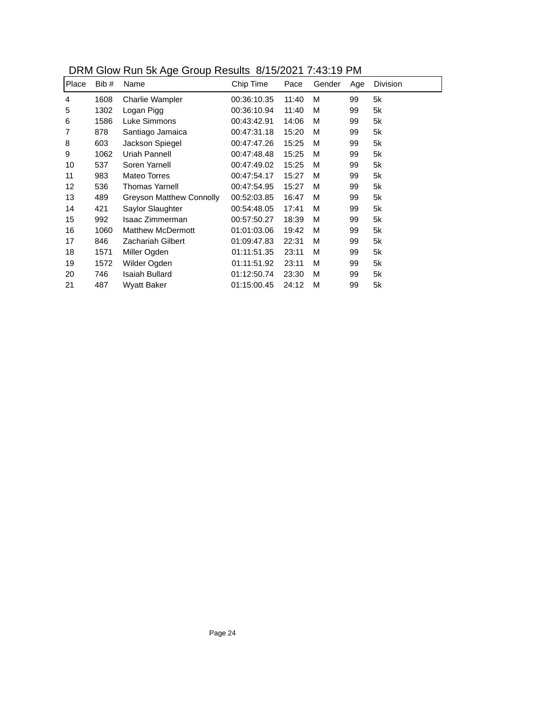|       |      |                                 | ----        |       |        |     |          |
|-------|------|---------------------------------|-------------|-------|--------|-----|----------|
| Place | Bib# | Name                            | Chip Time   | Pace  | Gender | Age | Division |
| 4     | 1608 | Charlie Wampler                 | 00:36:10.35 | 11:40 | M      | 99  | 5k       |
| 5     | 1302 | Logan Pigg                      | 00:36:10.94 | 11:40 | M      | 99  | 5k       |
| 6     | 1586 | Luke Simmons                    | 00:43:42.91 | 14:06 | M      | 99  | 5k       |
| 7     | 878  | Santiago Jamaica                | 00:47:31.18 | 15:20 | M      | 99  | 5k       |
| 8     | 603  | Jackson Spiegel                 | 00:47:47.26 | 15:25 | M      | 99  | 5k       |
| 9     | 1062 | Uriah Pannell                   | 00:47:48.48 | 15:25 | M      | 99  | 5k       |
| 10    | 537  | Soren Yarnell                   | 00:47:49.02 | 15:25 | M      | 99  | 5k       |
| 11    | 983  | Mateo Torres                    | 00:47:54.17 | 15:27 | M      | 99  | 5k       |
| 12    | 536  | <b>Thomas Yarnell</b>           | 00:47:54.95 | 15:27 | M      | 99  | 5k       |
| 13    | 489  | <b>Greyson Matthew Connolly</b> | 00:52:03.85 | 16:47 | M      | 99  | 5k       |
| 14    | 421  | Saylor Slaughter                | 00:54:48.05 | 17:41 | M      | 99  | 5k       |
| 15    | 992  | Isaac Zimmerman                 | 00:57:50.27 | 18:39 | M      | 99  | 5k       |
| 16    | 1060 | <b>Matthew McDermott</b>        | 01:01:03.06 | 19:42 | M      | 99  | 5k       |
| 17    | 846  | Zachariah Gilbert               | 01:09:47.83 | 22:31 | M      | 99  | 5k       |
| 18    | 1571 | Miller Ogden                    | 01:11:51.35 | 23:11 | M      | 99  | 5k       |
| 19    | 1572 | Wilder Ogden                    | 01:11:51.92 | 23:11 | M      | 99  | 5k       |
| 20    | 746  | <b>Isaiah Bullard</b>           | 01:12:50.74 | 23:30 | M      | 99  | 5k       |
| 21    | 487  | <b>Wyatt Baker</b>              | 01:15:00.45 | 24:12 | M      | 99  | 5k       |

DRM Glow Run 5k Age Group Results 8/15/2021 7:43:19 PM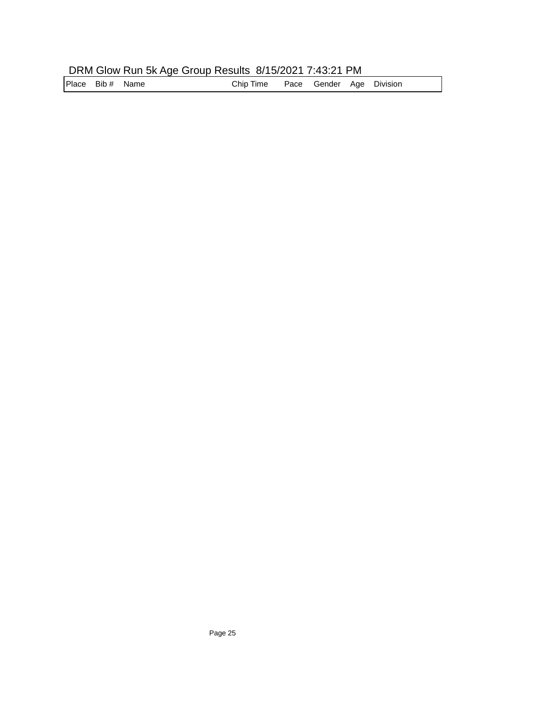# DRM Glow Run 5k Age Group Results 8/15/2021 7:43:21 PM

Place Bib # Name **Chip Time** Pace Gender Age Division